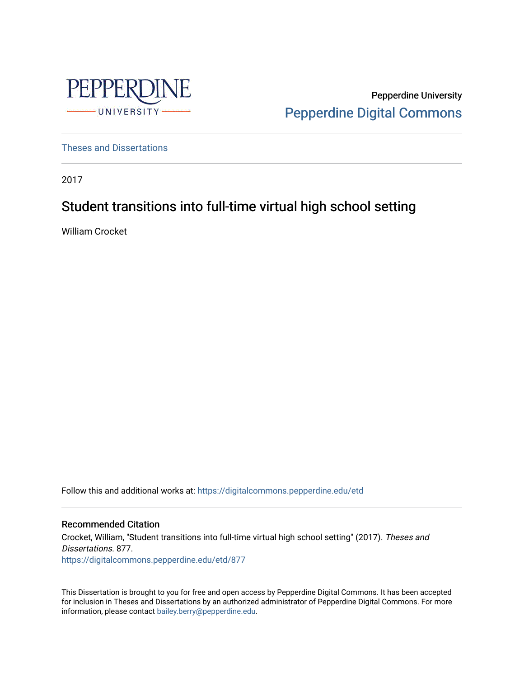

Pepperdine University [Pepperdine Digital Commons](https://digitalcommons.pepperdine.edu/) 

[Theses and Dissertations](https://digitalcommons.pepperdine.edu/etd)

2017

# Student transitions into full-time virtual high school setting

William Crocket

Follow this and additional works at: [https://digitalcommons.pepperdine.edu/etd](https://digitalcommons.pepperdine.edu/etd?utm_source=digitalcommons.pepperdine.edu%2Fetd%2F877&utm_medium=PDF&utm_campaign=PDFCoverPages) 

#### Recommended Citation

Crocket, William, "Student transitions into full-time virtual high school setting" (2017). Theses and Dissertations. 877. [https://digitalcommons.pepperdine.edu/etd/877](https://digitalcommons.pepperdine.edu/etd/877?utm_source=digitalcommons.pepperdine.edu%2Fetd%2F877&utm_medium=PDF&utm_campaign=PDFCoverPages) 

This Dissertation is brought to you for free and open access by Pepperdine Digital Commons. It has been accepted for inclusion in Theses and Dissertations by an authorized administrator of Pepperdine Digital Commons. For more information, please contact [bailey.berry@pepperdine.edu.](mailto:bailey.berry@pepperdine.edu)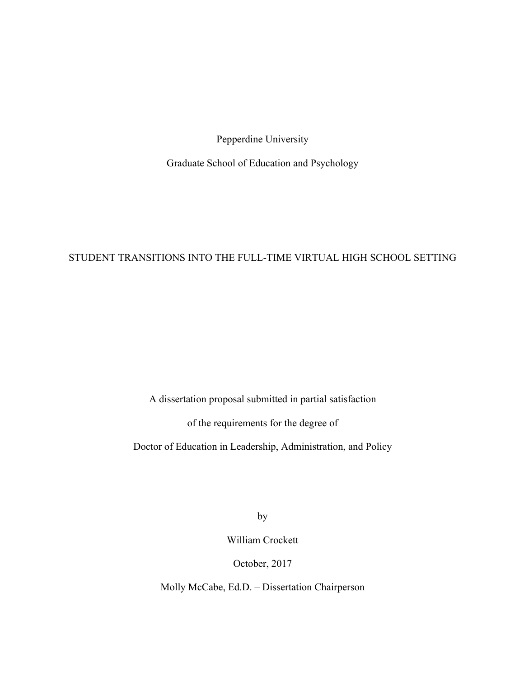Pepperdine University

Graduate School of Education and Psychology

## STUDENT TRANSITIONS INTO THE FULL-TIME VIRTUAL HIGH SCHOOL SETTING

A dissertation proposal submitted in partial satisfaction

of the requirements for the degree of

Doctor of Education in Leadership, Administration, and Policy

by

William Crockett

October, 2017

Molly McCabe, Ed.D. – Dissertation Chairperson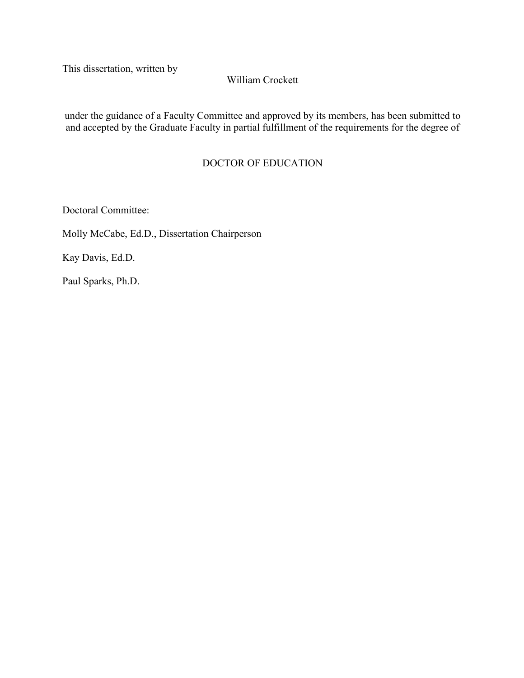This dissertation, written by

### William Crockett

under the guidance of a Faculty Committee and approved by its members, has been submitted to and accepted by the Graduate Faculty in partial fulfillment of the requirements for the degree of

### DOCTOR OF EDUCATION

Doctoral Committee:

Molly McCabe, Ed.D., Dissertation Chairperson

Kay Davis, Ed.D.

Paul Sparks, Ph.D.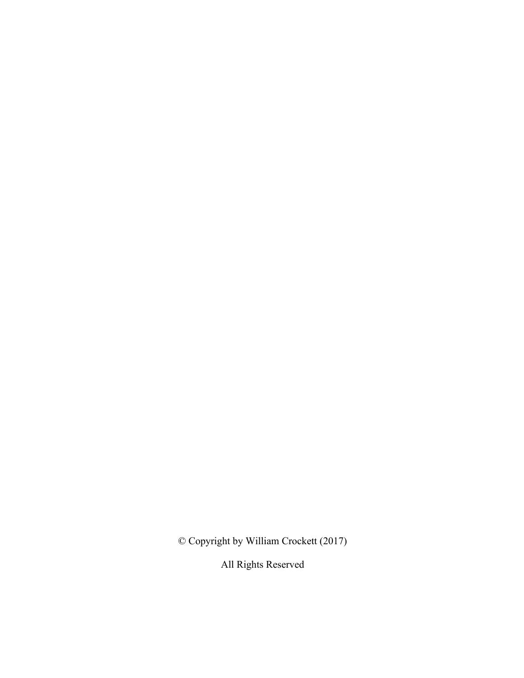© Copyright by William Crockett (2017)

All Rights Reserved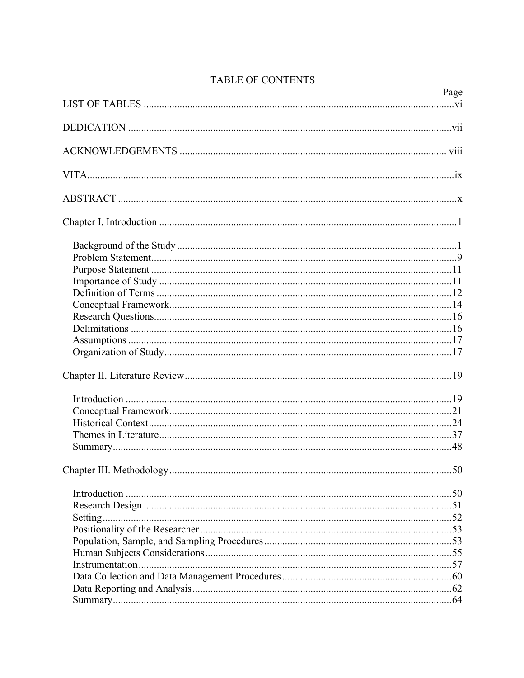| Page |
|------|
|      |
|      |
|      |
|      |
|      |
|      |
|      |
|      |
|      |
|      |
|      |
|      |
|      |
|      |
|      |
|      |
|      |
|      |
|      |
|      |
|      |
|      |
| 50   |
|      |
|      |
|      |
|      |
|      |
|      |
|      |
|      |
|      |
|      |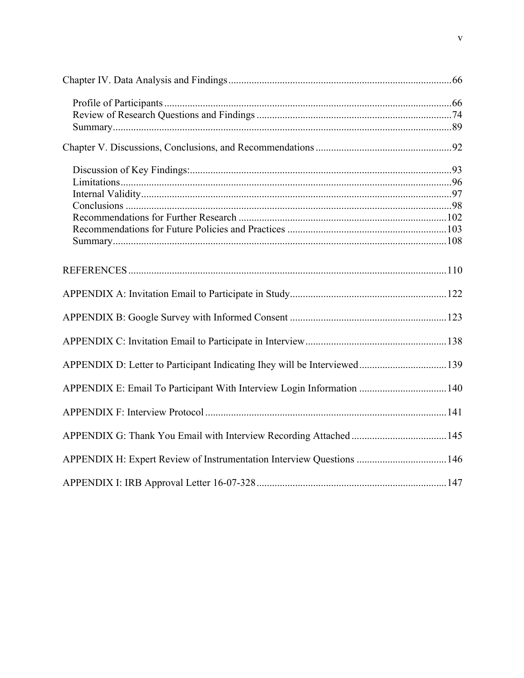| APPENDIX E: Email To Participant With Interview Login Information  140 |  |
|------------------------------------------------------------------------|--|
|                                                                        |  |
|                                                                        |  |
| APPENDIX H: Expert Review of Instrumentation Interview Questions  146  |  |
|                                                                        |  |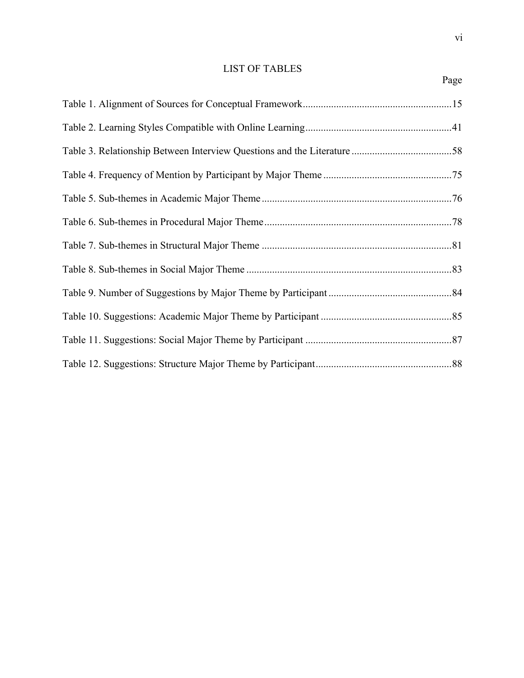### LIST OF TABLES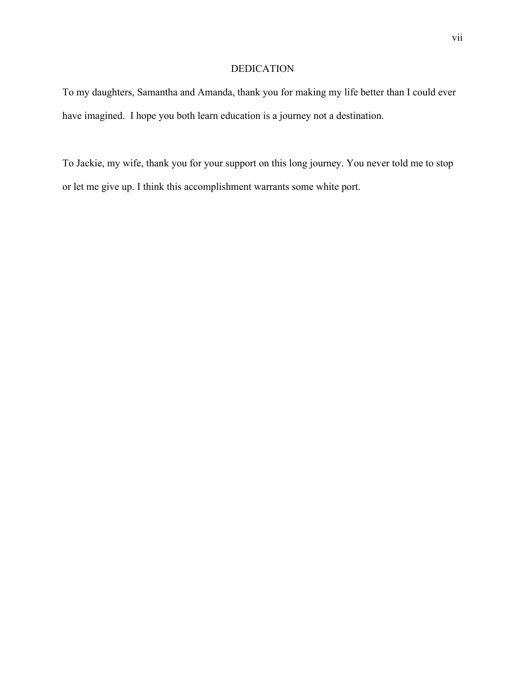#### DEDICATION

To my daughters, Samantha and Amanda, thank you for making my life better than I could ever have imagined. I hope you both learn education is a journey not a destination.

To Jackie, my wife, thank you for your support on this long journey. You never told me to stop or let me give up. I think this accomplishment warrants some white port.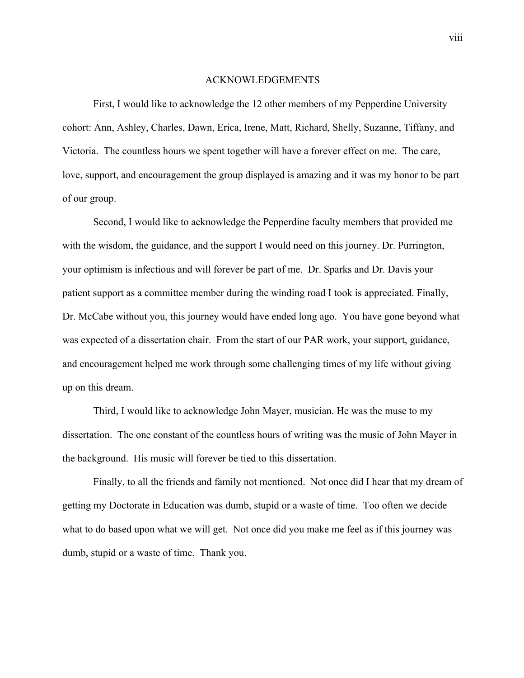#### ACKNOWLEDGEMENTS

First, I would like to acknowledge the 12 other members of my Pepperdine University cohort: Ann, Ashley, Charles, Dawn, Erica, Irene, Matt, Richard, Shelly, Suzanne, Tiffany, and Victoria. The countless hours we spent together will have a forever effect on me. The care, love, support, and encouragement the group displayed is amazing and it was my honor to be part of our group.

Second, I would like to acknowledge the Pepperdine faculty members that provided me with the wisdom, the guidance, and the support I would need on this journey. Dr. Purrington, your optimism is infectious and will forever be part of me. Dr. Sparks and Dr. Davis your patient support as a committee member during the winding road I took is appreciated. Finally, Dr. McCabe without you, this journey would have ended long ago. You have gone beyond what was expected of a dissertation chair. From the start of our PAR work, your support, guidance, and encouragement helped me work through some challenging times of my life without giving up on this dream.

Third, I would like to acknowledge John Mayer, musician. He was the muse to my dissertation. The one constant of the countless hours of writing was the music of John Mayer in the background. His music will forever be tied to this dissertation.

Finally, to all the friends and family not mentioned. Not once did I hear that my dream of getting my Doctorate in Education was dumb, stupid or a waste of time. Too often we decide what to do based upon what we will get. Not once did you make me feel as if this journey was dumb, stupid or a waste of time. Thank you.

viii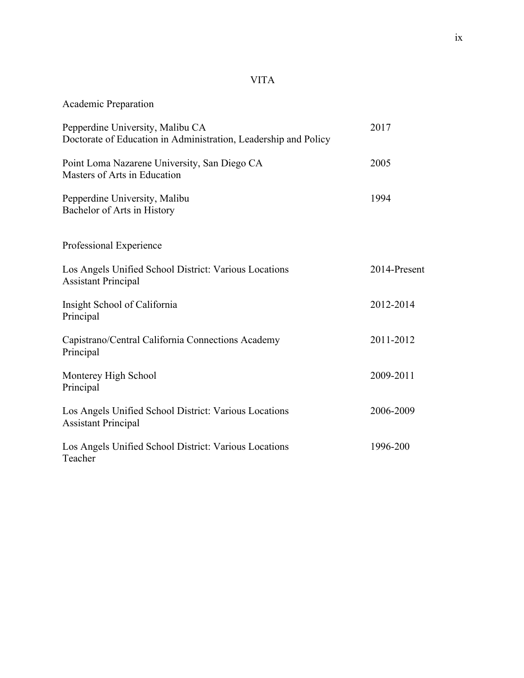## VITA

Academic Preparation

| Pepperdine University, Malibu CA<br>Doctorate of Education in Administration, Leadership and Policy | 2017         |
|-----------------------------------------------------------------------------------------------------|--------------|
| Point Loma Nazarene University, San Diego CA<br>Masters of Arts in Education                        | 2005         |
| Pepperdine University, Malibu<br>Bachelor of Arts in History                                        | 1994         |
| Professional Experience                                                                             |              |
| Los Angels Unified School District: Various Locations<br><b>Assistant Principal</b>                 | 2014-Present |
| Insight School of California<br>Principal                                                           | 2012-2014    |
| Capistrano/Central California Connections Academy<br>Principal                                      | 2011-2012    |
| Monterey High School<br>Principal                                                                   | 2009-2011    |
| Los Angels Unified School District: Various Locations<br><b>Assistant Principal</b>                 | 2006-2009    |
| Los Angels Unified School District: Various Locations<br>Teacher                                    | 1996-200     |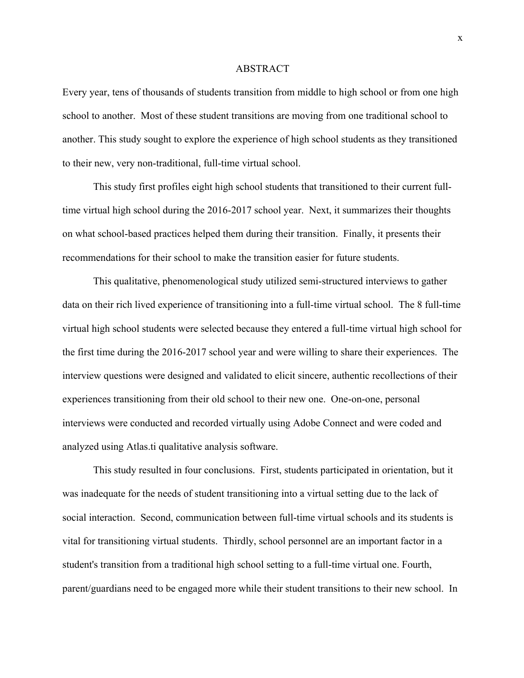#### ABSTRACT

Every year, tens of thousands of students transition from middle to high school or from one high school to another. Most of these student transitions are moving from one traditional school to another. This study sought to explore the experience of high school students as they transitioned to their new, very non-traditional, full-time virtual school.

This study first profiles eight high school students that transitioned to their current fulltime virtual high school during the 2016-2017 school year. Next, it summarizes their thoughts on what school-based practices helped them during their transition. Finally, it presents their recommendations for their school to make the transition easier for future students.

This qualitative, phenomenological study utilized semi-structured interviews to gather data on their rich lived experience of transitioning into a full-time virtual school. The 8 full-time virtual high school students were selected because they entered a full-time virtual high school for the first time during the 2016-2017 school year and were willing to share their experiences. The interview questions were designed and validated to elicit sincere, authentic recollections of their experiences transitioning from their old school to their new one. One-on-one, personal interviews were conducted and recorded virtually using Adobe Connect and were coded and analyzed using Atlas.ti qualitative analysis software.

This study resulted in four conclusions. First, students participated in orientation, but it was inadequate for the needs of student transitioning into a virtual setting due to the lack of social interaction. Second, communication between full-time virtual schools and its students is vital for transitioning virtual students. Thirdly, school personnel are an important factor in a student's transition from a traditional high school setting to a full-time virtual one. Fourth, parent/guardians need to be engaged more while their student transitions to their new school. In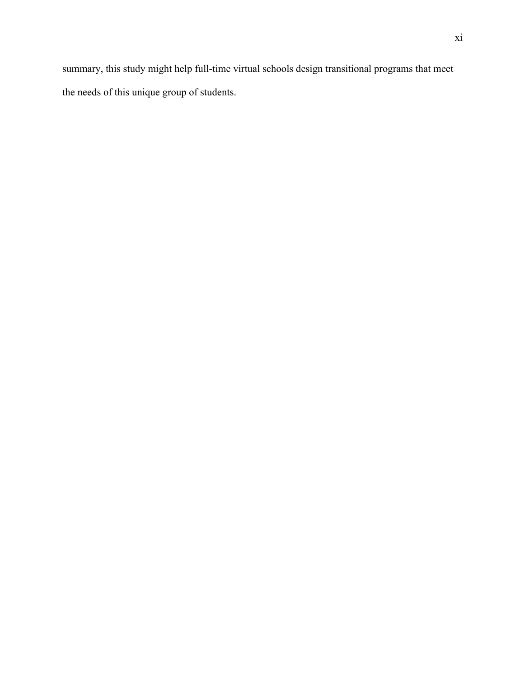summary, this study might help full-time virtual schools design transitional programs that meet the needs of this unique group of students.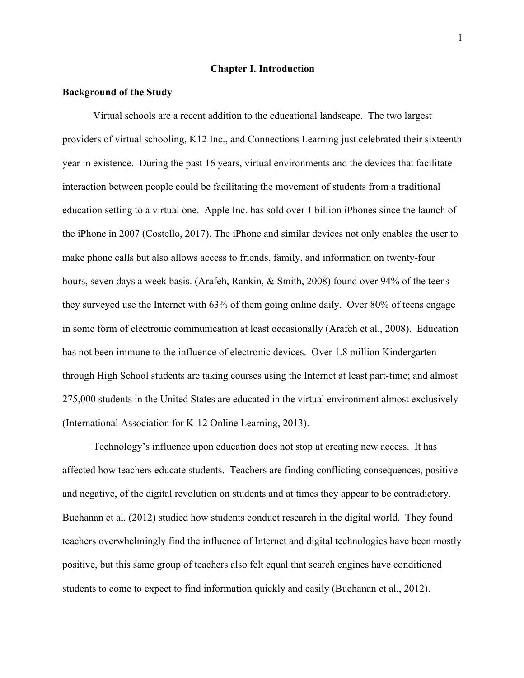#### **Chapter I. Introduction**

#### **Background of the Study**

Virtual schools are a recent addition to the educational landscape. The two largest providers of virtual schooling, K12 Inc., and Connections Learning just celebrated their sixteenth year in existence. During the past 16 years, virtual environments and the devices that facilitate interaction between people could be facilitating the movement of students from a traditional education setting to a virtual one. Apple Inc. has sold over 1 billion iPhones since the launch of the iPhone in 2007 (Costello, 2017). The iPhone and similar devices not only enables the user to make phone calls but also allows access to friends, family, and information on twenty-four hours, seven days a week basis. (Arafeh, Rankin, & Smith, 2008) found over 94% of the teens they surveyed use the Internet with 63% of them going online daily. Over 80% of teens engage in some form of electronic communication at least occasionally (Arafeh et al., 2008). Education has not been immune to the influence of electronic devices. Over 1.8 million Kindergarten through High School students are taking courses using the Internet at least part-time; and almost 275,000 students in the United States are educated in the virtual environment almost exclusively (International Association for K-12 Online Learning, 2013).

Technology's influence upon education does not stop at creating new access. It has affected how teachers educate students. Teachers are finding conflicting consequences, positive and negative, of the digital revolution on students and at times they appear to be contradictory. Buchanan et al. (2012) studied how students conduct research in the digital world. They found teachers overwhelmingly find the influence of Internet and digital technologies have been mostly positive, but this same group of teachers also felt equal that search engines have conditioned students to come to expect to find information quickly and easily (Buchanan et al., 2012).

1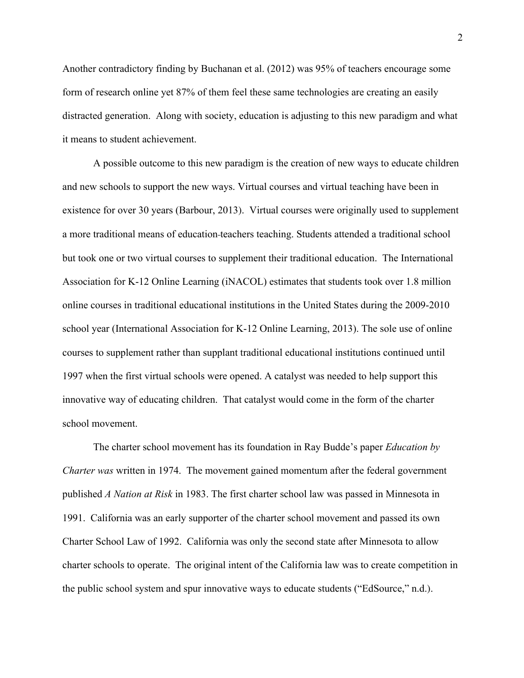Another contradictory finding by Buchanan et al. (2012) was 95% of teachers encourage some form of research online yet 87% of them feel these same technologies are creating an easily distracted generation. Along with society, education is adjusting to this new paradigm and what it means to student achievement.

A possible outcome to this new paradigm is the creation of new ways to educate children and new schools to support the new ways. Virtual courses and virtual teaching have been in existence for over 30 years (Barbour, 2013). Virtual courses were originally used to supplement a more traditional means of education teachers teaching. Students attended a traditional school but took one or two virtual courses to supplement their traditional education. The International Association for K-12 Online Learning (iNACOL) estimates that students took over 1.8 million online courses in traditional educational institutions in the United States during the 2009-2010 school year (International Association for K-12 Online Learning, 2013). The sole use of online courses to supplement rather than supplant traditional educational institutions continued until 1997 when the first virtual schools were opened. A catalyst was needed to help support this innovative way of educating children. That catalyst would come in the form of the charter school movement.

The charter school movement has its foundation in Ray Budde's paper *Education by Charter was* written in 1974. The movement gained momentum after the federal government published *A Nation at Risk* in 1983. The first charter school law was passed in Minnesota in 1991. California was an early supporter of the charter school movement and passed its own Charter School Law of 1992. California was only the second state after Minnesota to allow charter schools to operate. The original intent of the California law was to create competition in the public school system and spur innovative ways to educate students ("EdSource," n.d.).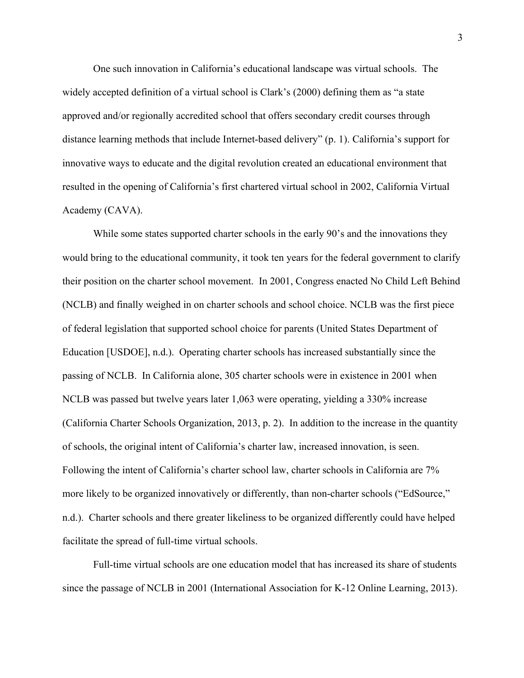One such innovation in California's educational landscape was virtual schools. The widely accepted definition of a virtual school is Clark's (2000) defining them as "a state approved and/or regionally accredited school that offers secondary credit courses through distance learning methods that include Internet-based delivery" (p. 1). California's support for innovative ways to educate and the digital revolution created an educational environment that resulted in the opening of California's first chartered virtual school in 2002, California Virtual Academy (CAVA).

While some states supported charter schools in the early 90's and the innovations they would bring to the educational community, it took ten years for the federal government to clarify their position on the charter school movement. In 2001, Congress enacted No Child Left Behind (NCLB) and finally weighed in on charter schools and school choice. NCLB was the first piece of federal legislation that supported school choice for parents (United States Department of Education [USDOE], n.d.). Operating charter schools has increased substantially since the passing of NCLB. In California alone, 305 charter schools were in existence in 2001 when NCLB was passed but twelve years later 1,063 were operating, yielding a 330% increase (California Charter Schools Organization, 2013, p. 2). In addition to the increase in the quantity of schools, the original intent of California's charter law, increased innovation, is seen. Following the intent of California's charter school law, charter schools in California are 7% more likely to be organized innovatively or differently, than non-charter schools ("EdSource," n.d.). Charter schools and there greater likeliness to be organized differently could have helped facilitate the spread of full-time virtual schools.

Full-time virtual schools are one education model that has increased its share of students since the passage of NCLB in 2001 (International Association for K-12 Online Learning, 2013).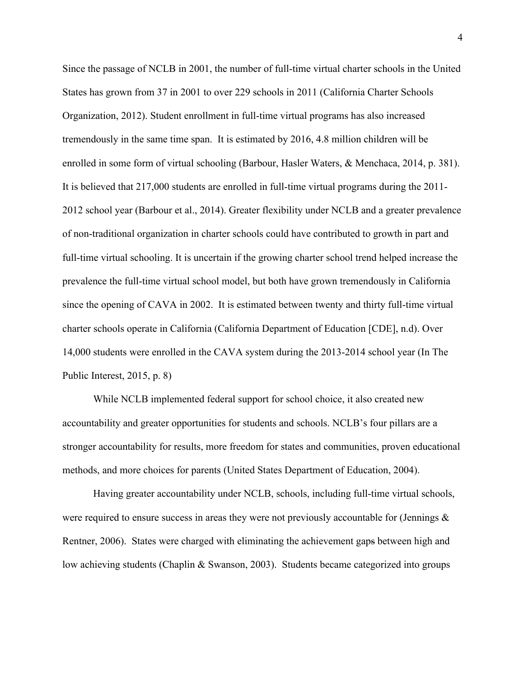Since the passage of NCLB in 2001, the number of full-time virtual charter schools in the United States has grown from 37 in 2001 to over 229 schools in 2011 (California Charter Schools Organization, 2012). Student enrollment in full-time virtual programs has also increased tremendously in the same time span. It is estimated by 2016, 4.8 million children will be enrolled in some form of virtual schooling (Barbour, Hasler Waters, & Menchaca, 2014, p. 381). It is believed that 217,000 students are enrolled in full-time virtual programs during the 2011- 2012 school year (Barbour et al., 2014). Greater flexibility under NCLB and a greater prevalence of non-traditional organization in charter schools could have contributed to growth in part and full-time virtual schooling. It is uncertain if the growing charter school trend helped increase the prevalence the full-time virtual school model, but both have grown tremendously in California since the opening of CAVA in 2002. It is estimated between twenty and thirty full-time virtual charter schools operate in California (California Department of Education [CDE], n.d). Over 14,000 students were enrolled in the CAVA system during the 2013-2014 school year (In The Public Interest, 2015, p. 8)

While NCLB implemented federal support for school choice, it also created new accountability and greater opportunities for students and schools. NCLB's four pillars are a stronger accountability for results, more freedom for states and communities, proven educational methods, and more choices for parents (United States Department of Education, 2004).

Having greater accountability under NCLB, schools, including full-time virtual schools, were required to ensure success in areas they were not previously accountable for (Jennings  $\&$ Rentner, 2006). States were charged with eliminating the achievement gaps between high and low achieving students (Chaplin & Swanson, 2003). Students became categorized into groups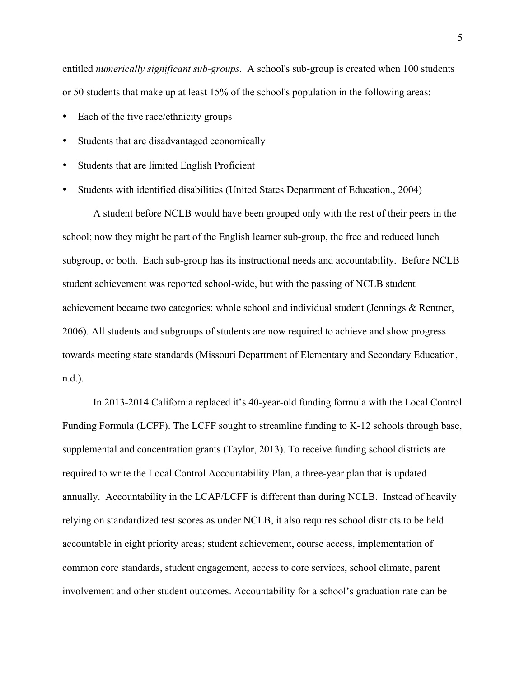entitled *numerically significant sub-groups*. A school's sub-group is created when 100 students or 50 students that make up at least 15% of the school's population in the following areas:

- Each of the five race/ethnicity groups
- Students that are disadvantaged economically
- Students that are limited English Proficient
- Students with identified disabilities (United States Department of Education., 2004)

A student before NCLB would have been grouped only with the rest of their peers in the school; now they might be part of the English learner sub-group, the free and reduced lunch subgroup, or both. Each sub-group has its instructional needs and accountability. Before NCLB student achievement was reported school-wide, but with the passing of NCLB student achievement became two categories: whole school and individual student (Jennings & Rentner, 2006). All students and subgroups of students are now required to achieve and show progress towards meeting state standards (Missouri Department of Elementary and Secondary Education, n.d.).

In 2013-2014 California replaced it's 40-year-old funding formula with the Local Control Funding Formula (LCFF). The LCFF sought to streamline funding to K-12 schools through base, supplemental and concentration grants (Taylor, 2013). To receive funding school districts are required to write the Local Control Accountability Plan, a three-year plan that is updated annually. Accountability in the LCAP/LCFF is different than during NCLB. Instead of heavily relying on standardized test scores as under NCLB, it also requires school districts to be held accountable in eight priority areas; student achievement, course access, implementation of common core standards, student engagement, access to core services, school climate, parent involvement and other student outcomes. Accountability for a school's graduation rate can be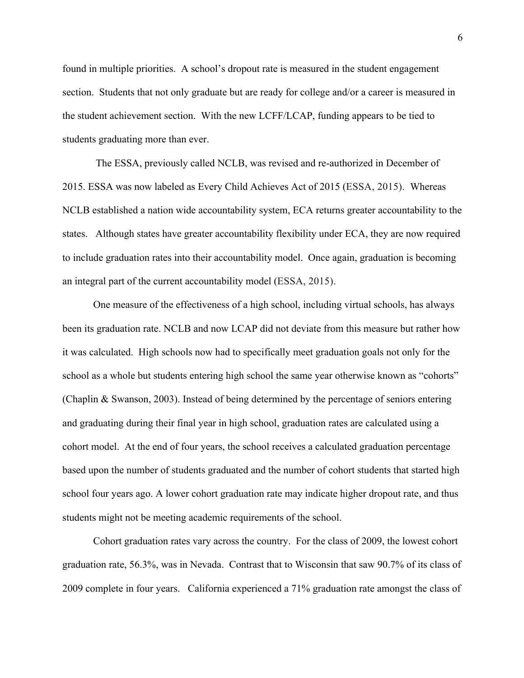found in multiple priorities. A school's dropout rate is measured in the student engagement section. Students that not only graduate but are ready for college and/or a career is measured in the student achievement section. With the new LCFF/LCAP, funding appears to be tied to students graduating more than ever.

The ESSA, previously called NCLB, was revised and re-authorized in December of 2015. ESSA was now labeled as Every Child Achieves Act of 2015 (ESSA, 2015). Whereas NCLB established a nation wide accountability system, ECA returns greater accountability to the states. Although states have greater accountability flexibility under ECA, they are now required to include graduation rates into their accountability model. Once again, graduation is becoming an integral part of the current accountability model (ESSA, 2015).

One measure of the effectiveness of a high school, including virtual schools, has always been its graduation rate. NCLB and now LCAP did not deviate from this measure but rather how it was calculated. High schools now had to specifically meet graduation goals not only for the school as a whole but students entering high school the same year otherwise known as "cohorts" (Chaplin & Swanson, 2003). Instead of being determined by the percentage of seniors entering and graduating during their final year in high school, graduation rates are calculated using a cohort model. At the end of four years, the school receives a calculated graduation percentage based upon the number of students graduated and the number of cohort students that started high school four years ago. A lower cohort graduation rate may indicate higher dropout rate, and thus students might not be meeting academic requirements of the school.

Cohort graduation rates vary across the country. For the class of 2009, the lowest cohort graduation rate, 56.3%, was in Nevada. Contrast that to Wisconsin that saw 90.7% of its class of 2009 complete in four years. California experienced a 71% graduation rate amongst the class of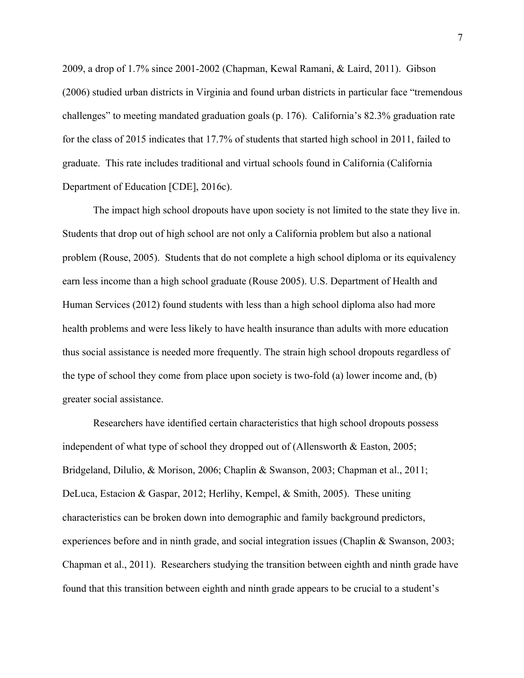2009, a drop of 1.7% since 2001-2002 (Chapman, Kewal Ramani, & Laird, 2011). Gibson (2006) studied urban districts in Virginia and found urban districts in particular face "tremendous challenges" to meeting mandated graduation goals (p. 176). California's 82.3% graduation rate for the class of 2015 indicates that 17.7% of students that started high school in 2011, failed to graduate. This rate includes traditional and virtual schools found in California (California Department of Education [CDE], 2016c).

The impact high school dropouts have upon society is not limited to the state they live in. Students that drop out of high school are not only a California problem but also a national problem (Rouse, 2005). Students that do not complete a high school diploma or its equivalency earn less income than a high school graduate (Rouse 2005). U.S. Department of Health and Human Services (2012) found students with less than a high school diploma also had more health problems and were less likely to have health insurance than adults with more education thus social assistance is needed more frequently. The strain high school dropouts regardless of the type of school they come from place upon society is two-fold (a) lower income and, (b) greater social assistance.

Researchers have identified certain characteristics that high school dropouts possess independent of what type of school they dropped out of (Allensworth  $\&$  Easton, 2005; Bridgeland, Dilulio, & Morison, 2006; Chaplin & Swanson, 2003; Chapman et al., 2011; DeLuca, Estacion & Gaspar, 2012; Herlihy, Kempel, & Smith, 2005). These uniting characteristics can be broken down into demographic and family background predictors, experiences before and in ninth grade, and social integration issues (Chaplin & Swanson, 2003; Chapman et al., 2011). Researchers studying the transition between eighth and ninth grade have found that this transition between eighth and ninth grade appears to be crucial to a student's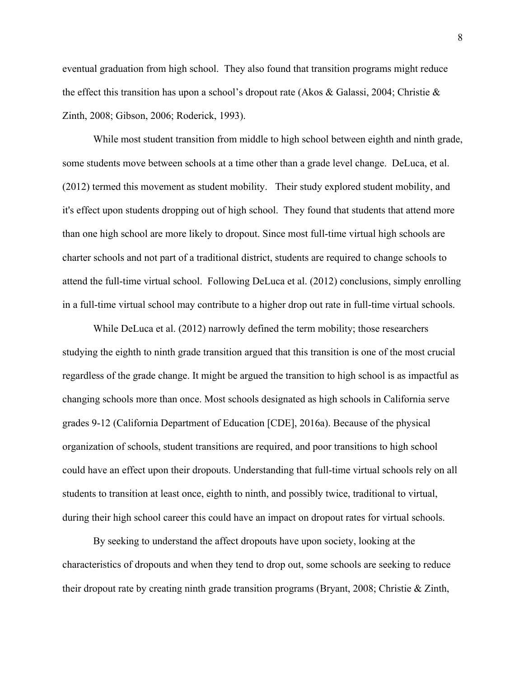eventual graduation from high school. They also found that transition programs might reduce the effect this transition has upon a school's dropout rate (Akos & Galassi, 2004; Christie & Zinth, 2008; Gibson, 2006; Roderick, 1993).

While most student transition from middle to high school between eighth and ninth grade, some students move between schools at a time other than a grade level change. DeLuca, et al. (2012) termed this movement as student mobility. Their study explored student mobility, and it's effect upon students dropping out of high school. They found that students that attend more than one high school are more likely to dropout. Since most full-time virtual high schools are charter schools and not part of a traditional district, students are required to change schools to attend the full-time virtual school. Following DeLuca et al. (2012) conclusions, simply enrolling in a full-time virtual school may contribute to a higher drop out rate in full-time virtual schools.

While DeLuca et al. (2012) narrowly defined the term mobility; those researchers studying the eighth to ninth grade transition argued that this transition is one of the most crucial regardless of the grade change. It might be argued the transition to high school is as impactful as changing schools more than once. Most schools designated as high schools in California serve grades 9-12 (California Department of Education [CDE], 2016a). Because of the physical organization of schools, student transitions are required, and poor transitions to high school could have an effect upon their dropouts. Understanding that full-time virtual schools rely on all students to transition at least once, eighth to ninth, and possibly twice, traditional to virtual, during their high school career this could have an impact on dropout rates for virtual schools.

By seeking to understand the affect dropouts have upon society, looking at the characteristics of dropouts and when they tend to drop out, some schools are seeking to reduce their dropout rate by creating ninth grade transition programs (Bryant, 2008; Christie & Zinth,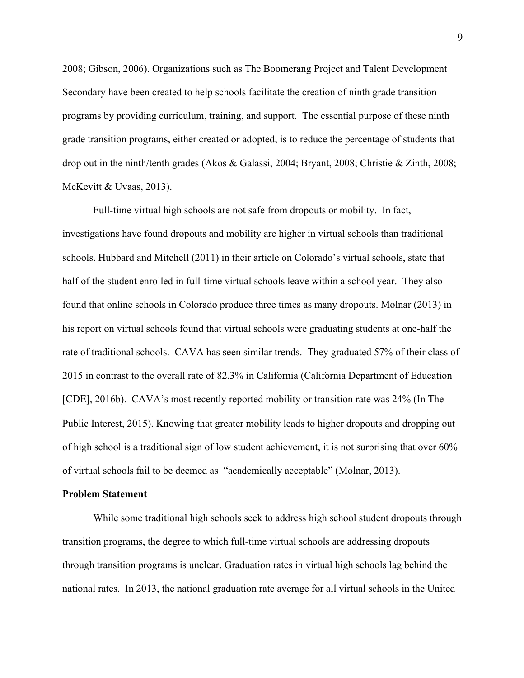2008; Gibson, 2006). Organizations such as The Boomerang Project and Talent Development Secondary have been created to help schools facilitate the creation of ninth grade transition programs by providing curriculum, training, and support. The essential purpose of these ninth grade transition programs, either created or adopted, is to reduce the percentage of students that drop out in the ninth/tenth grades (Akos & Galassi, 2004; Bryant, 2008; Christie & Zinth, 2008; McKevitt & Uvaas, 2013).

Full-time virtual high schools are not safe from dropouts or mobility. In fact, investigations have found dropouts and mobility are higher in virtual schools than traditional schools. Hubbard and Mitchell (2011) in their article on Colorado's virtual schools, state that half of the student enrolled in full-time virtual schools leave within a school year. They also found that online schools in Colorado produce three times as many dropouts. Molnar (2013) in his report on virtual schools found that virtual schools were graduating students at one-half the rate of traditional schools. CAVA has seen similar trends. They graduated 57% of their class of 2015 in contrast to the overall rate of 82.3% in California (California Department of Education [CDE], 2016b). CAVA's most recently reported mobility or transition rate was 24% (In The Public Interest, 2015). Knowing that greater mobility leads to higher dropouts and dropping out of high school is a traditional sign of low student achievement, it is not surprising that over 60% of virtual schools fail to be deemed as "academically acceptable" (Molnar, 2013).

#### **Problem Statement**

While some traditional high schools seek to address high school student dropouts through transition programs, the degree to which full-time virtual schools are addressing dropouts through transition programs is unclear. Graduation rates in virtual high schools lag behind the national rates. In 2013, the national graduation rate average for all virtual schools in the United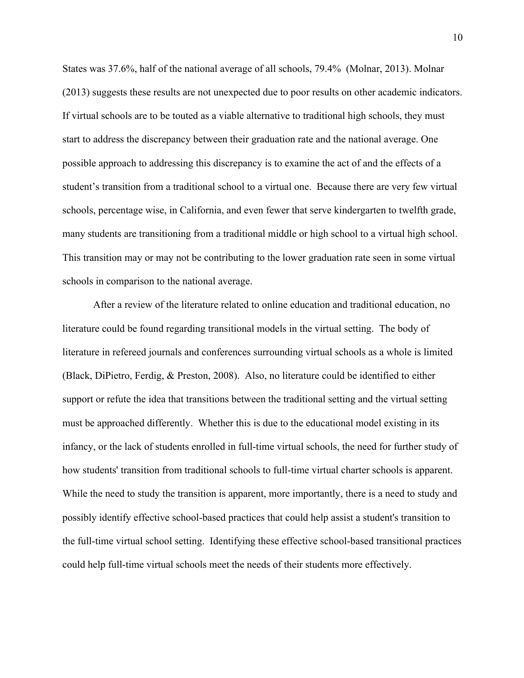States was 37.6%, half of the national average of all schools, 79.4% (Molnar, 2013). Molnar (2013) suggests these results are not unexpected due to poor results on other academic indicators. If virtual schools are to be touted as a viable alternative to traditional high schools, they must start to address the discrepancy between their graduation rate and the national average. One possible approach to addressing this discrepancy is to examine the act of and the effects of a student's transition from a traditional school to a virtual one. Because there are very few virtual schools, percentage wise, in California, and even fewer that serve kindergarten to twelfth grade, many students are transitioning from a traditional middle or high school to a virtual high school. This transition may or may not be contributing to the lower graduation rate seen in some virtual schools in comparison to the national average.

After a review of the literature related to online education and traditional education, no literature could be found regarding transitional models in the virtual setting. The body of literature in refereed journals and conferences surrounding virtual schools as a whole is limited (Black, DiPietro, Ferdig, & Preston, 2008). Also, no literature could be identified to either support or refute the idea that transitions between the traditional setting and the virtual setting must be approached differently. Whether this is due to the educational model existing in its infancy, or the lack of students enrolled in full-time virtual schools, the need for further study of how students' transition from traditional schools to full-time virtual charter schools is apparent. While the need to study the transition is apparent, more importantly, there is a need to study and possibly identify effective school-based practices that could help assist a student's transition to the full-time virtual school setting. Identifying these effective school-based transitional practices could help full-time virtual schools meet the needs of their students more effectively.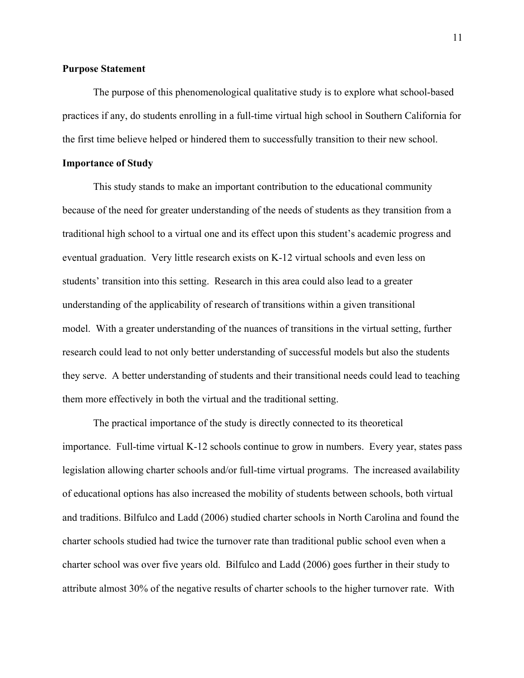#### **Purpose Statement**

The purpose of this phenomenological qualitative study is to explore what school-based practices if any, do students enrolling in a full-time virtual high school in Southern California for the first time believe helped or hindered them to successfully transition to their new school.

#### **Importance of Study**

This study stands to make an important contribution to the educational community because of the need for greater understanding of the needs of students as they transition from a traditional high school to a virtual one and its effect upon this student's academic progress and eventual graduation. Very little research exists on K-12 virtual schools and even less on students' transition into this setting. Research in this area could also lead to a greater understanding of the applicability of research of transitions within a given transitional model. With a greater understanding of the nuances of transitions in the virtual setting, further research could lead to not only better understanding of successful models but also the students they serve. A better understanding of students and their transitional needs could lead to teaching them more effectively in both the virtual and the traditional setting.

The practical importance of the study is directly connected to its theoretical importance. Full-time virtual K-12 schools continue to grow in numbers. Every year, states pass legislation allowing charter schools and/or full-time virtual programs. The increased availability of educational options has also increased the mobility of students between schools, both virtual and traditions. Bilfulco and Ladd (2006) studied charter schools in North Carolina and found the charter schools studied had twice the turnover rate than traditional public school even when a charter school was over five years old. Bilfulco and Ladd (2006) goes further in their study to attribute almost 30% of the negative results of charter schools to the higher turnover rate. With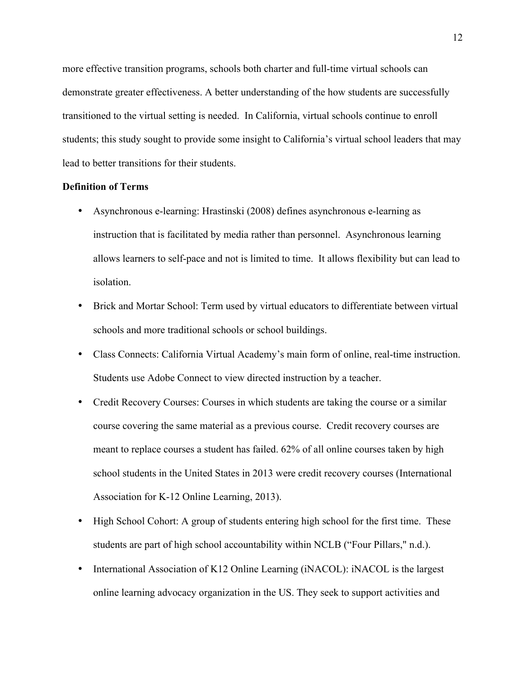more effective transition programs, schools both charter and full-time virtual schools can demonstrate greater effectiveness. A better understanding of the how students are successfully transitioned to the virtual setting is needed. In California, virtual schools continue to enroll students; this study sought to provide some insight to California's virtual school leaders that may lead to better transitions for their students.

#### **Definition of Terms**

- Asynchronous e-learning: Hrastinski (2008) defines asynchronous e-learning as instruction that is facilitated by media rather than personnel. Asynchronous learning allows learners to self-pace and not is limited to time. It allows flexibility but can lead to isolation.
- Brick and Mortar School: Term used by virtual educators to differentiate between virtual schools and more traditional schools or school buildings.
- Class Connects: California Virtual Academy's main form of online, real-time instruction. Students use Adobe Connect to view directed instruction by a teacher.
- Credit Recovery Courses: Courses in which students are taking the course or a similar course covering the same material as a previous course. Credit recovery courses are meant to replace courses a student has failed. 62% of all online courses taken by high school students in the United States in 2013 were credit recovery courses (International Association for K-12 Online Learning, 2013).
- High School Cohort: A group of students entering high school for the first time. These students are part of high school accountability within NCLB ("Four Pillars," n.d.).
- International Association of K12 Online Learning (iNACOL): iNACOL is the largest online learning advocacy organization in the US. They seek to support activities and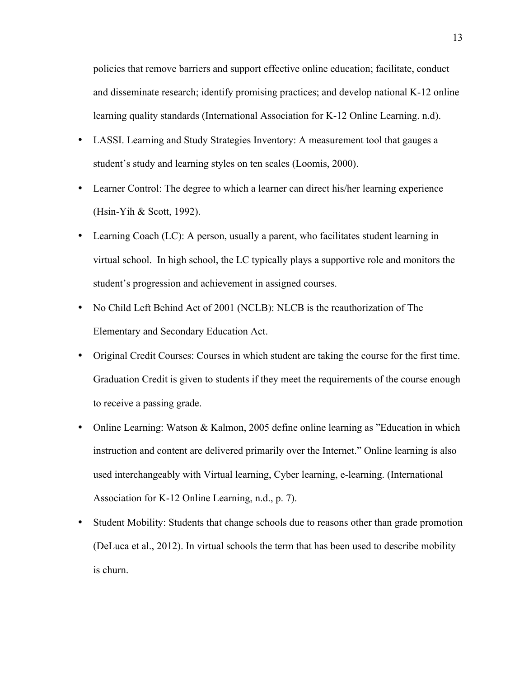policies that remove barriers and support effective online education; facilitate, conduct and disseminate research; identify promising practices; and develop national K-12 online learning quality standards (International Association for K-12 Online Learning. n.d).

- LASSI. Learning and Study Strategies Inventory: A measurement tool that gauges a student's study and learning styles on ten scales (Loomis, 2000).
- Learner Control: The degree to which a learner can direct his/her learning experience (Hsin-Yih & Scott, 1992).
- Learning Coach (LC): A person, usually a parent, who facilitates student learning in virtual school. In high school, the LC typically plays a supportive role and monitors the student's progression and achievement in assigned courses.
- No Child Left Behind Act of 2001 (NCLB): NLCB is the reauthorization of The Elementary and Secondary Education Act.
- Original Credit Courses: Courses in which student are taking the course for the first time. Graduation Credit is given to students if they meet the requirements of the course enough to receive a passing grade.
- Online Learning: Watson & Kalmon, 2005 define online learning as "Education in which instruction and content are delivered primarily over the Internet." Online learning is also used interchangeably with Virtual learning, Cyber learning, e-learning. (International Association for K-12 Online Learning, n.d., p. 7).
- Student Mobility: Students that change schools due to reasons other than grade promotion (DeLuca et al., 2012). In virtual schools the term that has been used to describe mobility is churn.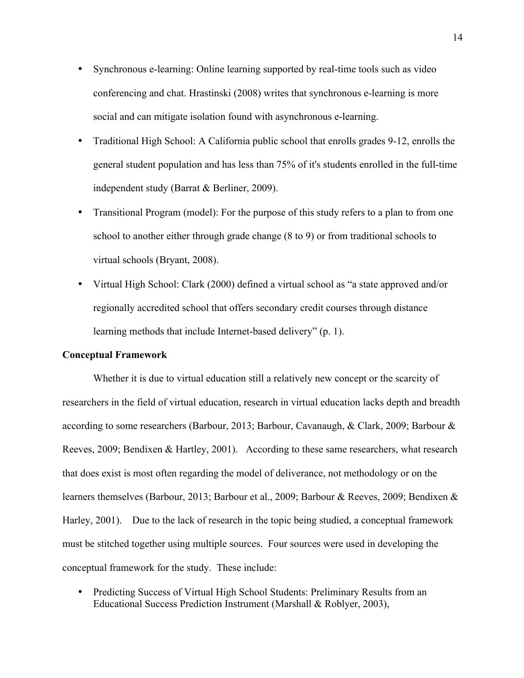- Synchronous e-learning: Online learning supported by real-time tools such as video conferencing and chat. Hrastinski (2008) writes that synchronous e-learning is more social and can mitigate isolation found with asynchronous e-learning.
- Traditional High School: A California public school that enrolls grades 9-12, enrolls the general student population and has less than 75% of it's students enrolled in the full-time independent study (Barrat & Berliner, 2009).
- Transitional Program (model): For the purpose of this study refers to a plan to from one school to another either through grade change (8 to 9) or from traditional schools to virtual schools (Bryant, 2008).
- Virtual High School: Clark (2000) defined a virtual school as "a state approved and/or regionally accredited school that offers secondary credit courses through distance learning methods that include Internet-based delivery" (p. 1).

#### **Conceptual Framework**

Whether it is due to virtual education still a relatively new concept or the scarcity of researchers in the field of virtual education, research in virtual education lacks depth and breadth according to some researchers (Barbour, 2013; Barbour, Cavanaugh, & Clark, 2009; Barbour & Reeves, 2009; Bendixen & Hartley, 2001). According to these same researchers, what research that does exist is most often regarding the model of deliverance, not methodology or on the learners themselves (Barbour, 2013; Barbour et al., 2009; Barbour & Reeves, 2009; Bendixen & Harley, 2001). Due to the lack of research in the topic being studied, a conceptual framework must be stitched together using multiple sources. Four sources were used in developing the conceptual framework for the study. These include:

• Predicting Success of Virtual High School Students: Preliminary Results from an Educational Success Prediction Instrument (Marshall & Roblyer, 2003),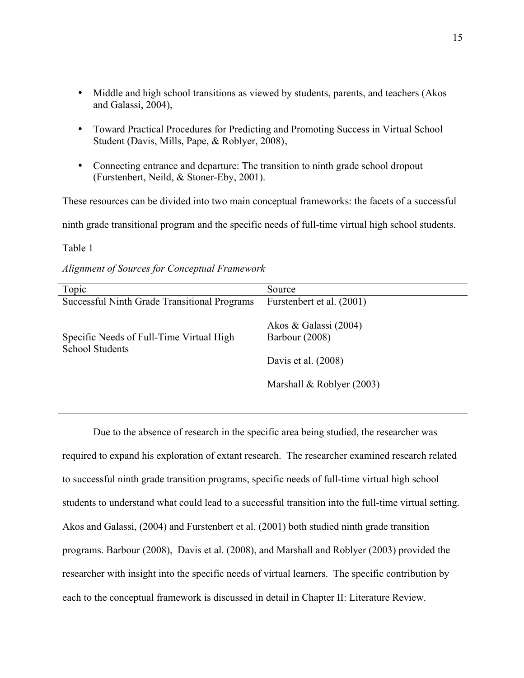- Middle and high school transitions as viewed by students, parents, and teachers (Akos and Galassi, 2004),
- Toward Practical Procedures for Predicting and Promoting Success in Virtual School Student (Davis, Mills, Pape, & Roblyer, 2008),
- Connecting entrance and departure: The transition to ninth grade school dropout (Furstenbert, Neild, & Stoner-Eby, 2001).

These resources can be divided into two main conceptual frameworks: the facets of a successful

ninth grade transitional program and the specific needs of full-time virtual high school students.

Table 1

*Alignment of Sources for Conceptual Framework*

| Topic                                                              | Source                                                           |
|--------------------------------------------------------------------|------------------------------------------------------------------|
| Successful Ninth Grade Transitional Programs                       | Furstenbert et al. (2001)                                        |
| Specific Needs of Full-Time Virtual High<br><b>School Students</b> | Akos & Galassi (2004)<br>Barbour (2008)<br>Davis et al. $(2008)$ |
|                                                                    |                                                                  |
|                                                                    | Marshall & Roblyer $(2003)$                                      |

Due to the absence of research in the specific area being studied, the researcher was required to expand his exploration of extant research. The researcher examined research related to successful ninth grade transition programs, specific needs of full-time virtual high school students to understand what could lead to a successful transition into the full-time virtual setting. Akos and Galassi, (2004) and Furstenbert et al. (2001) both studied ninth grade transition programs. Barbour (2008), Davis et al. (2008), and Marshall and Roblyer (2003) provided the researcher with insight into the specific needs of virtual learners. The specific contribution by each to the conceptual framework is discussed in detail in Chapter II: Literature Review.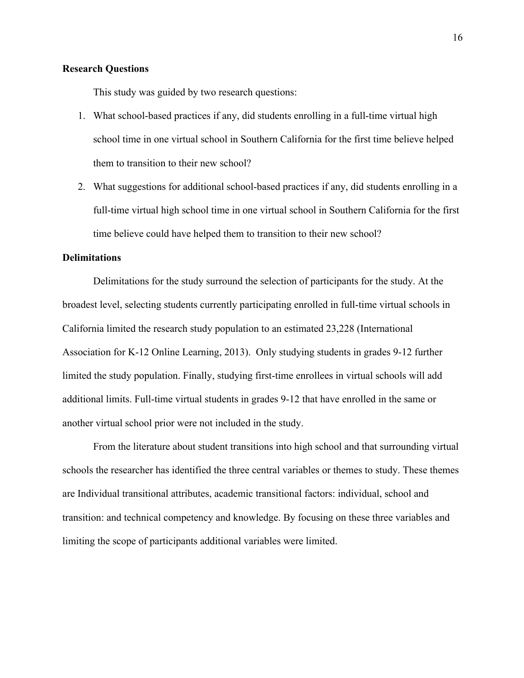#### **Research Questions**

This study was guided by two research questions:

- 1. What school-based practices if any, did students enrolling in a full-time virtual high school time in one virtual school in Southern California for the first time believe helped them to transition to their new school?
- 2. What suggestions for additional school-based practices if any, did students enrolling in a full-time virtual high school time in one virtual school in Southern California for the first time believe could have helped them to transition to their new school?

#### **Delimitations**

Delimitations for the study surround the selection of participants for the study. At the broadest level, selecting students currently participating enrolled in full-time virtual schools in California limited the research study population to an estimated 23,228 (International Association for K-12 Online Learning, 2013). Only studying students in grades 9-12 further limited the study population. Finally, studying first-time enrollees in virtual schools will add additional limits. Full-time virtual students in grades 9-12 that have enrolled in the same or another virtual school prior were not included in the study.

From the literature about student transitions into high school and that surrounding virtual schools the researcher has identified the three central variables or themes to study. These themes are Individual transitional attributes, academic transitional factors: individual, school and transition: and technical competency and knowledge. By focusing on these three variables and limiting the scope of participants additional variables were limited.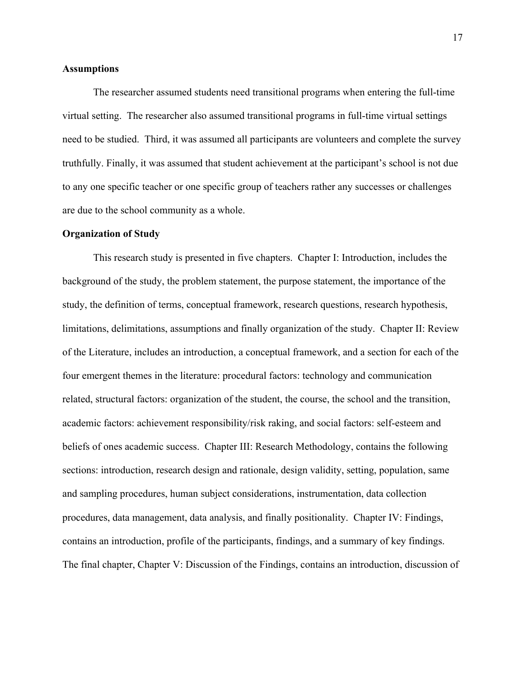#### **Assumptions**

The researcher assumed students need transitional programs when entering the full-time virtual setting. The researcher also assumed transitional programs in full-time virtual settings need to be studied. Third, it was assumed all participants are volunteers and complete the survey truthfully. Finally, it was assumed that student achievement at the participant's school is not due to any one specific teacher or one specific group of teachers rather any successes or challenges are due to the school community as a whole.

#### **Organization of Study**

This research study is presented in five chapters. Chapter I: Introduction, includes the background of the study, the problem statement, the purpose statement, the importance of the study, the definition of terms, conceptual framework, research questions, research hypothesis, limitations, delimitations, assumptions and finally organization of the study. Chapter II: Review of the Literature, includes an introduction, a conceptual framework, and a section for each of the four emergent themes in the literature: procedural factors: technology and communication related, structural factors: organization of the student, the course, the school and the transition, academic factors: achievement responsibility/risk raking, and social factors: self-esteem and beliefs of ones academic success. Chapter III: Research Methodology, contains the following sections: introduction, research design and rationale, design validity, setting, population, same and sampling procedures, human subject considerations, instrumentation, data collection procedures, data management, data analysis, and finally positionality. Chapter IV: Findings, contains an introduction, profile of the participants, findings, and a summary of key findings. The final chapter, Chapter V: Discussion of the Findings, contains an introduction, discussion of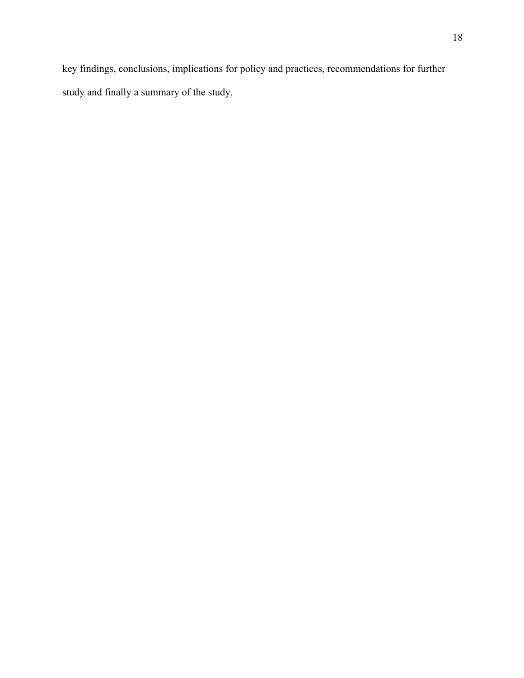key findings, conclusions, implications for policy and practices, recommendations for further study and finally a summary of the study.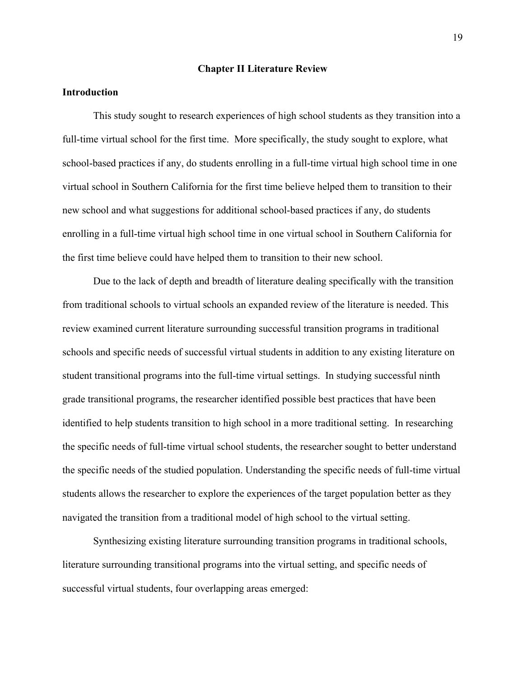#### **Chapter II Literature Review**

#### **Introduction**

This study sought to research experiences of high school students as they transition into a full-time virtual school for the first time. More specifically, the study sought to explore, what school-based practices if any, do students enrolling in a full-time virtual high school time in one virtual school in Southern California for the first time believe helped them to transition to their new school and what suggestions for additional school-based practices if any, do students enrolling in a full-time virtual high school time in one virtual school in Southern California for the first time believe could have helped them to transition to their new school.

Due to the lack of depth and breadth of literature dealing specifically with the transition from traditional schools to virtual schools an expanded review of the literature is needed. This review examined current literature surrounding successful transition programs in traditional schools and specific needs of successful virtual students in addition to any existing literature on student transitional programs into the full-time virtual settings. In studying successful ninth grade transitional programs, the researcher identified possible best practices that have been identified to help students transition to high school in a more traditional setting. In researching the specific needs of full-time virtual school students, the researcher sought to better understand the specific needs of the studied population. Understanding the specific needs of full-time virtual students allows the researcher to explore the experiences of the target population better as they navigated the transition from a traditional model of high school to the virtual setting.

Synthesizing existing literature surrounding transition programs in traditional schools, literature surrounding transitional programs into the virtual setting, and specific needs of successful virtual students, four overlapping areas emerged: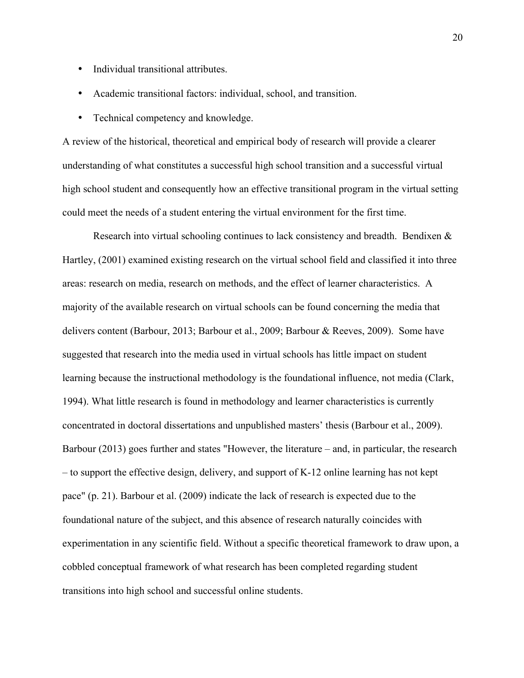- Individual transitional attributes.
- Academic transitional factors: individual, school, and transition.
- Technical competency and knowledge.

A review of the historical, theoretical and empirical body of research will provide a clearer understanding of what constitutes a successful high school transition and a successful virtual high school student and consequently how an effective transitional program in the virtual setting could meet the needs of a student entering the virtual environment for the first time.

Research into virtual schooling continues to lack consistency and breadth. Bendixen & Hartley, (2001) examined existing research on the virtual school field and classified it into three areas: research on media, research on methods, and the effect of learner characteristics. A majority of the available research on virtual schools can be found concerning the media that delivers content (Barbour, 2013; Barbour et al., 2009; Barbour & Reeves, 2009). Some have suggested that research into the media used in virtual schools has little impact on student learning because the instructional methodology is the foundational influence, not media (Clark, 1994). What little research is found in methodology and learner characteristics is currently concentrated in doctoral dissertations and unpublished masters' thesis (Barbour et al., 2009). Barbour (2013) goes further and states "However, the literature – and, in particular, the research – to support the effective design, delivery, and support of K-12 online learning has not kept pace" (p. 21). Barbour et al. (2009) indicate the lack of research is expected due to the foundational nature of the subject, and this absence of research naturally coincides with experimentation in any scientific field. Without a specific theoretical framework to draw upon, a cobbled conceptual framework of what research has been completed regarding student transitions into high school and successful online students.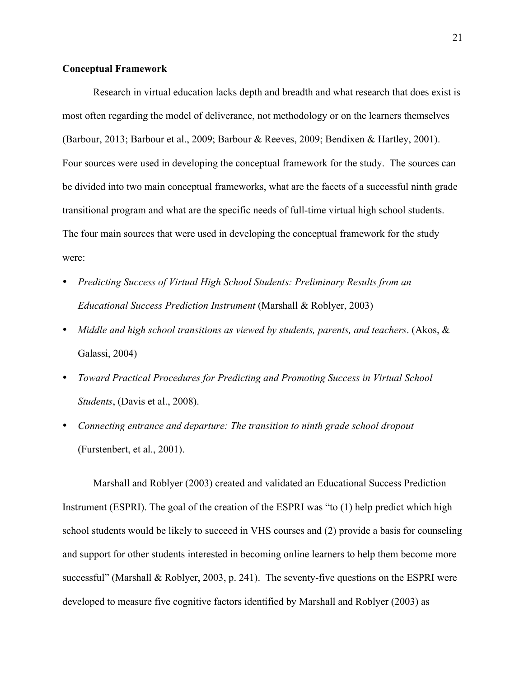#### **Conceptual Framework**

Research in virtual education lacks depth and breadth and what research that does exist is most often regarding the model of deliverance, not methodology or on the learners themselves (Barbour, 2013; Barbour et al., 2009; Barbour & Reeves, 2009; Bendixen & Hartley, 2001). Four sources were used in developing the conceptual framework for the study. The sources can be divided into two main conceptual frameworks, what are the facets of a successful ninth grade transitional program and what are the specific needs of full-time virtual high school students. The four main sources that were used in developing the conceptual framework for the study were:

- *Predicting Success of Virtual High School Students: Preliminary Results from an Educational Success Prediction Instrument* (Marshall & Roblyer, 2003)
- *Middle and high school transitions as viewed by students, parents, and teachers*. (Akos, & Galassi, 2004)
- *Toward Practical Procedures for Predicting and Promoting Success in Virtual School Students*, (Davis et al., 2008).
- *Connecting entrance and departure: The transition to ninth grade school dropout* (Furstenbert, et al., 2001).

Marshall and Roblyer (2003) created and validated an Educational Success Prediction Instrument (ESPRI). The goal of the creation of the ESPRI was "to (1) help predict which high school students would be likely to succeed in VHS courses and (2) provide a basis for counseling and support for other students interested in becoming online learners to help them become more successful" (Marshall & Roblyer, 2003, p. 241). The seventy-five questions on the ESPRI were developed to measure five cognitive factors identified by Marshall and Roblyer (2003) as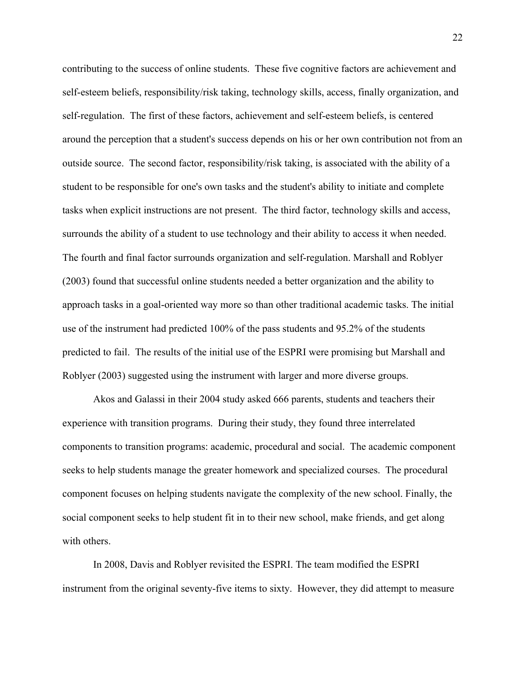contributing to the success of online students. These five cognitive factors are achievement and self-esteem beliefs, responsibility/risk taking, technology skills, access, finally organization, and self-regulation. The first of these factors, achievement and self-esteem beliefs, is centered around the perception that a student's success depends on his or her own contribution not from an outside source. The second factor, responsibility/risk taking, is associated with the ability of a student to be responsible for one's own tasks and the student's ability to initiate and complete tasks when explicit instructions are not present. The third factor, technology skills and access, surrounds the ability of a student to use technology and their ability to access it when needed. The fourth and final factor surrounds organization and self-regulation. Marshall and Roblyer (2003) found that successful online students needed a better organization and the ability to approach tasks in a goal-oriented way more so than other traditional academic tasks. The initial use of the instrument had predicted 100% of the pass students and 95.2% of the students predicted to fail. The results of the initial use of the ESPRI were promising but Marshall and Roblyer (2003) suggested using the instrument with larger and more diverse groups.

Akos and Galassi in their 2004 study asked 666 parents, students and teachers their experience with transition programs. During their study, they found three interrelated components to transition programs: academic, procedural and social. The academic component seeks to help students manage the greater homework and specialized courses. The procedural component focuses on helping students navigate the complexity of the new school. Finally, the social component seeks to help student fit in to their new school, make friends, and get along with others.

In 2008, Davis and Roblyer revisited the ESPRI. The team modified the ESPRI instrument from the original seventy-five items to sixty. However, they did attempt to measure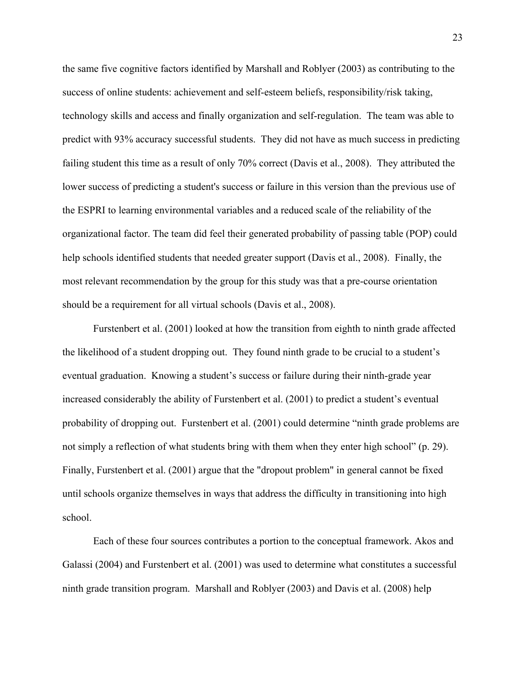the same five cognitive factors identified by Marshall and Roblyer (2003) as contributing to the success of online students: achievement and self-esteem beliefs, responsibility/risk taking, technology skills and access and finally organization and self-regulation. The team was able to predict with 93% accuracy successful students. They did not have as much success in predicting failing student this time as a result of only 70% correct (Davis et al., 2008). They attributed the lower success of predicting a student's success or failure in this version than the previous use of the ESPRI to learning environmental variables and a reduced scale of the reliability of the organizational factor. The team did feel their generated probability of passing table (POP) could help schools identified students that needed greater support (Davis et al., 2008). Finally, the most relevant recommendation by the group for this study was that a pre-course orientation should be a requirement for all virtual schools (Davis et al., 2008).

Furstenbert et al. (2001) looked at how the transition from eighth to ninth grade affected the likelihood of a student dropping out. They found ninth grade to be crucial to a student's eventual graduation. Knowing a student's success or failure during their ninth-grade year increased considerably the ability of Furstenbert et al. (2001) to predict a student's eventual probability of dropping out. Furstenbert et al. (2001) could determine "ninth grade problems are not simply a reflection of what students bring with them when they enter high school" (p. 29). Finally, Furstenbert et al. (2001) argue that the "dropout problem" in general cannot be fixed until schools organize themselves in ways that address the difficulty in transitioning into high school.

Each of these four sources contributes a portion to the conceptual framework. Akos and Galassi (2004) and Furstenbert et al. (2001) was used to determine what constitutes a successful ninth grade transition program. Marshall and Roblyer (2003) and Davis et al. (2008) help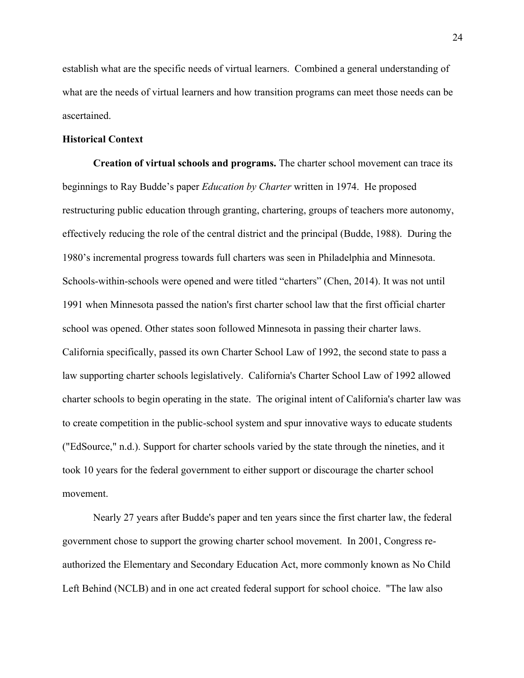establish what are the specific needs of virtual learners. Combined a general understanding of what are the needs of virtual learners and how transition programs can meet those needs can be ascertained.

#### **Historical Context**

**Creation of virtual schools and programs.** The charter school movement can trace its beginnings to Ray Budde's paper *Education by Charter* written in 1974. He proposed restructuring public education through granting, chartering, groups of teachers more autonomy, effectively reducing the role of the central district and the principal (Budde, 1988). During the 1980's incremental progress towards full charters was seen in Philadelphia and Minnesota. Schools-within-schools were opened and were titled "charters" (Chen, 2014). It was not until 1991 when Minnesota passed the nation's first charter school law that the first official charter school was opened. Other states soon followed Minnesota in passing their charter laws. California specifically, passed its own Charter School Law of 1992, the second state to pass a law supporting charter schools legislatively. California's Charter School Law of 1992 allowed charter schools to begin operating in the state. The original intent of California's charter law was to create competition in the public-school system and spur innovative ways to educate students ("EdSource," n.d.). Support for charter schools varied by the state through the nineties, and it took 10 years for the federal government to either support or discourage the charter school movement.

Nearly 27 years after Budde's paper and ten years since the first charter law, the federal government chose to support the growing charter school movement. In 2001, Congress reauthorized the Elementary and Secondary Education Act, more commonly known as No Child Left Behind (NCLB) and in one act created federal support for school choice. "The law also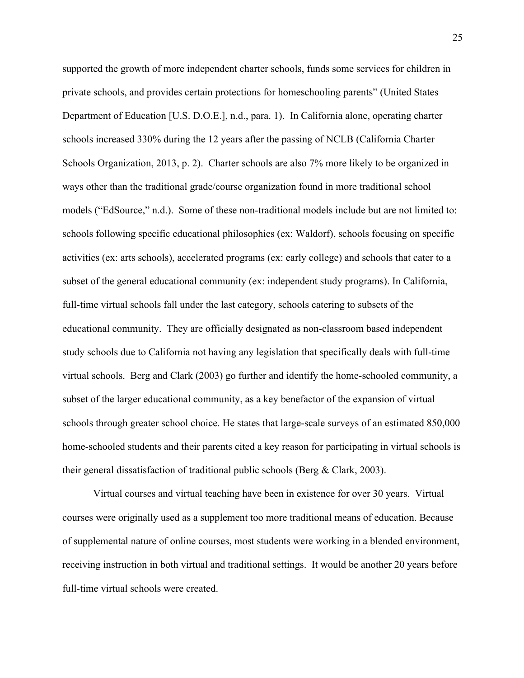supported the growth of more independent charter schools, funds some services for children in private schools, and provides certain protections for homeschooling parents" (United States Department of Education [U.S. D.O.E.], n.d., para. 1). In California alone, operating charter schools increased 330% during the 12 years after the passing of NCLB (California Charter Schools Organization, 2013, p. 2). Charter schools are also 7% more likely to be organized in ways other than the traditional grade/course organization found in more traditional school models ("EdSource," n.d.). Some of these non-traditional models include but are not limited to: schools following specific educational philosophies (ex: Waldorf), schools focusing on specific activities (ex: arts schools), accelerated programs (ex: early college) and schools that cater to a subset of the general educational community (ex: independent study programs). In California, full-time virtual schools fall under the last category, schools catering to subsets of the educational community. They are officially designated as non-classroom based independent study schools due to California not having any legislation that specifically deals with full-time virtual schools. Berg and Clark (2003) go further and identify the home-schooled community, a subset of the larger educational community, as a key benefactor of the expansion of virtual schools through greater school choice. He states that large-scale surveys of an estimated 850,000 home-schooled students and their parents cited a key reason for participating in virtual schools is their general dissatisfaction of traditional public schools (Berg & Clark, 2003).

Virtual courses and virtual teaching have been in existence for over 30 years. Virtual courses were originally used as a supplement too more traditional means of education. Because of supplemental nature of online courses, most students were working in a blended environment, receiving instruction in both virtual and traditional settings. It would be another 20 years before full-time virtual schools were created.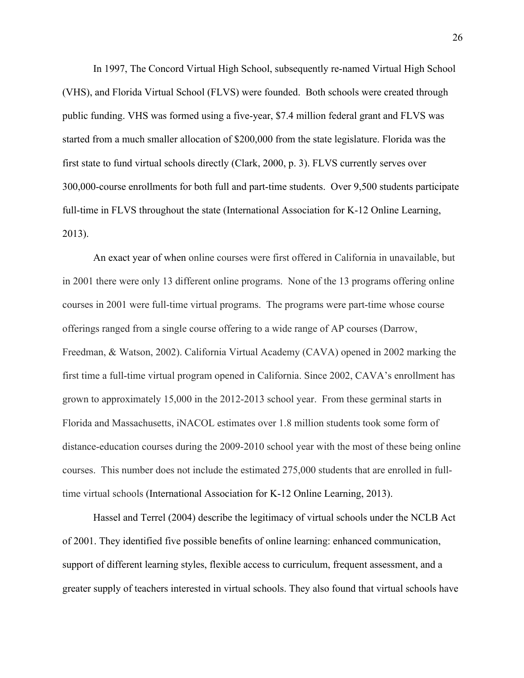In 1997, The Concord Virtual High School, subsequently re-named Virtual High School (VHS), and Florida Virtual School (FLVS) were founded. Both schools were created through public funding. VHS was formed using a five-year, \$7.4 million federal grant and FLVS was started from a much smaller allocation of \$200,000 from the state legislature. Florida was the first state to fund virtual schools directly (Clark, 2000, p. 3). FLVS currently serves over 300,000-course enrollments for both full and part-time students. Over 9,500 students participate full-time in FLVS throughout the state (International Association for K-12 Online Learning, 2013).

An exact year of when online courses were first offered in California in unavailable, but in 2001 there were only 13 different online programs. None of the 13 programs offering online courses in 2001 were full-time virtual programs. The programs were part-time whose course offerings ranged from a single course offering to a wide range of AP courses (Darrow, Freedman, & Watson, 2002). California Virtual Academy (CAVA) opened in 2002 marking the first time a full-time virtual program opened in California. Since 2002, CAVA's enrollment has grown to approximately 15,000 in the 2012-2013 school year. From these germinal starts in Florida and Massachusetts, iNACOL estimates over 1.8 million students took some form of distance-education courses during the 2009-2010 school year with the most of these being online courses. This number does not include the estimated 275,000 students that are enrolled in fulltime virtual schools (International Association for K-12 Online Learning, 2013).

Hassel and Terrel (2004) describe the legitimacy of virtual schools under the NCLB Act of 2001. They identified five possible benefits of online learning: enhanced communication, support of different learning styles, flexible access to curriculum, frequent assessment, and a greater supply of teachers interested in virtual schools. They also found that virtual schools have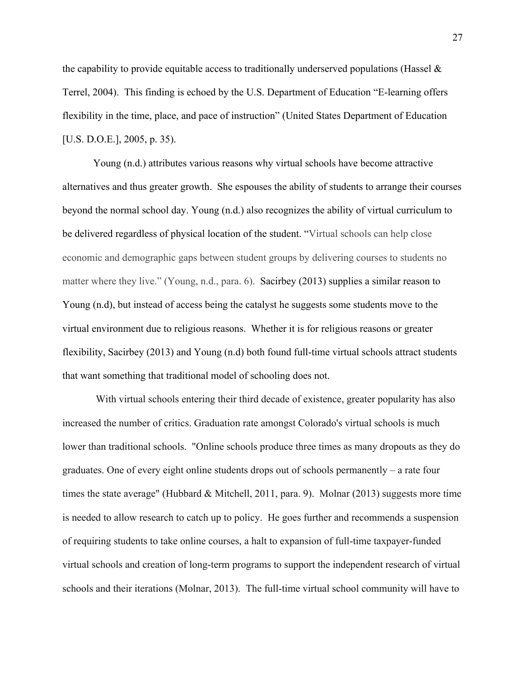the capability to provide equitable access to traditionally underserved populations (Hassel  $\&$ Terrel, 2004). This finding is echoed by the U.S. Department of Education "E-learning offers flexibility in the time, place, and pace of instruction" (United States Department of Education [U.S. D.O.E.], 2005, p. 35).

Young (n.d.) attributes various reasons why virtual schools have become attractive alternatives and thus greater growth. She espouses the ability of students to arrange their courses beyond the normal school day. Young (n.d.) also recognizes the ability of virtual curriculum to be delivered regardless of physical location of the student. "Virtual schools can help close economic and demographic gaps between student groups by delivering courses to students no matter where they live." (Young, n.d., para. 6). Sacirbey (2013) supplies a similar reason to Young (n.d), but instead of access being the catalyst he suggests some students move to the virtual environment due to religious reasons. Whether it is for religious reasons or greater flexibility, Sacirbey (2013) and Young (n.d) both found full-time virtual schools attract students that want something that traditional model of schooling does not.

With virtual schools entering their third decade of existence, greater popularity has also increased the number of critics. Graduation rate amongst Colorado's virtual schools is much lower than traditional schools. "Online schools produce three times as many dropouts as they do graduates. One of every eight online students drops out of schools permanently – a rate four times the state average" (Hubbard & Mitchell, 2011, para. 9). Molnar (2013) suggests more time is needed to allow research to catch up to policy. He goes further and recommends a suspension of requiring students to take online courses, a halt to expansion of full-time taxpayer-funded virtual schools and creation of long-term programs to support the independent research of virtual schools and their iterations (Molnar, 2013). The full-time virtual school community will have to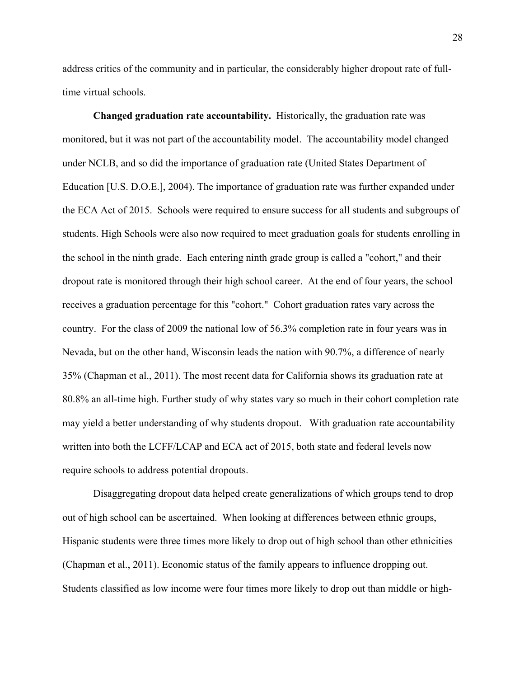address critics of the community and in particular, the considerably higher dropout rate of fulltime virtual schools.

**Changed graduation rate accountability.** Historically, the graduation rate was monitored, but it was not part of the accountability model. The accountability model changed under NCLB, and so did the importance of graduation rate (United States Department of Education [U.S. D.O.E.], 2004). The importance of graduation rate was further expanded under the ECA Act of 2015. Schools were required to ensure success for all students and subgroups of students. High Schools were also now required to meet graduation goals for students enrolling in the school in the ninth grade. Each entering ninth grade group is called a "cohort," and their dropout rate is monitored through their high school career. At the end of four years, the school receives a graduation percentage for this "cohort." Cohort graduation rates vary across the country. For the class of 2009 the national low of 56.3% completion rate in four years was in Nevada, but on the other hand, Wisconsin leads the nation with 90.7%, a difference of nearly 35% (Chapman et al., 2011). The most recent data for California shows its graduation rate at 80.8% an all-time high. Further study of why states vary so much in their cohort completion rate may yield a better understanding of why students dropout. With graduation rate accountability written into both the LCFF/LCAP and ECA act of 2015, both state and federal levels now require schools to address potential dropouts.

Disaggregating dropout data helped create generalizations of which groups tend to drop out of high school can be ascertained. When looking at differences between ethnic groups, Hispanic students were three times more likely to drop out of high school than other ethnicities (Chapman et al., 2011). Economic status of the family appears to influence dropping out. Students classified as low income were four times more likely to drop out than middle or high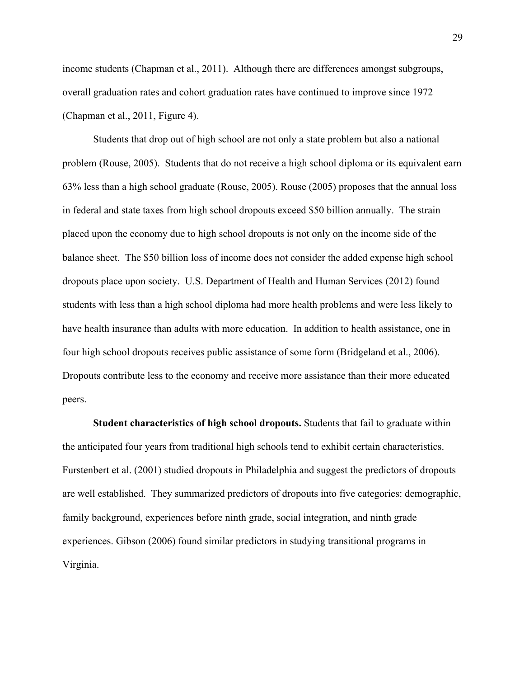income students (Chapman et al., 2011). Although there are differences amongst subgroups, overall graduation rates and cohort graduation rates have continued to improve since 1972 (Chapman et al., 2011, Figure 4).

Students that drop out of high school are not only a state problem but also a national problem (Rouse, 2005). Students that do not receive a high school diploma or its equivalent earn 63% less than a high school graduate (Rouse, 2005). Rouse (2005) proposes that the annual loss in federal and state taxes from high school dropouts exceed \$50 billion annually. The strain placed upon the economy due to high school dropouts is not only on the income side of the balance sheet. The \$50 billion loss of income does not consider the added expense high school dropouts place upon society. U.S. Department of Health and Human Services (2012) found students with less than a high school diploma had more health problems and were less likely to have health insurance than adults with more education. In addition to health assistance, one in four high school dropouts receives public assistance of some form (Bridgeland et al., 2006). Dropouts contribute less to the economy and receive more assistance than their more educated peers.

**Student characteristics of high school dropouts.** Students that fail to graduate within the anticipated four years from traditional high schools tend to exhibit certain characteristics. Furstenbert et al. (2001) studied dropouts in Philadelphia and suggest the predictors of dropouts are well established. They summarized predictors of dropouts into five categories: demographic, family background, experiences before ninth grade, social integration, and ninth grade experiences. Gibson (2006) found similar predictors in studying transitional programs in Virginia.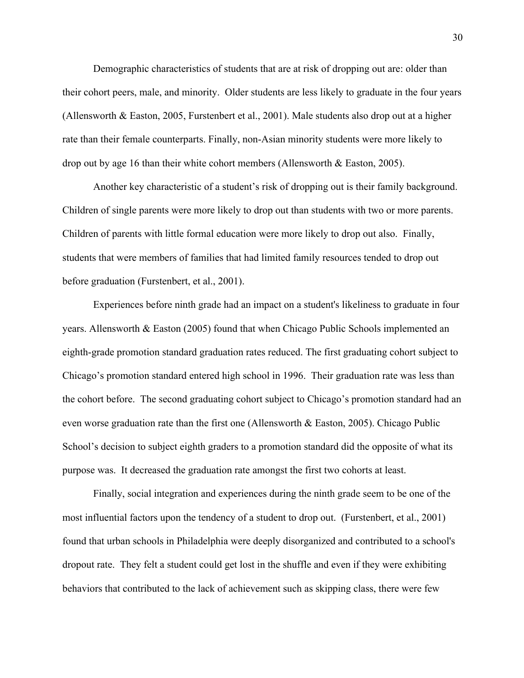Demographic characteristics of students that are at risk of dropping out are: older than their cohort peers, male, and minority. Older students are less likely to graduate in the four years (Allensworth & Easton, 2005, Furstenbert et al., 2001). Male students also drop out at a higher rate than their female counterparts. Finally, non-Asian minority students were more likely to drop out by age 16 than their white cohort members (Allensworth & Easton, 2005).

Another key characteristic of a student's risk of dropping out is their family background. Children of single parents were more likely to drop out than students with two or more parents. Children of parents with little formal education were more likely to drop out also. Finally, students that were members of families that had limited family resources tended to drop out before graduation (Furstenbert, et al., 2001).

Experiences before ninth grade had an impact on a student's likeliness to graduate in four years. Allensworth & Easton (2005) found that when Chicago Public Schools implemented an eighth-grade promotion standard graduation rates reduced. The first graduating cohort subject to Chicago's promotion standard entered high school in 1996. Their graduation rate was less than the cohort before. The second graduating cohort subject to Chicago's promotion standard had an even worse graduation rate than the first one (Allensworth & Easton, 2005). Chicago Public School's decision to subject eighth graders to a promotion standard did the opposite of what its purpose was. It decreased the graduation rate amongst the first two cohorts at least.

Finally, social integration and experiences during the ninth grade seem to be one of the most influential factors upon the tendency of a student to drop out. (Furstenbert, et al., 2001) found that urban schools in Philadelphia were deeply disorganized and contributed to a school's dropout rate. They felt a student could get lost in the shuffle and even if they were exhibiting behaviors that contributed to the lack of achievement such as skipping class, there were few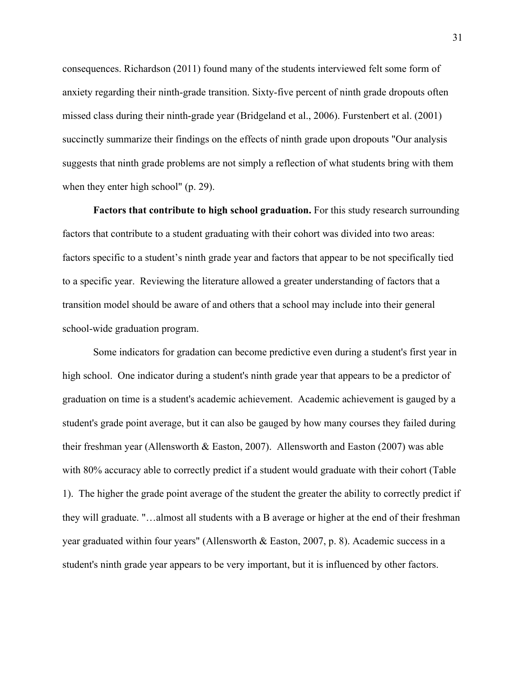consequences. Richardson (2011) found many of the students interviewed felt some form of anxiety regarding their ninth-grade transition. Sixty-five percent of ninth grade dropouts often missed class during their ninth-grade year (Bridgeland et al., 2006). Furstenbert et al. (2001) succinctly summarize their findings on the effects of ninth grade upon dropouts "Our analysis suggests that ninth grade problems are not simply a reflection of what students bring with them when they enter high school" (p. 29).

**Factors that contribute to high school graduation.** For this study research surrounding factors that contribute to a student graduating with their cohort was divided into two areas: factors specific to a student's ninth grade year and factors that appear to be not specifically tied to a specific year. Reviewing the literature allowed a greater understanding of factors that a transition model should be aware of and others that a school may include into their general school-wide graduation program.

Some indicators for gradation can become predictive even during a student's first year in high school. One indicator during a student's ninth grade year that appears to be a predictor of graduation on time is a student's academic achievement. Academic achievement is gauged by a student's grade point average, but it can also be gauged by how many courses they failed during their freshman year (Allensworth & Easton, 2007). Allensworth and Easton (2007) was able with 80% accuracy able to correctly predict if a student would graduate with their cohort (Table 1). The higher the grade point average of the student the greater the ability to correctly predict if they will graduate. "…almost all students with a B average or higher at the end of their freshman year graduated within four years" (Allensworth & Easton, 2007, p. 8). Academic success in a student's ninth grade year appears to be very important, but it is influenced by other factors.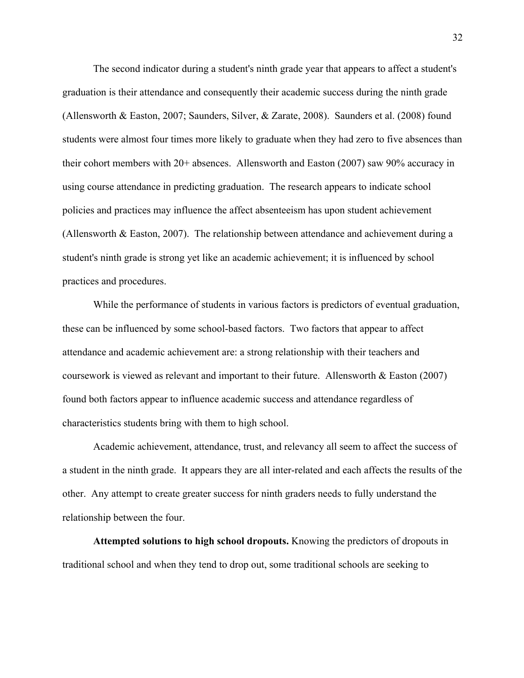The second indicator during a student's ninth grade year that appears to affect a student's graduation is their attendance and consequently their academic success during the ninth grade (Allensworth & Easton, 2007; Saunders, Silver, & Zarate, 2008). Saunders et al. (2008) found students were almost four times more likely to graduate when they had zero to five absences than their cohort members with 20+ absences. Allensworth and Easton (2007) saw 90% accuracy in using course attendance in predicting graduation. The research appears to indicate school policies and practices may influence the affect absenteeism has upon student achievement (Allensworth & Easton, 2007). The relationship between attendance and achievement during a student's ninth grade is strong yet like an academic achievement; it is influenced by school practices and procedures.

While the performance of students in various factors is predictors of eventual graduation, these can be influenced by some school-based factors. Two factors that appear to affect attendance and academic achievement are: a strong relationship with their teachers and coursework is viewed as relevant and important to their future. Allensworth & Easton (2007) found both factors appear to influence academic success and attendance regardless of characteristics students bring with them to high school.

Academic achievement, attendance, trust, and relevancy all seem to affect the success of a student in the ninth grade. It appears they are all inter-related and each affects the results of the other. Any attempt to create greater success for ninth graders needs to fully understand the relationship between the four.

**Attempted solutions to high school dropouts.** Knowing the predictors of dropouts in traditional school and when they tend to drop out, some traditional schools are seeking to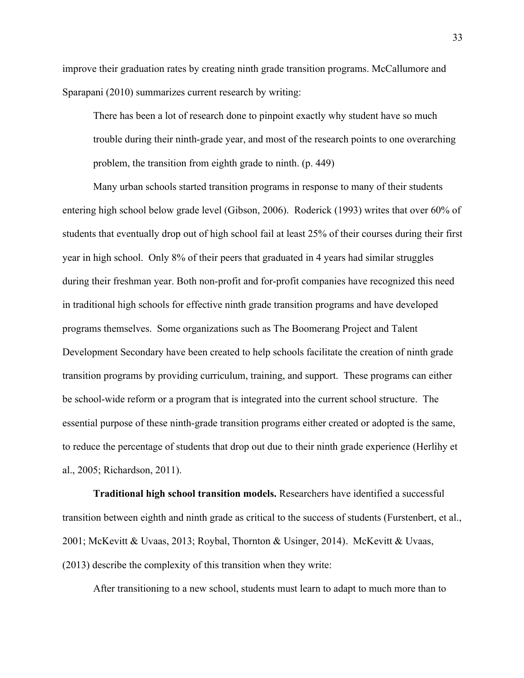improve their graduation rates by creating ninth grade transition programs. McCallumore and Sparapani (2010) summarizes current research by writing:

There has been a lot of research done to pinpoint exactly why student have so much trouble during their ninth-grade year, and most of the research points to one overarching problem, the transition from eighth grade to ninth. (p. 449)

Many urban schools started transition programs in response to many of their students entering high school below grade level (Gibson, 2006). Roderick (1993) writes that over 60% of students that eventually drop out of high school fail at least 25% of their courses during their first year in high school. Only 8% of their peers that graduated in 4 years had similar struggles during their freshman year. Both non-profit and for-profit companies have recognized this need in traditional high schools for effective ninth grade transition programs and have developed programs themselves. Some organizations such as The Boomerang Project and Talent Development Secondary have been created to help schools facilitate the creation of ninth grade transition programs by providing curriculum, training, and support. These programs can either be school-wide reform or a program that is integrated into the current school structure. The essential purpose of these ninth-grade transition programs either created or adopted is the same, to reduce the percentage of students that drop out due to their ninth grade experience (Herlihy et al., 2005; Richardson, 2011).

**Traditional high school transition models.** Researchers have identified a successful transition between eighth and ninth grade as critical to the success of students (Furstenbert, et al., 2001; McKevitt & Uvaas, 2013; Roybal, Thornton & Usinger, 2014). McKevitt & Uvaas, (2013) describe the complexity of this transition when they write:

After transitioning to a new school, students must learn to adapt to much more than to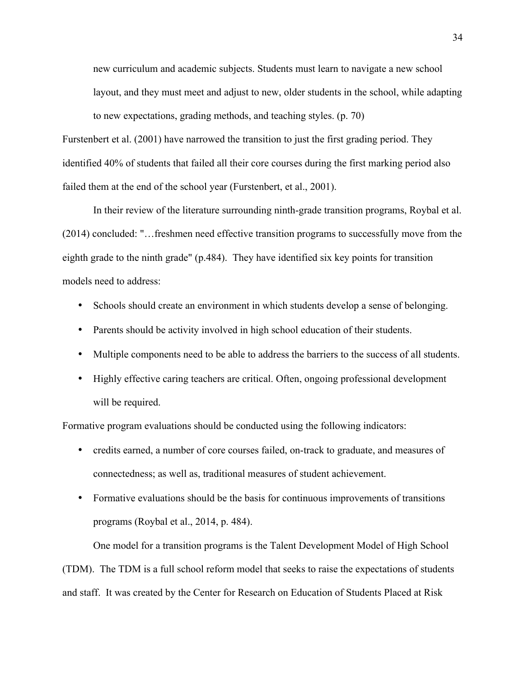new curriculum and academic subjects. Students must learn to navigate a new school layout, and they must meet and adjust to new, older students in the school, while adapting to new expectations, grading methods, and teaching styles. (p. 70)

Furstenbert et al. (2001) have narrowed the transition to just the first grading period. They identified 40% of students that failed all their core courses during the first marking period also failed them at the end of the school year (Furstenbert, et al., 2001).

In their review of the literature surrounding ninth-grade transition programs, Roybal et al. (2014) concluded: "…freshmen need effective transition programs to successfully move from the eighth grade to the ninth grade" (p.484). They have identified six key points for transition models need to address:

- Schools should create an environment in which students develop a sense of belonging.
- Parents should be activity involved in high school education of their students.
- Multiple components need to be able to address the barriers to the success of all students.
- Highly effective caring teachers are critical. Often, ongoing professional development will be required.

Formative program evaluations should be conducted using the following indicators:

- credits earned, a number of core courses failed, on-track to graduate, and measures of connectedness; as well as, traditional measures of student achievement.
- Formative evaluations should be the basis for continuous improvements of transitions programs (Roybal et al., 2014, p. 484).

One model for a transition programs is the Talent Development Model of High School (TDM). The TDM is a full school reform model that seeks to raise the expectations of students and staff. It was created by the Center for Research on Education of Students Placed at Risk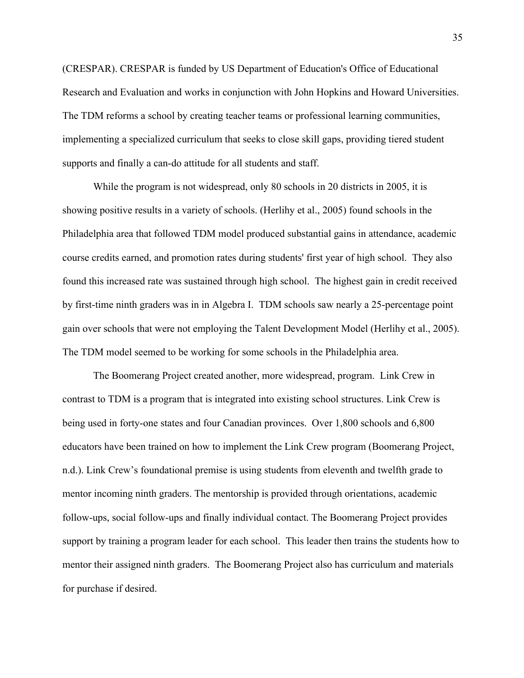(CRESPAR). CRESPAR is funded by US Department of Education's Office of Educational Research and Evaluation and works in conjunction with John Hopkins and Howard Universities. The TDM reforms a school by creating teacher teams or professional learning communities, implementing a specialized curriculum that seeks to close skill gaps, providing tiered student supports and finally a can-do attitude for all students and staff.

While the program is not widespread, only 80 schools in 20 districts in 2005, it is showing positive results in a variety of schools. (Herlihy et al., 2005) found schools in the Philadelphia area that followed TDM model produced substantial gains in attendance, academic course credits earned, and promotion rates during students' first year of high school. They also found this increased rate was sustained through high school. The highest gain in credit received by first-time ninth graders was in in Algebra I. TDM schools saw nearly a 25-percentage point gain over schools that were not employing the Talent Development Model (Herlihy et al., 2005). The TDM model seemed to be working for some schools in the Philadelphia area.

The Boomerang Project created another, more widespread, program. Link Crew in contrast to TDM is a program that is integrated into existing school structures. Link Crew is being used in forty-one states and four Canadian provinces. Over 1,800 schools and 6,800 educators have been trained on how to implement the Link Crew program (Boomerang Project, n.d.). Link Crew's foundational premise is using students from eleventh and twelfth grade to mentor incoming ninth graders. The mentorship is provided through orientations, academic follow-ups, social follow-ups and finally individual contact. The Boomerang Project provides support by training a program leader for each school. This leader then trains the students how to mentor their assigned ninth graders. The Boomerang Project also has curriculum and materials for purchase if desired.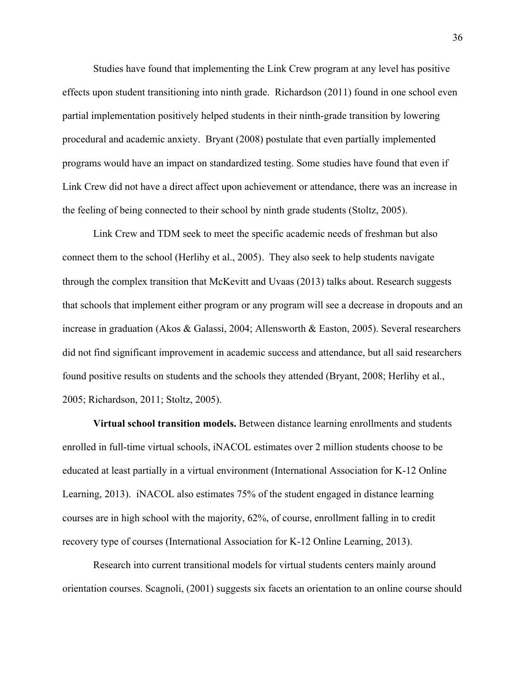Studies have found that implementing the Link Crew program at any level has positive effects upon student transitioning into ninth grade. Richardson (2011) found in one school even partial implementation positively helped students in their ninth-grade transition by lowering procedural and academic anxiety. Bryant (2008) postulate that even partially implemented programs would have an impact on standardized testing. Some studies have found that even if Link Crew did not have a direct affect upon achievement or attendance, there was an increase in the feeling of being connected to their school by ninth grade students (Stoltz, 2005).

Link Crew and TDM seek to meet the specific academic needs of freshman but also connect them to the school (Herlihy et al., 2005). They also seek to help students navigate through the complex transition that McKevitt and Uvaas (2013) talks about. Research suggests that schools that implement either program or any program will see a decrease in dropouts and an increase in graduation (Akos & Galassi, 2004; Allensworth & Easton, 2005). Several researchers did not find significant improvement in academic success and attendance, but all said researchers found positive results on students and the schools they attended (Bryant, 2008; Herlihy et al., 2005; Richardson, 2011; Stoltz, 2005).

**Virtual school transition models.** Between distance learning enrollments and students enrolled in full-time virtual schools, iNACOL estimates over 2 million students choose to be educated at least partially in a virtual environment (International Association for K-12 Online Learning, 2013).iNACOL also estimates 75% of the student engaged in distance learning courses are in high school with the majority, 62%, of course, enrollment falling in to credit recovery type of courses (International Association for K-12 Online Learning, 2013).

Research into current transitional models for virtual students centers mainly around orientation courses. Scagnoli, (2001) suggests six facets an orientation to an online course should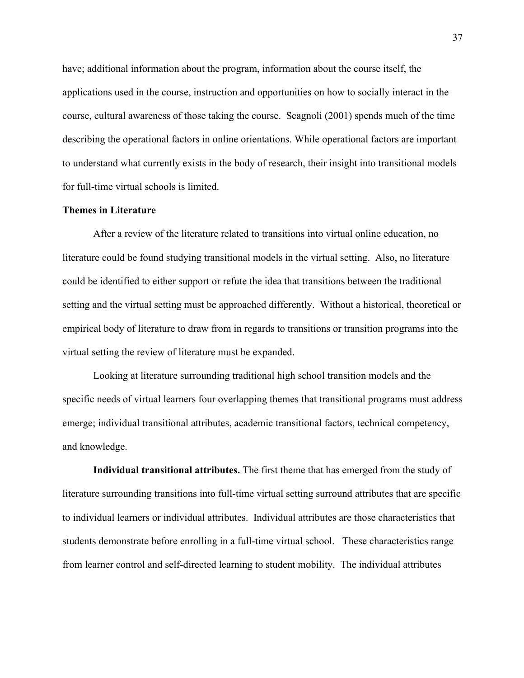have; additional information about the program, information about the course itself, the applications used in the course, instruction and opportunities on how to socially interact in the course, cultural awareness of those taking the course. Scagnoli (2001) spends much of the time describing the operational factors in online orientations. While operational factors are important to understand what currently exists in the body of research, their insight into transitional models for full-time virtual schools is limited.

#### **Themes in Literature**

After a review of the literature related to transitions into virtual online education, no literature could be found studying transitional models in the virtual setting. Also, no literature could be identified to either support or refute the idea that transitions between the traditional setting and the virtual setting must be approached differently. Without a historical, theoretical or empirical body of literature to draw from in regards to transitions or transition programs into the virtual setting the review of literature must be expanded.

Looking at literature surrounding traditional high school transition models and the specific needs of virtual learners four overlapping themes that transitional programs must address emerge; individual transitional attributes, academic transitional factors, technical competency, and knowledge.

**Individual transitional attributes.** The first theme that has emerged from the study of literature surrounding transitions into full-time virtual setting surround attributes that are specific to individual learners or individual attributes. Individual attributes are those characteristics that students demonstrate before enrolling in a full-time virtual school. These characteristics range from learner control and self-directed learning to student mobility. The individual attributes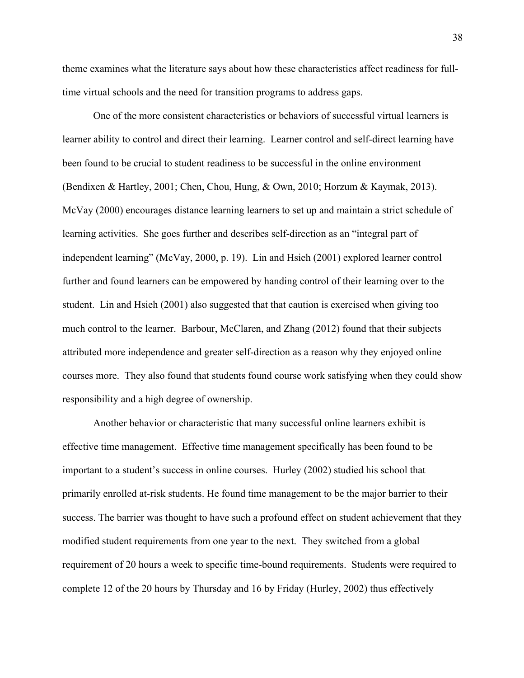theme examines what the literature says about how these characteristics affect readiness for fulltime virtual schools and the need for transition programs to address gaps.

One of the more consistent characteristics or behaviors of successful virtual learners is learner ability to control and direct their learning. Learner control and self-direct learning have been found to be crucial to student readiness to be successful in the online environment (Bendixen & Hartley, 2001; Chen, Chou, Hung, & Own, 2010; Horzum & Kaymak, 2013). McVay (2000) encourages distance learning learners to set up and maintain a strict schedule of learning activities. She goes further and describes self-direction as an "integral part of independent learning" (McVay, 2000, p. 19). Lin and Hsieh (2001) explored learner control further and found learners can be empowered by handing control of their learning over to the student. Lin and Hsieh (2001) also suggested that that caution is exercised when giving too much control to the learner. Barbour, McClaren, and Zhang (2012) found that their subjects attributed more independence and greater self-direction as a reason why they enjoyed online courses more. They also found that students found course work satisfying when they could show responsibility and a high degree of ownership.

Another behavior or characteristic that many successful online learners exhibit is effective time management. Effective time management specifically has been found to be important to a student's success in online courses. Hurley (2002) studied his school that primarily enrolled at-risk students. He found time management to be the major barrier to their success. The barrier was thought to have such a profound effect on student achievement that they modified student requirements from one year to the next. They switched from a global requirement of 20 hours a week to specific time-bound requirements. Students were required to complete 12 of the 20 hours by Thursday and 16 by Friday (Hurley, 2002) thus effectively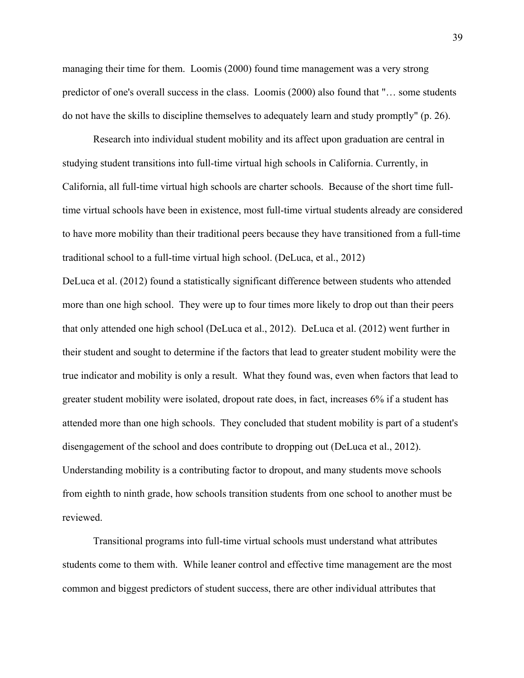managing their time for them. Loomis (2000) found time management was a very strong predictor of one's overall success in the class. Loomis (2000) also found that "… some students do not have the skills to discipline themselves to adequately learn and study promptly" (p. 26).

Research into individual student mobility and its affect upon graduation are central in studying student transitions into full-time virtual high schools in California. Currently, in California, all full-time virtual high schools are charter schools. Because of the short time fulltime virtual schools have been in existence, most full-time virtual students already are considered to have more mobility than their traditional peers because they have transitioned from a full-time traditional school to a full-time virtual high school. (DeLuca, et al., 2012)

DeLuca et al. (2012) found a statistically significant difference between students who attended more than one high school. They were up to four times more likely to drop out than their peers that only attended one high school (DeLuca et al., 2012). DeLuca et al. (2012) went further in their student and sought to determine if the factors that lead to greater student mobility were the true indicator and mobility is only a result. What they found was, even when factors that lead to greater student mobility were isolated, dropout rate does, in fact, increases 6% if a student has attended more than one high schools. They concluded that student mobility is part of a student's disengagement of the school and does contribute to dropping out (DeLuca et al., 2012). Understanding mobility is a contributing factor to dropout, and many students move schools from eighth to ninth grade, how schools transition students from one school to another must be reviewed.

Transitional programs into full-time virtual schools must understand what attributes students come to them with. While leaner control and effective time management are the most common and biggest predictors of student success, there are other individual attributes that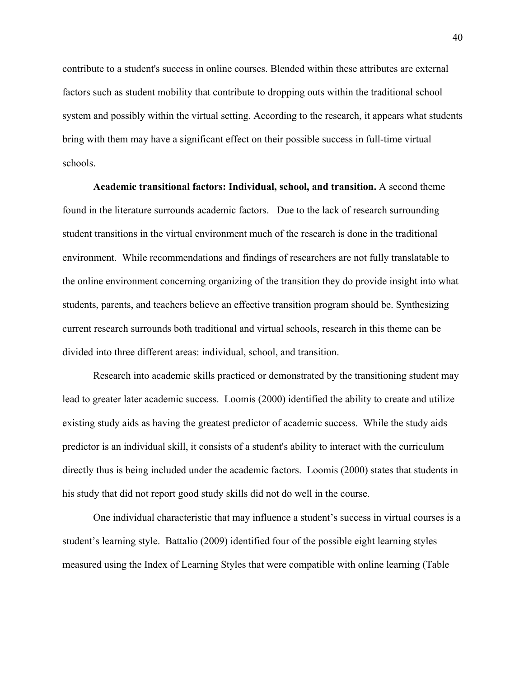contribute to a student's success in online courses. Blended within these attributes are external factors such as student mobility that contribute to dropping outs within the traditional school system and possibly within the virtual setting. According to the research, it appears what students bring with them may have a significant effect on their possible success in full-time virtual schools.

**Academic transitional factors: Individual, school, and transition.** A second theme found in the literature surrounds academic factors. Due to the lack of research surrounding student transitions in the virtual environment much of the research is done in the traditional environment. While recommendations and findings of researchers are not fully translatable to the online environment concerning organizing of the transition they do provide insight into what students, parents, and teachers believe an effective transition program should be. Synthesizing current research surrounds both traditional and virtual schools, research in this theme can be divided into three different areas: individual, school, and transition.

Research into academic skills practiced or demonstrated by the transitioning student may lead to greater later academic success. Loomis (2000) identified the ability to create and utilize existing study aids as having the greatest predictor of academic success. While the study aids predictor is an individual skill, it consists of a student's ability to interact with the curriculum directly thus is being included under the academic factors. Loomis (2000) states that students in his study that did not report good study skills did not do well in the course.

One individual characteristic that may influence a student's success in virtual courses is a student's learning style. Battalio (2009) identified four of the possible eight learning styles measured using the Index of Learning Styles that were compatible with online learning (Table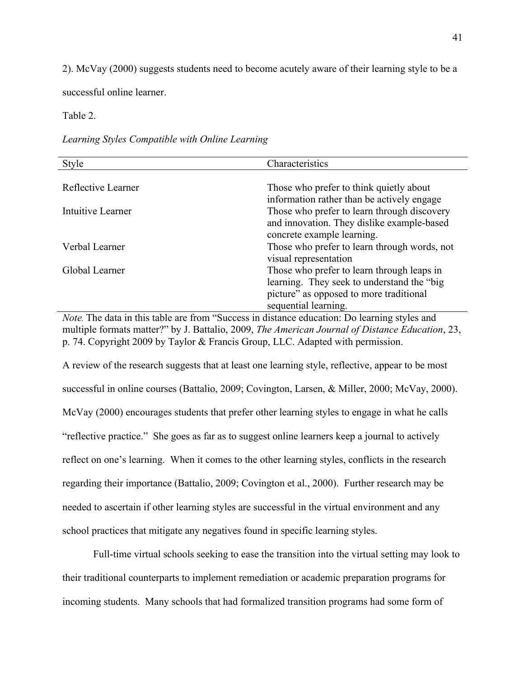2). McVay (2000) suggests students need to become acutely aware of their learning style to be a

successful online learner.

#### Table 2.

|  |  | Learning Styles Compatible with Online Learning |  |
|--|--|-------------------------------------------------|--|
|--|--|-------------------------------------------------|--|

| Style              | Characteristics                              |
|--------------------|----------------------------------------------|
|                    |                                              |
| Reflective Learner | Those who prefer to think quietly about      |
|                    | information rather than be actively engage   |
| Intuitive Learner  | Those who prefer to learn through discovery  |
|                    | and innovation. They dislike example-based   |
|                    | concrete example learning.                   |
| Verbal Learner     | Those who prefer to learn through words, not |
|                    | visual representation                        |
| Global Learner     | Those who prefer to learn through leaps in   |
|                    | learning. They seek to understand the "big"  |
|                    | picture" as opposed to more traditional      |
|                    | sequential learning.                         |

*Note.* The data in this table are from "Success in distance education: Do learning styles and multiple formats matter?" by J. Battalio, 2009, *The American Journal of Distance Education*, 23, p. 74. Copyright 2009 by Taylor & Francis Group, LLC. Adapted with permission.

A review of the research suggests that at least one learning style, reflective, appear to be most successful in online courses (Battalio, 2009; Covington, Larsen, & Miller, 2000; McVay, 2000). McVay (2000) encourages students that prefer other learning styles to engage in what he calls "reflective practice." She goes as far as to suggest online learners keep a journal to actively reflect on one's learning. When it comes to the other learning styles, conflicts in the research regarding their importance (Battalio, 2009; Covington et al., 2000). Further research may be needed to ascertain if other learning styles are successful in the virtual environment and any school practices that mitigate any negatives found in specific learning styles.

Full-time virtual schools seeking to ease the transition into the virtual setting may look to their traditional counterparts to implement remediation or academic preparation programs for incoming students. Many schools that had formalized transition programs had some form of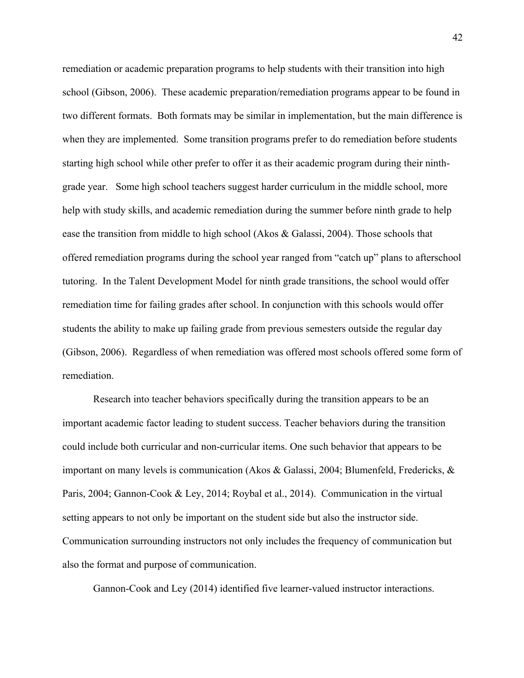remediation or academic preparation programs to help students with their transition into high school (Gibson, 2006). These academic preparation/remediation programs appear to be found in two different formats. Both formats may be similar in implementation, but the main difference is when they are implemented. Some transition programs prefer to do remediation before students starting high school while other prefer to offer it as their academic program during their ninthgrade year. Some high school teachers suggest harder curriculum in the middle school, more help with study skills, and academic remediation during the summer before ninth grade to help ease the transition from middle to high school (Akos & Galassi, 2004). Those schools that offered remediation programs during the school year ranged from "catch up" plans to afterschool tutoring. In the Talent Development Model for ninth grade transitions, the school would offer remediation time for failing grades after school. In conjunction with this schools would offer students the ability to make up failing grade from previous semesters outside the regular day (Gibson, 2006). Regardless of when remediation was offered most schools offered some form of remediation.

Research into teacher behaviors specifically during the transition appears to be an important academic factor leading to student success. Teacher behaviors during the transition could include both curricular and non-curricular items. One such behavior that appears to be important on many levels is communication (Akos & Galassi, 2004; Blumenfeld, Fredericks, & Paris, 2004; Gannon-Cook & Ley, 2014; Roybal et al., 2014). Communication in the virtual setting appears to not only be important on the student side but also the instructor side. Communication surrounding instructors not only includes the frequency of communication but also the format and purpose of communication.

Gannon-Cook and Ley (2014) identified five learner-valued instructor interactions.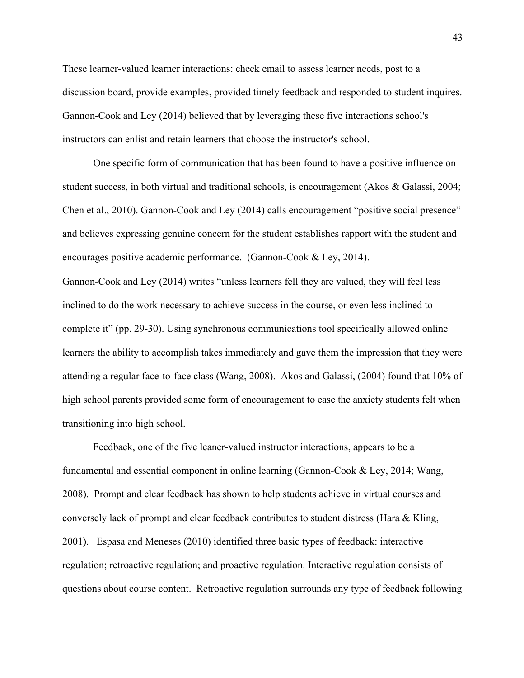These learner-valued learner interactions: check email to assess learner needs, post to a discussion board, provide examples, provided timely feedback and responded to student inquires. Gannon-Cook and Ley (2014) believed that by leveraging these five interactions school's instructors can enlist and retain learners that choose the instructor's school.

One specific form of communication that has been found to have a positive influence on student success, in both virtual and traditional schools, is encouragement (Akos & Galassi, 2004; Chen et al., 2010). Gannon-Cook and Ley (2014) calls encouragement "positive social presence" and believes expressing genuine concern for the student establishes rapport with the student and encourages positive academic performance. (Gannon-Cook & Ley, 2014).

Gannon-Cook and Ley (2014) writes "unless learners fell they are valued, they will feel less inclined to do the work necessary to achieve success in the course, or even less inclined to complete it" (pp. 29-30). Using synchronous communications tool specifically allowed online learners the ability to accomplish takes immediately and gave them the impression that they were attending a regular face-to-face class (Wang, 2008). Akos and Galassi, (2004) found that 10% of high school parents provided some form of encouragement to ease the anxiety students felt when transitioning into high school.

Feedback, one of the five leaner-valued instructor interactions, appears to be a fundamental and essential component in online learning (Gannon-Cook & Ley, 2014; Wang, 2008). Prompt and clear feedback has shown to help students achieve in virtual courses and conversely lack of prompt and clear feedback contributes to student distress (Hara & Kling, 2001). Espasa and Meneses (2010) identified three basic types of feedback: interactive regulation; retroactive regulation; and proactive regulation. Interactive regulation consists of questions about course content. Retroactive regulation surrounds any type of feedback following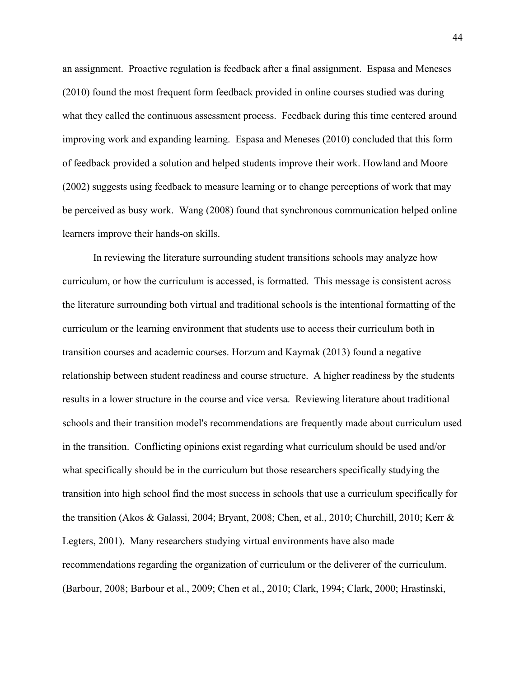an assignment. Proactive regulation is feedback after a final assignment. Espasa and Meneses (2010) found the most frequent form feedback provided in online courses studied was during what they called the continuous assessment process. Feedback during this time centered around improving work and expanding learning. Espasa and Meneses (2010) concluded that this form of feedback provided a solution and helped students improve their work. Howland and Moore (2002) suggests using feedback to measure learning or to change perceptions of work that may be perceived as busy work. Wang (2008) found that synchronous communication helped online learners improve their hands-on skills.

In reviewing the literature surrounding student transitions schools may analyze how curriculum, or how the curriculum is accessed, is formatted. This message is consistent across the literature surrounding both virtual and traditional schools is the intentional formatting of the curriculum or the learning environment that students use to access their curriculum both in transition courses and academic courses. Horzum and Kaymak (2013) found a negative relationship between student readiness and course structure. A higher readiness by the students results in a lower structure in the course and vice versa. Reviewing literature about traditional schools and their transition model's recommendations are frequently made about curriculum used in the transition. Conflicting opinions exist regarding what curriculum should be used and/or what specifically should be in the curriculum but those researchers specifically studying the transition into high school find the most success in schools that use a curriculum specifically for the transition (Akos & Galassi, 2004; Bryant, 2008; Chen, et al., 2010; Churchill, 2010; Kerr & Legters, 2001). Many researchers studying virtual environments have also made recommendations regarding the organization of curriculum or the deliverer of the curriculum. (Barbour, 2008; Barbour et al., 2009; Chen et al., 2010; Clark, 1994; Clark, 2000; Hrastinski,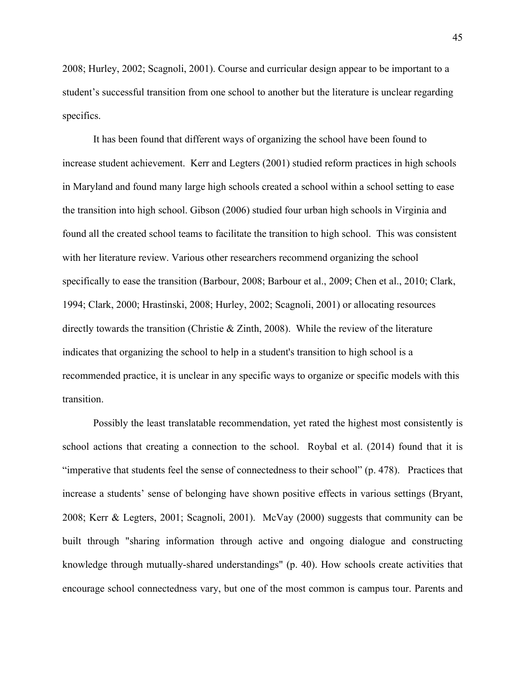2008; Hurley, 2002; Scagnoli, 2001). Course and curricular design appear to be important to a student's successful transition from one school to another but the literature is unclear regarding specifics.

It has been found that different ways of organizing the school have been found to increase student achievement. Kerr and Legters (2001) studied reform practices in high schools in Maryland and found many large high schools created a school within a school setting to ease the transition into high school. Gibson (2006) studied four urban high schools in Virginia and found all the created school teams to facilitate the transition to high school. This was consistent with her literature review. Various other researchers recommend organizing the school specifically to ease the transition (Barbour, 2008; Barbour et al., 2009; Chen et al., 2010; Clark, 1994; Clark, 2000; Hrastinski, 2008; Hurley, 2002; Scagnoli, 2001) or allocating resources directly towards the transition (Christie & Zinth, 2008). While the review of the literature indicates that organizing the school to help in a student's transition to high school is a recommended practice, it is unclear in any specific ways to organize or specific models with this transition.

Possibly the least translatable recommendation, yet rated the highest most consistently is school actions that creating a connection to the school. Roybal et al. (2014) found that it is "imperative that students feel the sense of connectedness to their school" (p. 478). Practices that increase a students' sense of belonging have shown positive effects in various settings (Bryant, 2008; Kerr & Legters, 2001; Scagnoli, 2001). McVay (2000) suggests that community can be built through "sharing information through active and ongoing dialogue and constructing knowledge through mutually-shared understandings" (p. 40). How schools create activities that encourage school connectedness vary, but one of the most common is campus tour. Parents and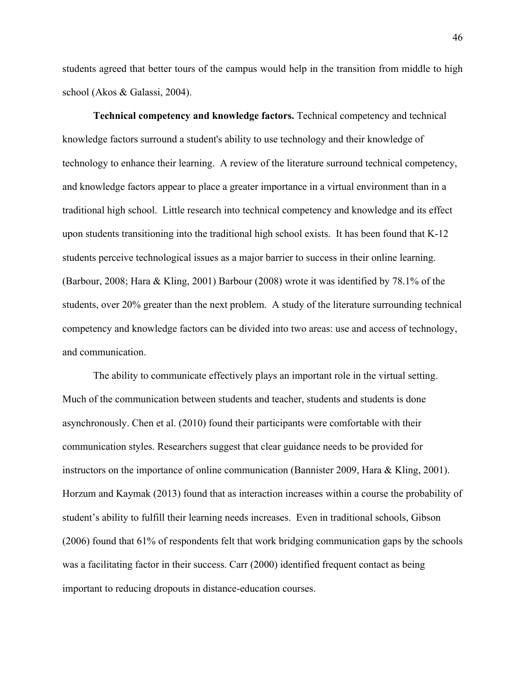students agreed that better tours of the campus would help in the transition from middle to high school (Akos & Galassi, 2004).

**Technical competency and knowledge factors.** Technical competency and technical knowledge factors surround a student's ability to use technology and their knowledge of technology to enhance their learning. A review of the literature surround technical competency, and knowledge factors appear to place a greater importance in a virtual environment than in a traditional high school. Little research into technical competency and knowledge and its effect upon students transitioning into the traditional high school exists. It has been found that K-12 students perceive technological issues as a major barrier to success in their online learning. (Barbour, 2008; Hara & Kling, 2001) Barbour (2008) wrote it was identified by 78.1% of the students, over 20% greater than the next problem. A study of the literature surrounding technical competency and knowledge factors can be divided into two areas: use and access of technology, and communication.

The ability to communicate effectively plays an important role in the virtual setting. Much of the communication between students and teacher, students and students is done asynchronously. Chen et al. (2010) found their participants were comfortable with their communication styles. Researchers suggest that clear guidance needs to be provided for instructors on the importance of online communication (Bannister 2009, Hara & Kling, 2001). Horzum and Kaymak (2013) found that as interaction increases within a course the probability of student's ability to fulfill their learning needs increases. Even in traditional schools, Gibson (2006) found that 61% of respondents felt that work bridging communication gaps by the schools was a facilitating factor in their success. Carr (2000) identified frequent contact as being important to reducing dropouts in distance-education courses.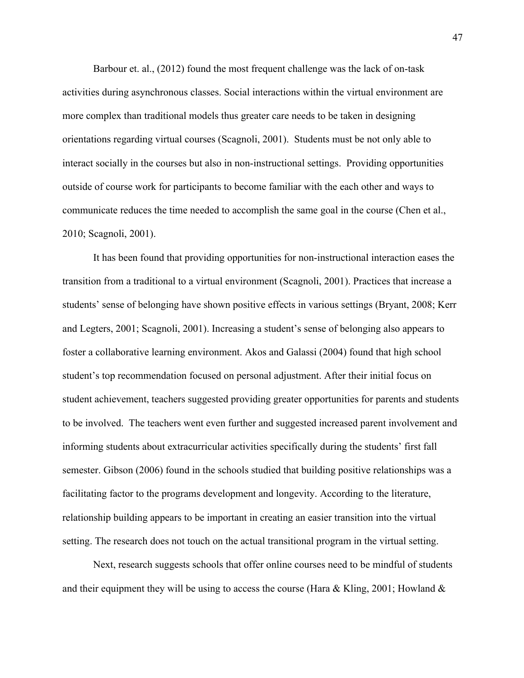Barbour et. al., (2012) found the most frequent challenge was the lack of on-task activities during asynchronous classes. Social interactions within the virtual environment are more complex than traditional models thus greater care needs to be taken in designing orientations regarding virtual courses (Scagnoli, 2001). Students must be not only able to interact socially in the courses but also in non-instructional settings. Providing opportunities outside of course work for participants to become familiar with the each other and ways to communicate reduces the time needed to accomplish the same goal in the course (Chen et al., 2010; Scagnoli, 2001).

It has been found that providing opportunities for non-instructional interaction eases the transition from a traditional to a virtual environment (Scagnoli, 2001). Practices that increase a students' sense of belonging have shown positive effects in various settings (Bryant, 2008; Kerr and Legters, 2001; Scagnoli, 2001). Increasing a student's sense of belonging also appears to foster a collaborative learning environment. Akos and Galassi (2004) found that high school student's top recommendation focused on personal adjustment. After their initial focus on student achievement, teachers suggested providing greater opportunities for parents and students to be involved. The teachers went even further and suggested increased parent involvement and informing students about extracurricular activities specifically during the students' first fall semester. Gibson (2006) found in the schools studied that building positive relationships was a facilitating factor to the programs development and longevity. According to the literature, relationship building appears to be important in creating an easier transition into the virtual setting. The research does not touch on the actual transitional program in the virtual setting.

Next, research suggests schools that offer online courses need to be mindful of students and their equipment they will be using to access the course (Hara & Kling, 2001; Howland  $\&$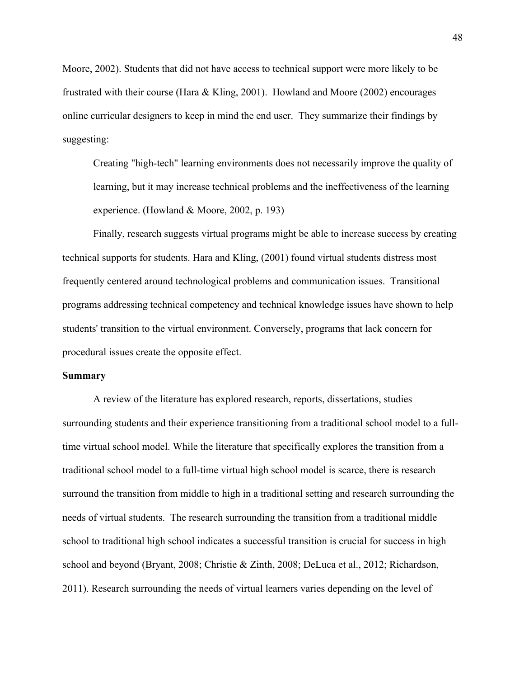Moore, 2002). Students that did not have access to technical support were more likely to be frustrated with their course (Hara & Kling, 2001). Howland and Moore (2002) encourages online curricular designers to keep in mind the end user. They summarize their findings by suggesting:

Creating "high-tech" learning environments does not necessarily improve the quality of learning, but it may increase technical problems and the ineffectiveness of the learning experience. (Howland & Moore, 2002, p. 193)

Finally, research suggests virtual programs might be able to increase success by creating technical supports for students. Hara and Kling, (2001) found virtual students distress most frequently centered around technological problems and communication issues. Transitional programs addressing technical competency and technical knowledge issues have shown to help students' transition to the virtual environment. Conversely, programs that lack concern for procedural issues create the opposite effect.

#### **Summary**

A review of the literature has explored research, reports, dissertations, studies surrounding students and their experience transitioning from a traditional school model to a fulltime virtual school model. While the literature that specifically explores the transition from a traditional school model to a full-time virtual high school model is scarce, there is research surround the transition from middle to high in a traditional setting and research surrounding the needs of virtual students. The research surrounding the transition from a traditional middle school to traditional high school indicates a successful transition is crucial for success in high school and beyond (Bryant, 2008; Christie & Zinth, 2008; DeLuca et al., 2012; Richardson, 2011). Research surrounding the needs of virtual learners varies depending on the level of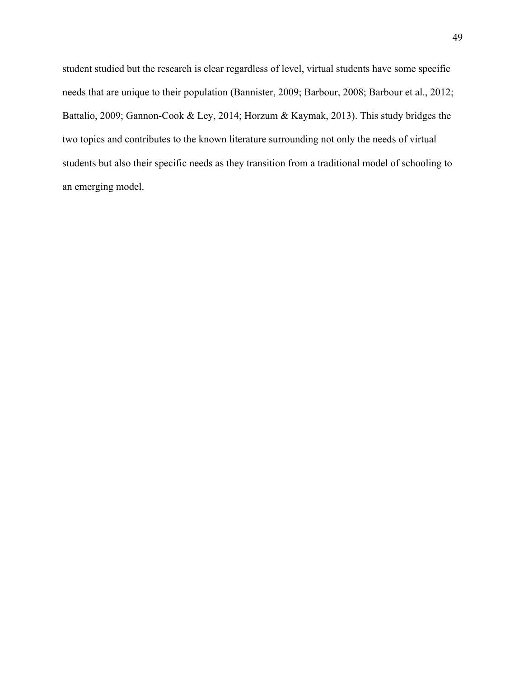student studied but the research is clear regardless of level, virtual students have some specific needs that are unique to their population (Bannister, 2009; Barbour, 2008; Barbour et al., 2012; Battalio, 2009; Gannon-Cook & Ley, 2014; Horzum & Kaymak, 2013). This study bridges the two topics and contributes to the known literature surrounding not only the needs of virtual students but also their specific needs as they transition from a traditional model of schooling to an emerging model.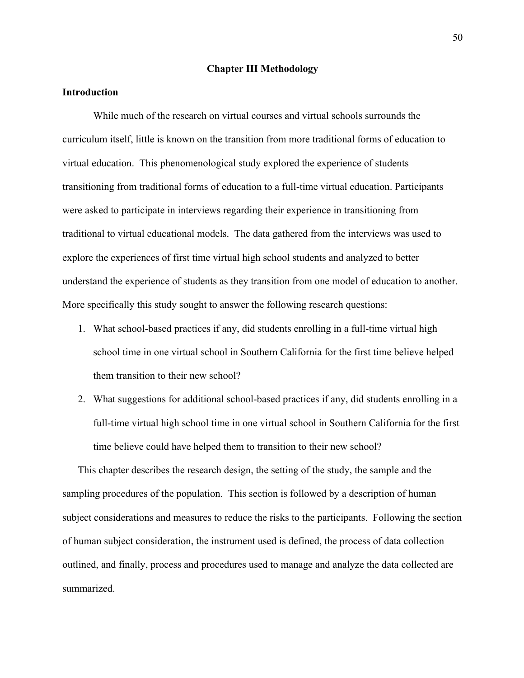#### **Chapter III Methodology**

# **Introduction**

While much of the research on virtual courses and virtual schools surrounds the curriculum itself, little is known on the transition from more traditional forms of education to virtual education. This phenomenological study explored the experience of students transitioning from traditional forms of education to a full-time virtual education. Participants were asked to participate in interviews regarding their experience in transitioning from traditional to virtual educational models. The data gathered from the interviews was used to explore the experiences of first time virtual high school students and analyzed to better understand the experience of students as they transition from one model of education to another. More specifically this study sought to answer the following research questions:

- 1. What school-based practices if any, did students enrolling in a full-time virtual high school time in one virtual school in Southern California for the first time believe helped them transition to their new school?
- 2. What suggestions for additional school-based practices if any, did students enrolling in a full-time virtual high school time in one virtual school in Southern California for the first time believe could have helped them to transition to their new school?

This chapter describes the research design, the setting of the study, the sample and the sampling procedures of the population. This section is followed by a description of human subject considerations and measures to reduce the risks to the participants. Following the section of human subject consideration, the instrument used is defined, the process of data collection outlined, and finally, process and procedures used to manage and analyze the data collected are summarized.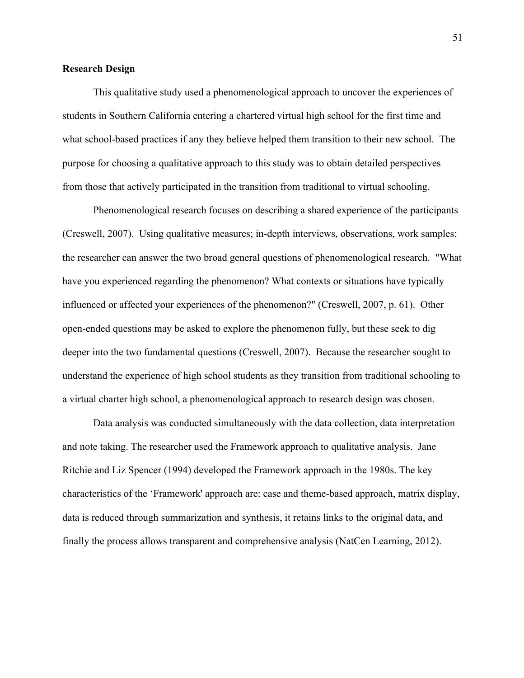## **Research Design**

This qualitative study used a phenomenological approach to uncover the experiences of students in Southern California entering a chartered virtual high school for the first time and what school-based practices if any they believe helped them transition to their new school. The purpose for choosing a qualitative approach to this study was to obtain detailed perspectives from those that actively participated in the transition from traditional to virtual schooling.

Phenomenological research focuses on describing a shared experience of the participants (Creswell, 2007). Using qualitative measures; in-depth interviews, observations, work samples; the researcher can answer the two broad general questions of phenomenological research. "What have you experienced regarding the phenomenon? What contexts or situations have typically influenced or affected your experiences of the phenomenon?" (Creswell, 2007, p. 61). Other open-ended questions may be asked to explore the phenomenon fully, but these seek to dig deeper into the two fundamental questions (Creswell, 2007). Because the researcher sought to understand the experience of high school students as they transition from traditional schooling to a virtual charter high school, a phenomenological approach to research design was chosen.

Data analysis was conducted simultaneously with the data collection, data interpretation and note taking. The researcher used the Framework approach to qualitative analysis. Jane Ritchie and Liz Spencer (1994) developed the Framework approach in the 1980s. The key characteristics of the 'Framework' approach are: case and theme-based approach, matrix display, data is reduced through summarization and synthesis, it retains links to the original data, and finally the process allows transparent and comprehensive analysis (NatCen Learning, 2012).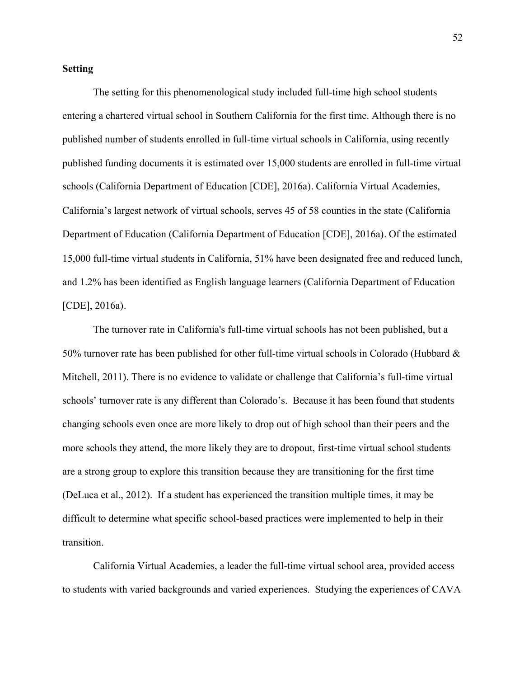## **Setting**

The setting for this phenomenological study included full-time high school students entering a chartered virtual school in Southern California for the first time. Although there is no published number of students enrolled in full-time virtual schools in California, using recently published funding documents it is estimated over 15,000 students are enrolled in full-time virtual schools (California Department of Education [CDE], 2016a). California Virtual Academies, California's largest network of virtual schools, serves 45 of 58 counties in the state (California Department of Education (California Department of Education [CDE], 2016a). Of the estimated 15,000 full-time virtual students in California, 51% have been designated free and reduced lunch, and 1.2% has been identified as English language learners (California Department of Education [CDE], 2016a).

The turnover rate in California's full-time virtual schools has not been published, but a 50% turnover rate has been published for other full-time virtual schools in Colorado (Hubbard & Mitchell, 2011). There is no evidence to validate or challenge that California's full-time virtual schools' turnover rate is any different than Colorado's. Because it has been found that students changing schools even once are more likely to drop out of high school than their peers and the more schools they attend, the more likely they are to dropout, first-time virtual school students are a strong group to explore this transition because they are transitioning for the first time (DeLuca et al., 2012). If a student has experienced the transition multiple times, it may be difficult to determine what specific school-based practices were implemented to help in their transition.

California Virtual Academies, a leader the full-time virtual school area, provided access to students with varied backgrounds and varied experiences. Studying the experiences of CAVA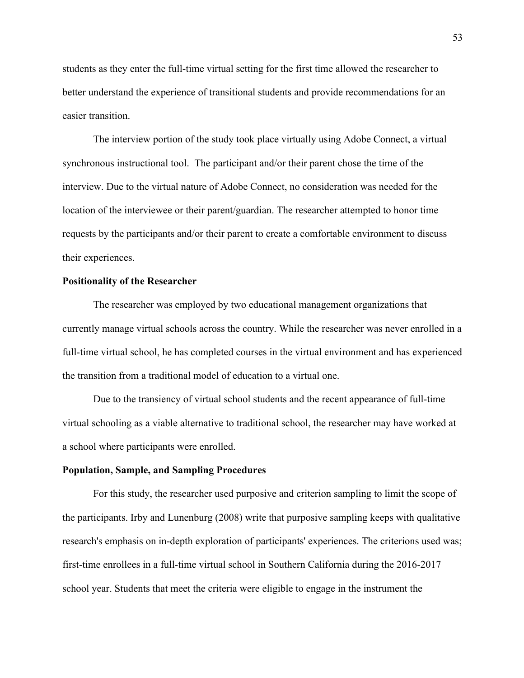students as they enter the full-time virtual setting for the first time allowed the researcher to better understand the experience of transitional students and provide recommendations for an easier transition.

The interview portion of the study took place virtually using Adobe Connect, a virtual synchronous instructional tool. The participant and/or their parent chose the time of the interview. Due to the virtual nature of Adobe Connect, no consideration was needed for the location of the interviewee or their parent/guardian. The researcher attempted to honor time requests by the participants and/or their parent to create a comfortable environment to discuss their experiences.

### **Positionality of the Researcher**

The researcher was employed by two educational management organizations that currently manage virtual schools across the country. While the researcher was never enrolled in a full-time virtual school, he has completed courses in the virtual environment and has experienced the transition from a traditional model of education to a virtual one.

Due to the transiency of virtual school students and the recent appearance of full-time virtual schooling as a viable alternative to traditional school, the researcher may have worked at a school where participants were enrolled.

## **Population, Sample, and Sampling Procedures**

For this study, the researcher used purposive and criterion sampling to limit the scope of the participants. Irby and Lunenburg (2008) write that purposive sampling keeps with qualitative research's emphasis on in-depth exploration of participants' experiences. The criterions used was; first-time enrollees in a full-time virtual school in Southern California during the 2016-2017 school year. Students that meet the criteria were eligible to engage in the instrument the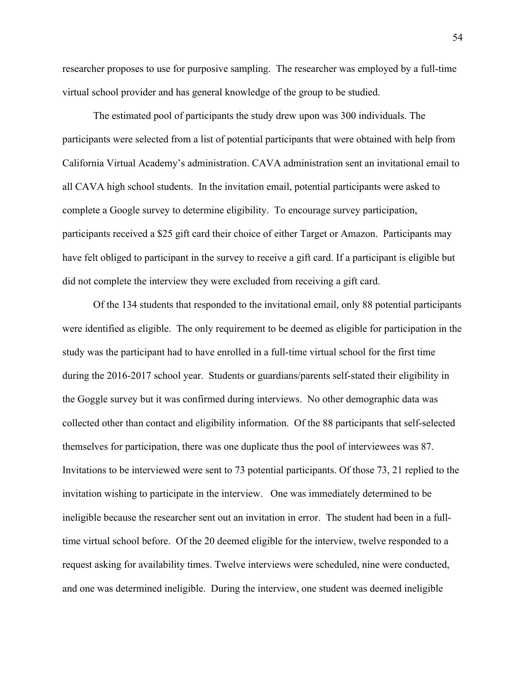researcher proposes to use for purposive sampling. The researcher was employed by a full-time virtual school provider and has general knowledge of the group to be studied.

The estimated pool of participants the study drew upon was 300 individuals. The participants were selected from a list of potential participants that were obtained with help from California Virtual Academy's administration. CAVA administration sent an invitational email to all CAVA high school students. In the invitation email, potential participants were asked to complete a Google survey to determine eligibility. To encourage survey participation, participants received a \$25 gift card their choice of either Target or Amazon. Participants may have felt obliged to participant in the survey to receive a gift card. If a participant is eligible but did not complete the interview they were excluded from receiving a gift card.

Of the 134 students that responded to the invitational email, only 88 potential participants were identified as eligible. The only requirement to be deemed as eligible for participation in the study was the participant had to have enrolled in a full-time virtual school for the first time during the 2016-2017 school year. Students or guardians/parents self-stated their eligibility in the Goggle survey but it was confirmed during interviews. No other demographic data was collected other than contact and eligibility information. Of the 88 participants that self-selected themselves for participation, there was one duplicate thus the pool of interviewees was 87. Invitations to be interviewed were sent to 73 potential participants. Of those 73, 21 replied to the invitation wishing to participate in the interview. One was immediately determined to be ineligible because the researcher sent out an invitation in error. The student had been in a fulltime virtual school before. Of the 20 deemed eligible for the interview, twelve responded to a request asking for availability times. Twelve interviews were scheduled, nine were conducted, and one was determined ineligible. During the interview, one student was deemed ineligible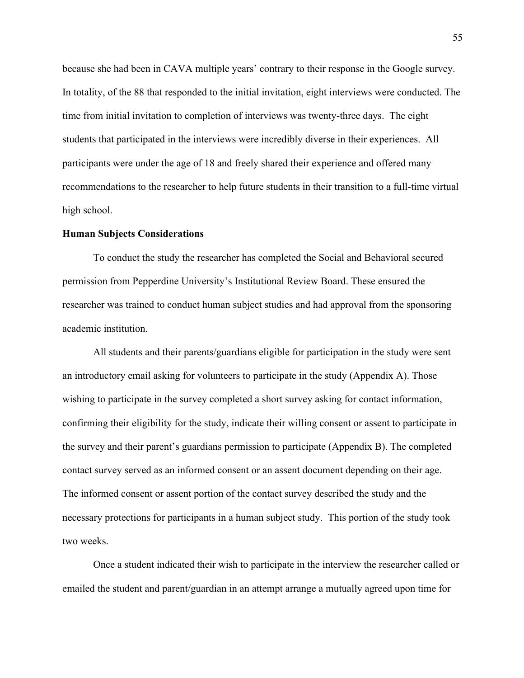because she had been in CAVA multiple years' contrary to their response in the Google survey. In totality, of the 88 that responded to the initial invitation, eight interviews were conducted. The time from initial invitation to completion of interviews was twenty-three days. The eight students that participated in the interviews were incredibly diverse in their experiences. All participants were under the age of 18 and freely shared their experience and offered many recommendations to the researcher to help future students in their transition to a full-time virtual high school.

#### **Human Subjects Considerations**

To conduct the study the researcher has completed the Social and Behavioral secured permission from Pepperdine University's Institutional Review Board. These ensured the researcher was trained to conduct human subject studies and had approval from the sponsoring academic institution.

All students and their parents/guardians eligible for participation in the study were sent an introductory email asking for volunteers to participate in the study (Appendix A). Those wishing to participate in the survey completed a short survey asking for contact information, confirming their eligibility for the study, indicate their willing consent or assent to participate in the survey and their parent's guardians permission to participate (Appendix B). The completed contact survey served as an informed consent or an assent document depending on their age. The informed consent or assent portion of the contact survey described the study and the necessary protections for participants in a human subject study. This portion of the study took two weeks.

Once a student indicated their wish to participate in the interview the researcher called or emailed the student and parent/guardian in an attempt arrange a mutually agreed upon time for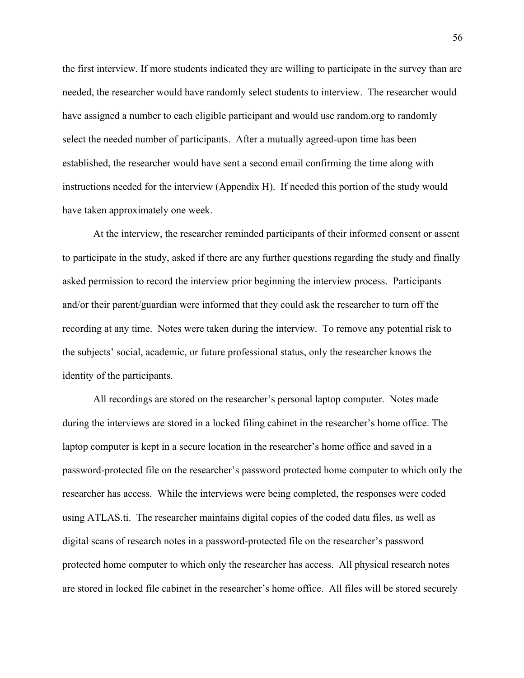the first interview. If more students indicated they are willing to participate in the survey than are needed, the researcher would have randomly select students to interview. The researcher would have assigned a number to each eligible participant and would use random.org to randomly select the needed number of participants. After a mutually agreed-upon time has been established, the researcher would have sent a second email confirming the time along with instructions needed for the interview (Appendix H). If needed this portion of the study would have taken approximately one week.

At the interview, the researcher reminded participants of their informed consent or assent to participate in the study, asked if there are any further questions regarding the study and finally asked permission to record the interview prior beginning the interview process. Participants and/or their parent/guardian were informed that they could ask the researcher to turn off the recording at any time. Notes were taken during the interview. To remove any potential risk to the subjects' social, academic, or future professional status, only the researcher knows the identity of the participants.

All recordings are stored on the researcher's personal laptop computer. Notes made during the interviews are stored in a locked filing cabinet in the researcher's home office. The laptop computer is kept in a secure location in the researcher's home office and saved in a password-protected file on the researcher's password protected home computer to which only the researcher has access. While the interviews were being completed, the responses were coded using ATLAS.ti. The researcher maintains digital copies of the coded data files, as well as digital scans of research notes in a password-protected file on the researcher's password protected home computer to which only the researcher has access. All physical research notes are stored in locked file cabinet in the researcher's home office. All files will be stored securely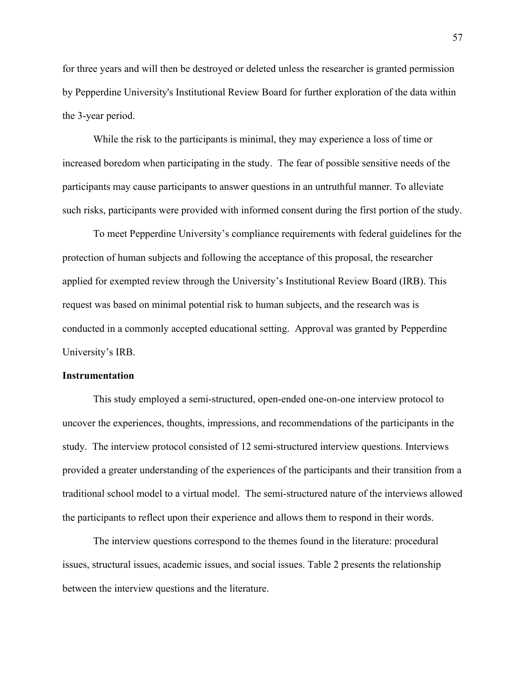for three years and will then be destroyed or deleted unless the researcher is granted permission by Pepperdine University's Institutional Review Board for further exploration of the data within the 3-year period.

While the risk to the participants is minimal, they may experience a loss of time or increased boredom when participating in the study. The fear of possible sensitive needs of the participants may cause participants to answer questions in an untruthful manner. To alleviate such risks, participants were provided with informed consent during the first portion of the study.

To meet Pepperdine University's compliance requirements with federal guidelines for the protection of human subjects and following the acceptance of this proposal, the researcher applied for exempted review through the University's Institutional Review Board (IRB). This request was based on minimal potential risk to human subjects, and the research was is conducted in a commonly accepted educational setting. Approval was granted by Pepperdine University's IRB.

#### **Instrumentation**

This study employed a semi-structured, open-ended one-on-one interview protocol to uncover the experiences, thoughts, impressions, and recommendations of the participants in the study. The interview protocol consisted of 12 semi-structured interview questions. Interviews provided a greater understanding of the experiences of the participants and their transition from a traditional school model to a virtual model. The semi-structured nature of the interviews allowed the participants to reflect upon their experience and allows them to respond in their words.

The interview questions correspond to the themes found in the literature: procedural issues, structural issues, academic issues, and social issues. Table 2 presents the relationship between the interview questions and the literature.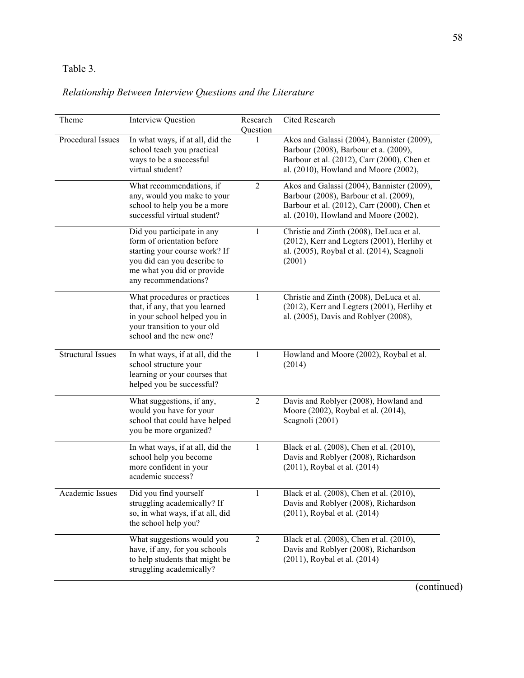# Table 3.

# *Relationship Between Interview Questions and the Literature*

| Theme                    | <b>Interview Question</b>                                                                                                                                                      | Research<br>Question | Cited Research                                                                                                                                                               |
|--------------------------|--------------------------------------------------------------------------------------------------------------------------------------------------------------------------------|----------------------|------------------------------------------------------------------------------------------------------------------------------------------------------------------------------|
| Procedural Issues        | In what ways, if at all, did the<br>school teach you practical<br>ways to be a successful<br>virtual student?                                                                  |                      | Akos and Galassi (2004), Bannister (2009),<br>Barbour (2008), Barbour et a. (2009),<br>Barbour et al. (2012), Carr (2000), Chen et<br>al. (2010), Howland and Moore (2002),  |
|                          | What recommendations, if<br>any, would you make to your<br>school to help you be a more<br>successful virtual student?                                                         | $\overline{2}$       | Akos and Galassi (2004), Bannister (2009),<br>Barbour (2008), Barbour et al. (2009),<br>Barbour et al. (2012), Carr (2000), Chen et<br>al. (2010), Howland and Moore (2002), |
|                          | Did you participate in any<br>form of orientation before<br>starting your course work? If<br>you did can you describe to<br>me what you did or provide<br>any recommendations? | 1                    | Christie and Zinth (2008), DeLuca et al.<br>(2012), Kerr and Legters (2001), Herlihy et<br>al. (2005), Roybal et al. (2014), Scagnoli<br>(2001)                              |
|                          | What procedures or practices<br>that, if any, that you learned<br>in your school helped you in<br>your transition to your old<br>school and the new one?                       | 1                    | Christie and Zinth (2008), DeLuca et al.<br>(2012), Kerr and Legters (2001), Herlihy et<br>al. (2005), Davis and Roblyer (2008),                                             |
| <b>Structural Issues</b> | In what ways, if at all, did the<br>school structure your<br>learning or your courses that<br>helped you be successful?                                                        | 1                    | Howland and Moore (2002), Roybal et al.<br>(2014)                                                                                                                            |
|                          | What suggestions, if any,<br>would you have for your<br>school that could have helped<br>you be more organized?                                                                | $\overline{2}$       | Davis and Roblyer (2008), Howland and<br>Moore (2002), Roybal et al. (2014),<br>Scagnoli (2001)                                                                              |
|                          | In what ways, if at all, did the<br>school help you become<br>more confident in your<br>academic success?                                                                      | 1                    | Black et al. (2008), Chen et al. (2010),<br>Davis and Roblyer (2008), Richardson<br>(2011), Roybal et al. (2014)                                                             |
| Academic Issues          | Did you find yourself<br>struggling academically? If<br>so, in what ways, if at all, did<br>the school help you?                                                               | 1                    | Black et al. (2008), Chen et al. (2010),<br>Davis and Roblyer (2008), Richardson<br>(2011), Roybal et al. (2014)                                                             |
|                          | What suggestions would you<br>have, if any, for you schools<br>to help students that might be<br>struggling academically?                                                      | $\overline{2}$       | Black et al. (2008), Chen et al. (2010),<br>Davis and Roblyer (2008), Richardson<br>(2011), Roybal et al. (2014)                                                             |

(continued)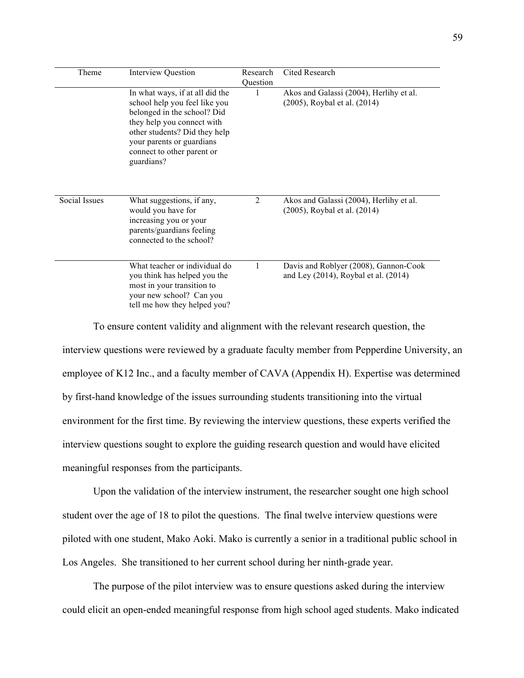| Theme         | <b>Interview Question</b>                                                                                                                                                                                                               | Research | Cited Research                                                                     |
|---------------|-----------------------------------------------------------------------------------------------------------------------------------------------------------------------------------------------------------------------------------------|----------|------------------------------------------------------------------------------------|
|               | In what ways, if at all did the<br>school help you feel like you<br>belonged in the school? Did<br>they help you connect with<br>other students? Did they help<br>your parents or guardians<br>connect to other parent or<br>guardians? | Question | Akos and Galassi (2004), Herlihy et al.<br>(2005), Roybal et al. (2014)            |
| Social Issues | What suggestions, if any,<br>would you have for<br>increasing you or your<br>parents/guardians feeling<br>connected to the school?                                                                                                      | 2        | Akos and Galassi (2004), Herlihy et al.<br>(2005), Roybal et al. (2014)            |
|               | What teacher or individual do<br>you think has helped you the<br>most in your transition to<br>your new school? Can you<br>tell me how they helped you?                                                                                 |          | Davis and Roblyer (2008), Gannon-Cook<br>and Ley $(2014)$ , Roybal et al. $(2014)$ |

To ensure content validity and alignment with the relevant research question, the interview questions were reviewed by a graduate faculty member from Pepperdine University, an employee of K12 Inc., and a faculty member of CAVA (Appendix H). Expertise was determined by first-hand knowledge of the issues surrounding students transitioning into the virtual environment for the first time. By reviewing the interview questions, these experts verified the interview questions sought to explore the guiding research question and would have elicited meaningful responses from the participants.

Upon the validation of the interview instrument, the researcher sought one high school student over the age of 18 to pilot the questions. The final twelve interview questions were piloted with one student, Mako Aoki. Mako is currently a senior in a traditional public school in Los Angeles. She transitioned to her current school during her ninth-grade year.

The purpose of the pilot interview was to ensure questions asked during the interview could elicit an open-ended meaningful response from high school aged students. Mako indicated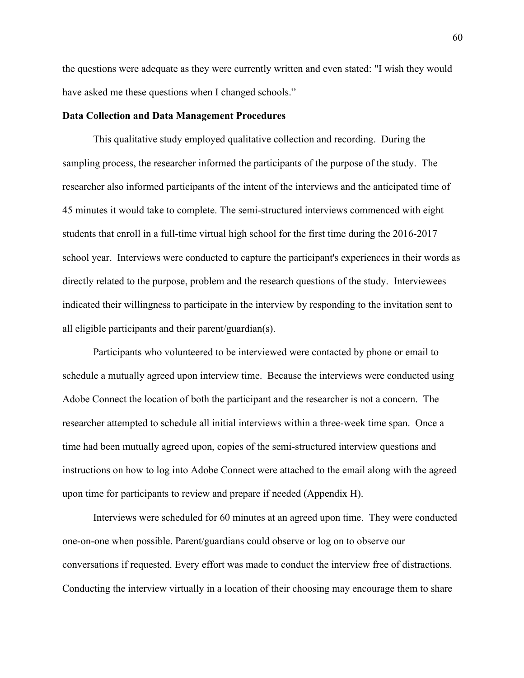the questions were adequate as they were currently written and even stated: "I wish they would have asked me these questions when I changed schools."

#### **Data Collection and Data Management Procedures**

This qualitative study employed qualitative collection and recording. During the sampling process, the researcher informed the participants of the purpose of the study. The researcher also informed participants of the intent of the interviews and the anticipated time of 45 minutes it would take to complete. The semi-structured interviews commenced with eight students that enroll in a full-time virtual high school for the first time during the 2016-2017 school year. Interviews were conducted to capture the participant's experiences in their words as directly related to the purpose, problem and the research questions of the study. Interviewees indicated their willingness to participate in the interview by responding to the invitation sent to all eligible participants and their parent/guardian(s).

Participants who volunteered to be interviewed were contacted by phone or email to schedule a mutually agreed upon interview time. Because the interviews were conducted using Adobe Connect the location of both the participant and the researcher is not a concern. The researcher attempted to schedule all initial interviews within a three-week time span. Once a time had been mutually agreed upon, copies of the semi-structured interview questions and instructions on how to log into Adobe Connect were attached to the email along with the agreed upon time for participants to review and prepare if needed (Appendix H).

Interviews were scheduled for 60 minutes at an agreed upon time. They were conducted one-on-one when possible. Parent/guardians could observe or log on to observe our conversations if requested. Every effort was made to conduct the interview free of distractions. Conducting the interview virtually in a location of their choosing may encourage them to share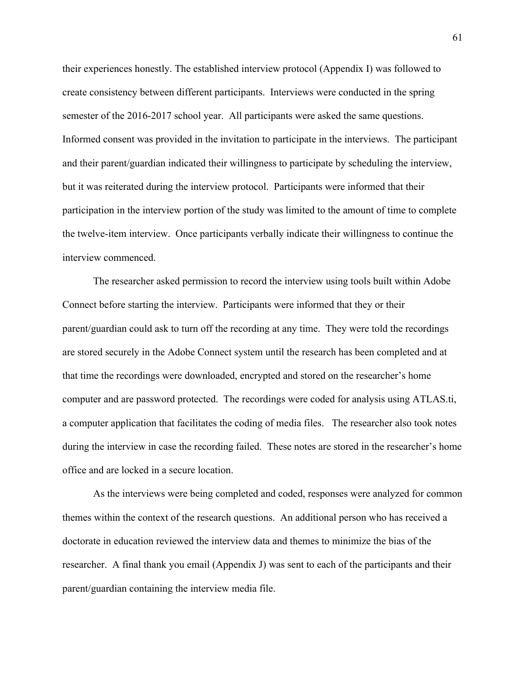their experiences honestly. The established interview protocol (Appendix I) was followed to create consistency between different participants. Interviews were conducted in the spring semester of the 2016-2017 school year. All participants were asked the same questions. Informed consent was provided in the invitation to participate in the interviews. The participant and their parent/guardian indicated their willingness to participate by scheduling the interview, but it was reiterated during the interview protocol. Participants were informed that their participation in the interview portion of the study was limited to the amount of time to complete the twelve-item interview. Once participants verbally indicate their willingness to continue the interview commenced.

The researcher asked permission to record the interview using tools built within Adobe Connect before starting the interview. Participants were informed that they or their parent/guardian could ask to turn off the recording at any time. They were told the recordings are stored securely in the Adobe Connect system until the research has been completed and at that time the recordings were downloaded, encrypted and stored on the researcher's home computer and are password protected. The recordings were coded for analysis using ATLAS.ti, a computer application that facilitates the coding of media files. The researcher also took notes during the interview in case the recording failed. These notes are stored in the researcher's home office and are locked in a secure location.

As the interviews were being completed and coded, responses were analyzed for common themes within the context of the research questions. An additional person who has received a doctorate in education reviewed the interview data and themes to minimize the bias of the researcher. A final thank you email (Appendix J) was sent to each of the participants and their parent/guardian containing the interview media file.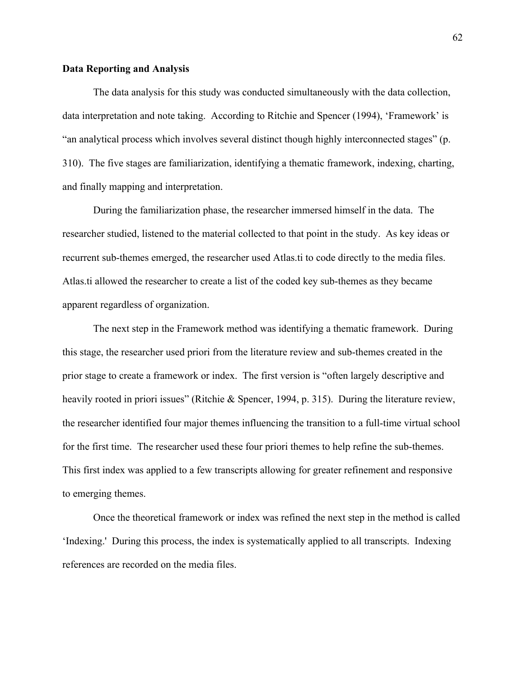# **Data Reporting and Analysis**

The data analysis for this study was conducted simultaneously with the data collection, data interpretation and note taking. According to Ritchie and Spencer (1994), 'Framework' is "an analytical process which involves several distinct though highly interconnected stages" (p. 310). The five stages are familiarization, identifying a thematic framework, indexing, charting, and finally mapping and interpretation.

During the familiarization phase, the researcher immersed himself in the data. The researcher studied, listened to the material collected to that point in the study. As key ideas or recurrent sub-themes emerged, the researcher used Atlas.ti to code directly to the media files. Atlas.ti allowed the researcher to create a list of the coded key sub-themes as they became apparent regardless of organization.

The next step in the Framework method was identifying a thematic framework. During this stage, the researcher used priori from the literature review and sub-themes created in the prior stage to create a framework or index. The first version is "often largely descriptive and heavily rooted in priori issues" (Ritchie & Spencer, 1994, p. 315). During the literature review, the researcher identified four major themes influencing the transition to a full-time virtual school for the first time. The researcher used these four priori themes to help refine the sub-themes. This first index was applied to a few transcripts allowing for greater refinement and responsive to emerging themes.

Once the theoretical framework or index was refined the next step in the method is called 'Indexing.' During this process, the index is systematically applied to all transcripts. Indexing references are recorded on the media files.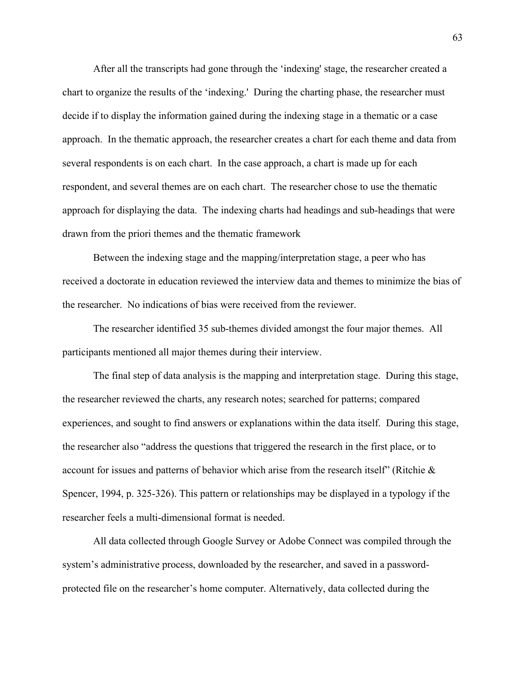After all the transcripts had gone through the 'indexing' stage, the researcher created a chart to organize the results of the 'indexing.' During the charting phase, the researcher must decide if to display the information gained during the indexing stage in a thematic or a case approach. In the thematic approach, the researcher creates a chart for each theme and data from several respondents is on each chart. In the case approach, a chart is made up for each respondent, and several themes are on each chart. The researcher chose to use the thematic approach for displaying the data. The indexing charts had headings and sub-headings that were drawn from the priori themes and the thematic framework

Between the indexing stage and the mapping/interpretation stage, a peer who has received a doctorate in education reviewed the interview data and themes to minimize the bias of the researcher. No indications of bias were received from the reviewer.

The researcher identified 35 sub-themes divided amongst the four major themes. All participants mentioned all major themes during their interview.

 The final step of data analysis is the mapping and interpretation stage. During this stage, the researcher reviewed the charts, any research notes; searched for patterns; compared experiences, and sought to find answers or explanations within the data itself. During this stage, the researcher also "address the questions that triggered the research in the first place, or to account for issues and patterns of behavior which arise from the research itself" (Ritchie  $\&$ Spencer, 1994, p. 325-326). This pattern or relationships may be displayed in a typology if the researcher feels a multi-dimensional format is needed.

All data collected through Google Survey or Adobe Connect was compiled through the system's administrative process, downloaded by the researcher, and saved in a passwordprotected file on the researcher's home computer. Alternatively, data collected during the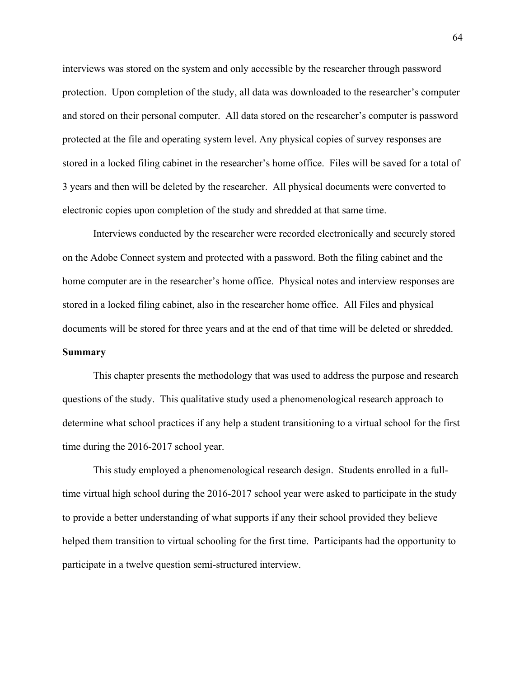interviews was stored on the system and only accessible by the researcher through password protection. Upon completion of the study, all data was downloaded to the researcher's computer and stored on their personal computer. All data stored on the researcher's computer is password protected at the file and operating system level. Any physical copies of survey responses are stored in a locked filing cabinet in the researcher's home office. Files will be saved for a total of 3 years and then will be deleted by the researcher. All physical documents were converted to electronic copies upon completion of the study and shredded at that same time.

Interviews conducted by the researcher were recorded electronically and securely stored on the Adobe Connect system and protected with a password. Both the filing cabinet and the home computer are in the researcher's home office. Physical notes and interview responses are stored in a locked filing cabinet, also in the researcher home office. All Files and physical documents will be stored for three years and at the end of that time will be deleted or shredded. **Summary**

This chapter presents the methodology that was used to address the purpose and research questions of the study. This qualitative study used a phenomenological research approach to determine what school practices if any help a student transitioning to a virtual school for the first time during the 2016-2017 school year.

This study employed a phenomenological research design. Students enrolled in a fulltime virtual high school during the 2016-2017 school year were asked to participate in the study to provide a better understanding of what supports if any their school provided they believe helped them transition to virtual schooling for the first time. Participants had the opportunity to participate in a twelve question semi-structured interview.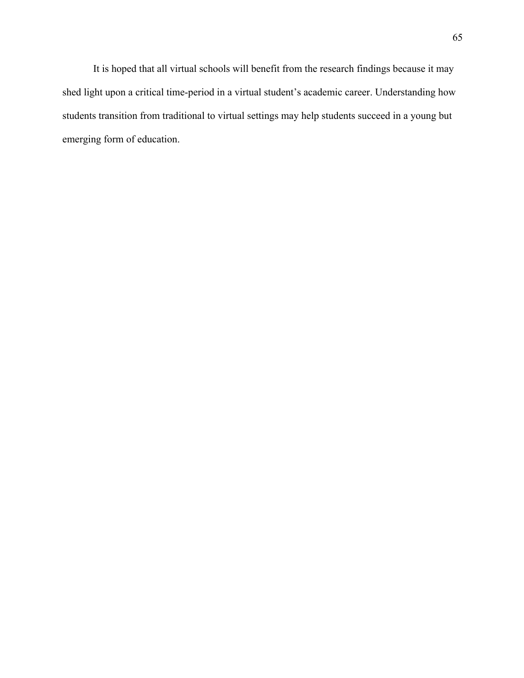It is hoped that all virtual schools will benefit from the research findings because it may shed light upon a critical time-period in a virtual student's academic career. Understanding how students transition from traditional to virtual settings may help students succeed in a young but emerging form of education.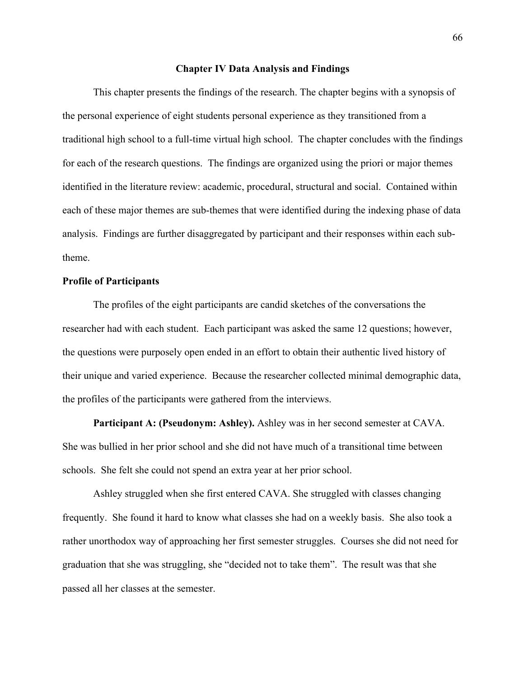## **Chapter IV Data Analysis and Findings**

This chapter presents the findings of the research. The chapter begins with a synopsis of the personal experience of eight students personal experience as they transitioned from a traditional high school to a full-time virtual high school. The chapter concludes with the findings for each of the research questions. The findings are organized using the priori or major themes identified in the literature review: academic, procedural, structural and social. Contained within each of these major themes are sub-themes that were identified during the indexing phase of data analysis. Findings are further disaggregated by participant and their responses within each subtheme.

# **Profile of Participants**

The profiles of the eight participants are candid sketches of the conversations the researcher had with each student. Each participant was asked the same 12 questions; however, the questions were purposely open ended in an effort to obtain their authentic lived history of their unique and varied experience. Because the researcher collected minimal demographic data, the profiles of the participants were gathered from the interviews.

**Participant A: (Pseudonym: Ashley).** Ashley was in her second semester at CAVA. She was bullied in her prior school and she did not have much of a transitional time between schools. She felt she could not spend an extra year at her prior school.

Ashley struggled when she first entered CAVA. She struggled with classes changing frequently. She found it hard to know what classes she had on a weekly basis. She also took a rather unorthodox way of approaching her first semester struggles. Courses she did not need for graduation that she was struggling, she "decided not to take them". The result was that she passed all her classes at the semester.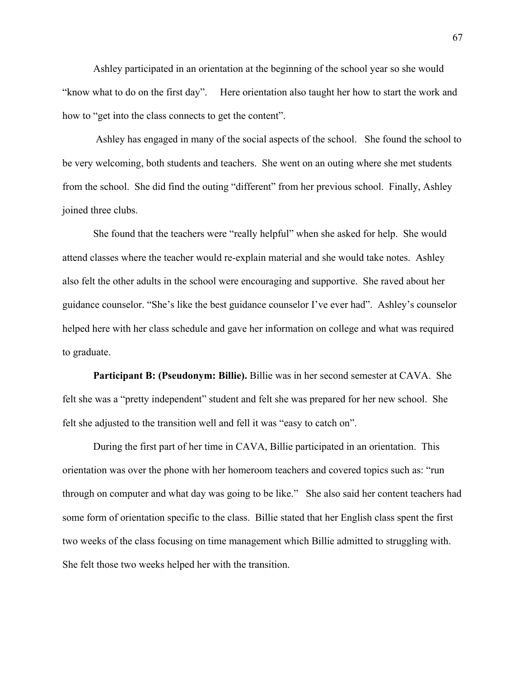Ashley participated in an orientation at the beginning of the school year so she would "know what to do on the first day". Here orientation also taught her how to start the work and how to "get into the class connects to get the content".

Ashley has engaged in many of the social aspects of the school. She found the school to be very welcoming, both students and teachers. She went on an outing where she met students from the school. She did find the outing "different" from her previous school. Finally, Ashley joined three clubs.

She found that the teachers were "really helpful" when she asked for help. She would attend classes where the teacher would re-explain material and she would take notes. Ashley also felt the other adults in the school were encouraging and supportive. She raved about her guidance counselor. "She's like the best guidance counselor I've ever had". Ashley's counselor helped here with her class schedule and gave her information on college and what was required to graduate.

**Participant B: (Pseudonym: Billie).** Billie was in her second semester at CAVA. She felt she was a "pretty independent" student and felt she was prepared for her new school. She felt she adjusted to the transition well and fell it was "easy to catch on".

During the first part of her time in CAVA, Billie participated in an orientation. This orientation was over the phone with her homeroom teachers and covered topics such as: "run through on computer and what day was going to be like." She also said her content teachers had some form of orientation specific to the class. Billie stated that her English class spent the first two weeks of the class focusing on time management which Billie admitted to struggling with. She felt those two weeks helped her with the transition.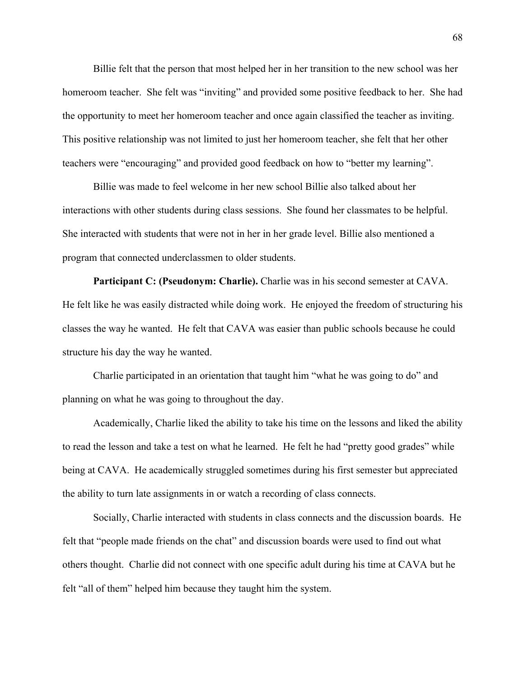Billie felt that the person that most helped her in her transition to the new school was her homeroom teacher. She felt was "inviting" and provided some positive feedback to her. She had the opportunity to meet her homeroom teacher and once again classified the teacher as inviting. This positive relationship was not limited to just her homeroom teacher, she felt that her other teachers were "encouraging" and provided good feedback on how to "better my learning".

Billie was made to feel welcome in her new school Billie also talked about her interactions with other students during class sessions. She found her classmates to be helpful. She interacted with students that were not in her in her grade level. Billie also mentioned a program that connected underclassmen to older students.

**Participant C: (Pseudonym: Charlie).** Charlie was in his second semester at CAVA. He felt like he was easily distracted while doing work. He enjoyed the freedom of structuring his classes the way he wanted. He felt that CAVA was easier than public schools because he could structure his day the way he wanted.

Charlie participated in an orientation that taught him "what he was going to do" and planning on what he was going to throughout the day.

Academically, Charlie liked the ability to take his time on the lessons and liked the ability to read the lesson and take a test on what he learned. He felt he had "pretty good grades" while being at CAVA. He academically struggled sometimes during his first semester but appreciated the ability to turn late assignments in or watch a recording of class connects.

Socially, Charlie interacted with students in class connects and the discussion boards. He felt that "people made friends on the chat" and discussion boards were used to find out what others thought. Charlie did not connect with one specific adult during his time at CAVA but he felt "all of them" helped him because they taught him the system.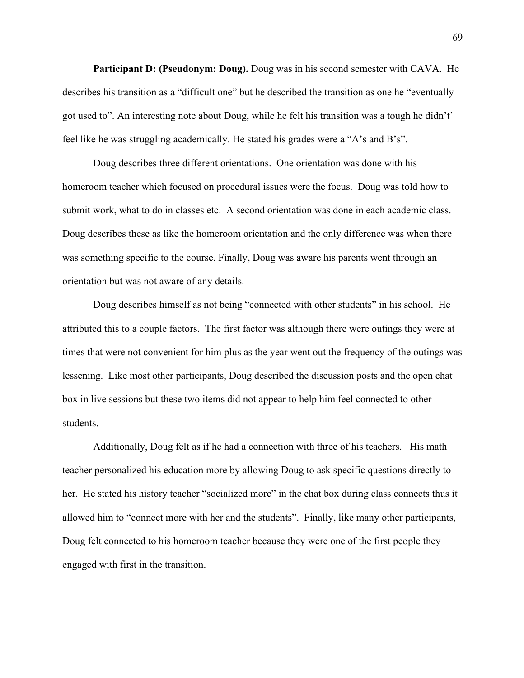**Participant D: (Pseudonym: Doug).** Doug was in his second semester with CAVA. He describes his transition as a "difficult one" but he described the transition as one he "eventually got used to". An interesting note about Doug, while he felt his transition was a tough he didn't' feel like he was struggling academically. He stated his grades were a "A's and B's".

Doug describes three different orientations. One orientation was done with his homeroom teacher which focused on procedural issues were the focus. Doug was told how to submit work, what to do in classes etc. A second orientation was done in each academic class. Doug describes these as like the homeroom orientation and the only difference was when there was something specific to the course. Finally, Doug was aware his parents went through an orientation but was not aware of any details.

Doug describes himself as not being "connected with other students" in his school. He attributed this to a couple factors. The first factor was although there were outings they were at times that were not convenient for him plus as the year went out the frequency of the outings was lessening. Like most other participants, Doug described the discussion posts and the open chat box in live sessions but these two items did not appear to help him feel connected to other students.

Additionally, Doug felt as if he had a connection with three of his teachers. His math teacher personalized his education more by allowing Doug to ask specific questions directly to her. He stated his history teacher "socialized more" in the chat box during class connects thus it allowed him to "connect more with her and the students". Finally, like many other participants, Doug felt connected to his homeroom teacher because they were one of the first people they engaged with first in the transition.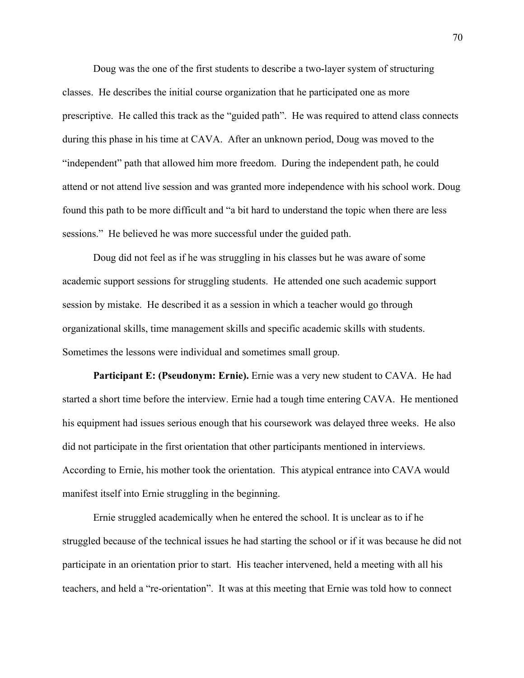Doug was the one of the first students to describe a two-layer system of structuring classes. He describes the initial course organization that he participated one as more prescriptive. He called this track as the "guided path". He was required to attend class connects during this phase in his time at CAVA. After an unknown period, Doug was moved to the "independent" path that allowed him more freedom. During the independent path, he could attend or not attend live session and was granted more independence with his school work. Doug found this path to be more difficult and "a bit hard to understand the topic when there are less sessions." He believed he was more successful under the guided path.

Doug did not feel as if he was struggling in his classes but he was aware of some academic support sessions for struggling students. He attended one such academic support session by mistake. He described it as a session in which a teacher would go through organizational skills, time management skills and specific academic skills with students. Sometimes the lessons were individual and sometimes small group.

**Participant E: (Pseudonym: Ernie).** Ernie was a very new student to CAVA. He had started a short time before the interview. Ernie had a tough time entering CAVA. He mentioned his equipment had issues serious enough that his coursework was delayed three weeks. He also did not participate in the first orientation that other participants mentioned in interviews. According to Ernie, his mother took the orientation. This atypical entrance into CAVA would manifest itself into Ernie struggling in the beginning.

Ernie struggled academically when he entered the school. It is unclear as to if he struggled because of the technical issues he had starting the school or if it was because he did not participate in an orientation prior to start. His teacher intervened, held a meeting with all his teachers, and held a "re-orientation". It was at this meeting that Ernie was told how to connect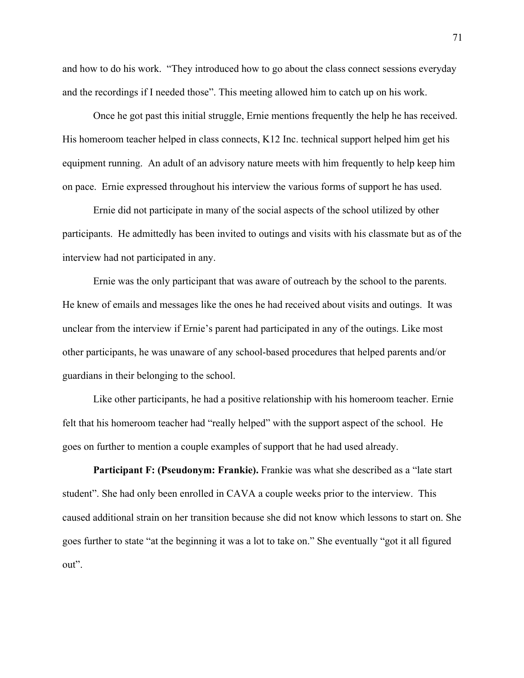and how to do his work. "They introduced how to go about the class connect sessions everyday and the recordings if I needed those". This meeting allowed him to catch up on his work.

Once he got past this initial struggle, Ernie mentions frequently the help he has received. His homeroom teacher helped in class connects, K12 Inc. technical support helped him get his equipment running. An adult of an advisory nature meets with him frequently to help keep him on pace. Ernie expressed throughout his interview the various forms of support he has used.

Ernie did not participate in many of the social aspects of the school utilized by other participants. He admittedly has been invited to outings and visits with his classmate but as of the interview had not participated in any.

Ernie was the only participant that was aware of outreach by the school to the parents. He knew of emails and messages like the ones he had received about visits and outings. It was unclear from the interview if Ernie's parent had participated in any of the outings. Like most other participants, he was unaware of any school-based procedures that helped parents and/or guardians in their belonging to the school.

Like other participants, he had a positive relationship with his homeroom teacher. Ernie felt that his homeroom teacher had "really helped" with the support aspect of the school. He goes on further to mention a couple examples of support that he had used already.

**Participant F: (Pseudonym: Frankie).** Frankie was what she described as a "late start student". She had only been enrolled in CAVA a couple weeks prior to the interview. This caused additional strain on her transition because she did not know which lessons to start on. She goes further to state "at the beginning it was a lot to take on." She eventually "got it all figured out".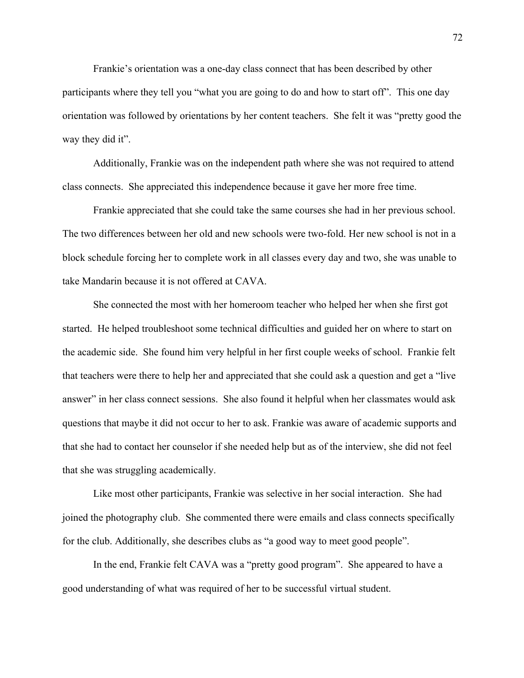Frankie's orientation was a one-day class connect that has been described by other participants where they tell you "what you are going to do and how to start off". This one day orientation was followed by orientations by her content teachers. She felt it was "pretty good the way they did it".

Additionally, Frankie was on the independent path where she was not required to attend class connects. She appreciated this independence because it gave her more free time.

Frankie appreciated that she could take the same courses she had in her previous school. The two differences between her old and new schools were two-fold. Her new school is not in a block schedule forcing her to complete work in all classes every day and two, she was unable to take Mandarin because it is not offered at CAVA.

She connected the most with her homeroom teacher who helped her when she first got started. He helped troubleshoot some technical difficulties and guided her on where to start on the academic side. She found him very helpful in her first couple weeks of school. Frankie felt that teachers were there to help her and appreciated that she could ask a question and get a "live answer" in her class connect sessions. She also found it helpful when her classmates would ask questions that maybe it did not occur to her to ask. Frankie was aware of academic supports and that she had to contact her counselor if she needed help but as of the interview, she did not feel that she was struggling academically.

Like most other participants, Frankie was selective in her social interaction. She had joined the photography club. She commented there were emails and class connects specifically for the club. Additionally, she describes clubs as "a good way to meet good people".

In the end, Frankie felt CAVA was a "pretty good program". She appeared to have a good understanding of what was required of her to be successful virtual student.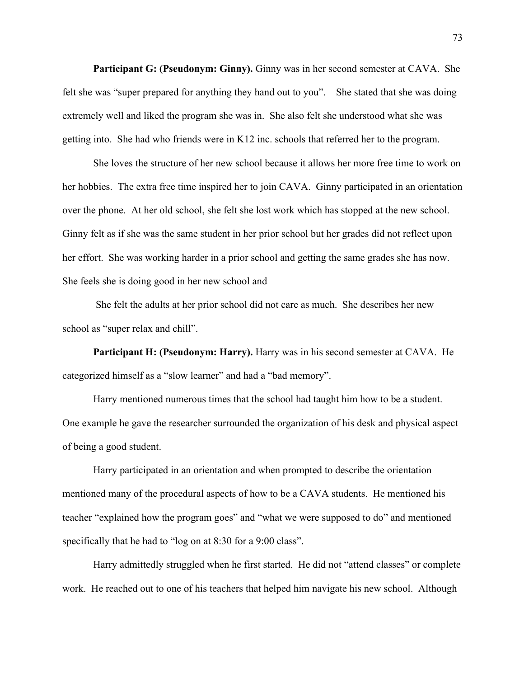**Participant G: (Pseudonym: Ginny).** Ginny was in her second semester at CAVA. She felt she was "super prepared for anything they hand out to you". She stated that she was doing extremely well and liked the program she was in. She also felt she understood what she was getting into. She had who friends were in K12 inc. schools that referred her to the program.

She loves the structure of her new school because it allows her more free time to work on her hobbies. The extra free time inspired her to join CAVA. Ginny participated in an orientation over the phone. At her old school, she felt she lost work which has stopped at the new school. Ginny felt as if she was the same student in her prior school but her grades did not reflect upon her effort. She was working harder in a prior school and getting the same grades she has now. She feels she is doing good in her new school and

She felt the adults at her prior school did not care as much. She describes her new school as "super relax and chill".

**Participant H: (Pseudonym: Harry).** Harry was in his second semester at CAVA. He categorized himself as a "slow learner" and had a "bad memory".

Harry mentioned numerous times that the school had taught him how to be a student. One example he gave the researcher surrounded the organization of his desk and physical aspect of being a good student.

Harry participated in an orientation and when prompted to describe the orientation mentioned many of the procedural aspects of how to be a CAVA students. He mentioned his teacher "explained how the program goes" and "what we were supposed to do" and mentioned specifically that he had to "log on at 8:30 for a 9:00 class".

Harry admittedly struggled when he first started. He did not "attend classes" or complete work. He reached out to one of his teachers that helped him navigate his new school. Although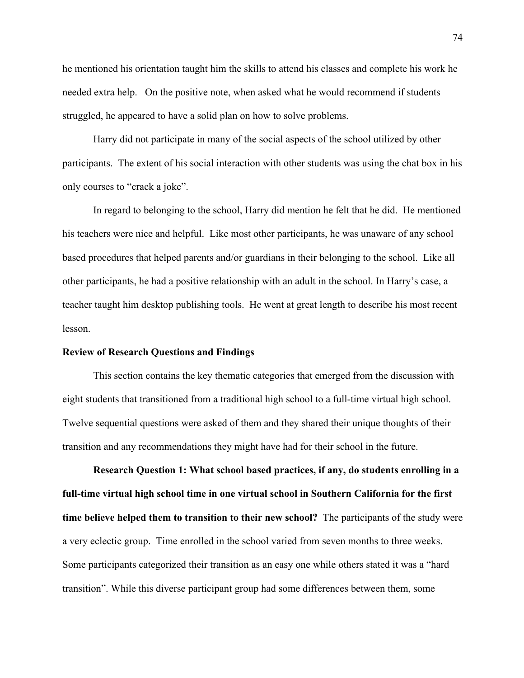he mentioned his orientation taught him the skills to attend his classes and complete his work he needed extra help. On the positive note, when asked what he would recommend if students struggled, he appeared to have a solid plan on how to solve problems.

Harry did not participate in many of the social aspects of the school utilized by other participants. The extent of his social interaction with other students was using the chat box in his only courses to "crack a joke".

In regard to belonging to the school, Harry did mention he felt that he did. He mentioned his teachers were nice and helpful. Like most other participants, he was unaware of any school based procedures that helped parents and/or guardians in their belonging to the school. Like all other participants, he had a positive relationship with an adult in the school. In Harry's case, a teacher taught him desktop publishing tools. He went at great length to describe his most recent lesson.

### **Review of Research Questions and Findings**

This section contains the key thematic categories that emerged from the discussion with eight students that transitioned from a traditional high school to a full-time virtual high school. Twelve sequential questions were asked of them and they shared their unique thoughts of their transition and any recommendations they might have had for their school in the future.

**Research Question 1: What school based practices, if any, do students enrolling in a full-time virtual high school time in one virtual school in Southern California for the first time believe helped them to transition to their new school?** The participants of the study were a very eclectic group. Time enrolled in the school varied from seven months to three weeks. Some participants categorized their transition as an easy one while others stated it was a "hard transition". While this diverse participant group had some differences between them, some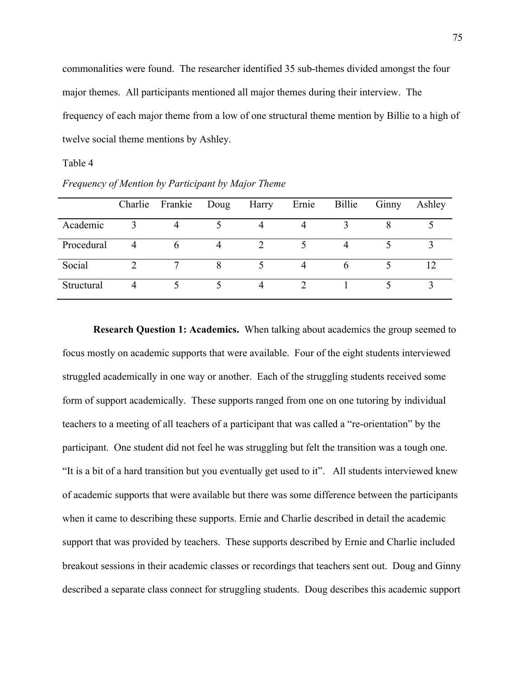commonalities were found. The researcher identified 35 sub-themes divided amongst the four major themes. All participants mentioned all major themes during their interview. The frequency of each major theme from a low of one structural theme mention by Billie to a high of twelve social theme mentions by Ashley.

## Table 4

|            | Charlie | Frankie | Doug | Harry          | Ernie | Billie | Ginny | Ashley |
|------------|---------|---------|------|----------------|-------|--------|-------|--------|
| Academic   |         |         |      |                |       |        |       |        |
| Procedural |         | n       |      |                |       | 4      |       |        |
| Social     |         |         |      |                |       | h      |       |        |
| Structural |         |         |      | $\overline{4}$ |       |        |       | 2      |

*Frequency of Mention by Participant by Major Theme*

**Research Question 1: Academics.** When talking about academics the group seemed to focus mostly on academic supports that were available. Four of the eight students interviewed struggled academically in one way or another. Each of the struggling students received some form of support academically. These supports ranged from one on one tutoring by individual teachers to a meeting of all teachers of a participant that was called a "re-orientation" by the participant. One student did not feel he was struggling but felt the transition was a tough one. "It is a bit of a hard transition but you eventually get used to it". All students interviewed knew of academic supports that were available but there was some difference between the participants when it came to describing these supports. Ernie and Charlie described in detail the academic support that was provided by teachers. These supports described by Ernie and Charlie included breakout sessions in their academic classes or recordings that teachers sent out. Doug and Ginny described a separate class connect for struggling students. Doug describes this academic support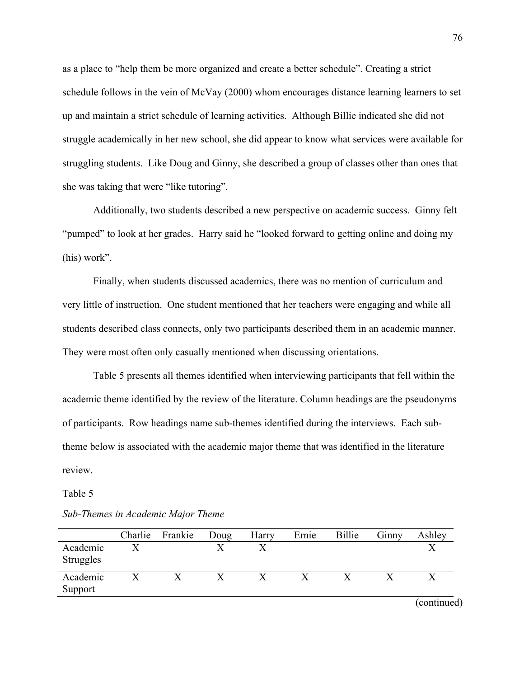as a place to "help them be more organized and create a better schedule". Creating a strict schedule follows in the vein of McVay (2000) whom encourages distance learning learners to set up and maintain a strict schedule of learning activities. Although Billie indicated she did not struggle academically in her new school, she did appear to know what services were available for struggling students. Like Doug and Ginny, she described a group of classes other than ones that she was taking that were "like tutoring".

Additionally, two students described a new perspective on academic success. Ginny felt "pumped" to look at her grades. Harry said he "looked forward to getting online and doing my (his) work".

Finally, when students discussed academics, there was no mention of curriculum and very little of instruction. One student mentioned that her teachers were engaging and while all students described class connects, only two participants described them in an academic manner. They were most often only casually mentioned when discussing orientations.

Table 5 presents all themes identified when interviewing participants that fell within the academic theme identified by the review of the literature. Column headings are the pseudonyms of participants. Row headings name sub-themes identified during the interviews. Each subtheme below is associated with the academic major theme that was identified in the literature review.

#### Table 5

# *Sub-Themes in Academic Major Theme*

|                              | Charlie | Frankie | Doug | Harry | Ernie | Billie | Ginny | Ashley      |
|------------------------------|---------|---------|------|-------|-------|--------|-------|-------------|
| Academic<br><b>Struggles</b> |         |         |      |       |       |        |       |             |
| Academic<br>Support          |         |         |      |       |       |        |       |             |
|                              |         |         |      |       |       |        |       | (continued) |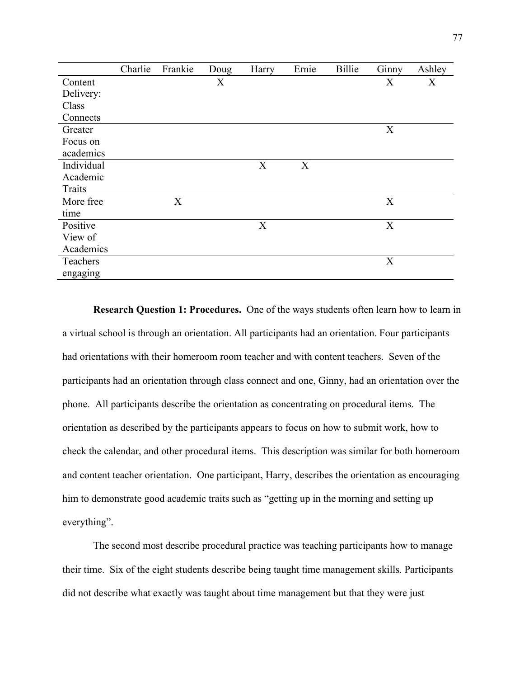|            | Charlie | Frankie | Doug | Harry | Ernie | <b>Billie</b> | Ginny | Ashley |
|------------|---------|---------|------|-------|-------|---------------|-------|--------|
| Content    |         |         | X    |       |       |               | X     | X      |
| Delivery:  |         |         |      |       |       |               |       |        |
| Class      |         |         |      |       |       |               |       |        |
| Connects   |         |         |      |       |       |               |       |        |
| Greater    |         |         |      |       |       |               | X     |        |
| Focus on   |         |         |      |       |       |               |       |        |
| academics  |         |         |      |       |       |               |       |        |
| Individual |         |         |      | X     | X     |               |       |        |
| Academic   |         |         |      |       |       |               |       |        |
| Traits     |         |         |      |       |       |               |       |        |
| More free  |         | X       |      |       |       |               | X     |        |
| time       |         |         |      |       |       |               |       |        |
| Positive   |         |         |      | X     |       |               | X     |        |
| View of    |         |         |      |       |       |               |       |        |
| Academics  |         |         |      |       |       |               |       |        |
| Teachers   |         |         |      |       |       |               | X     |        |
| engaging   |         |         |      |       |       |               |       |        |

**Research Question 1: Procedures.** One of the ways students often learn how to learn in a virtual school is through an orientation. All participants had an orientation. Four participants had orientations with their homeroom room teacher and with content teachers. Seven of the participants had an orientation through class connect and one, Ginny, had an orientation over the phone. All participants describe the orientation as concentrating on procedural items. The orientation as described by the participants appears to focus on how to submit work, how to check the calendar, and other procedural items. This description was similar for both homeroom and content teacher orientation. One participant, Harry, describes the orientation as encouraging him to demonstrate good academic traits such as "getting up in the morning and setting up everything".

The second most describe procedural practice was teaching participants how to manage their time. Six of the eight students describe being taught time management skills. Participants did not describe what exactly was taught about time management but that they were just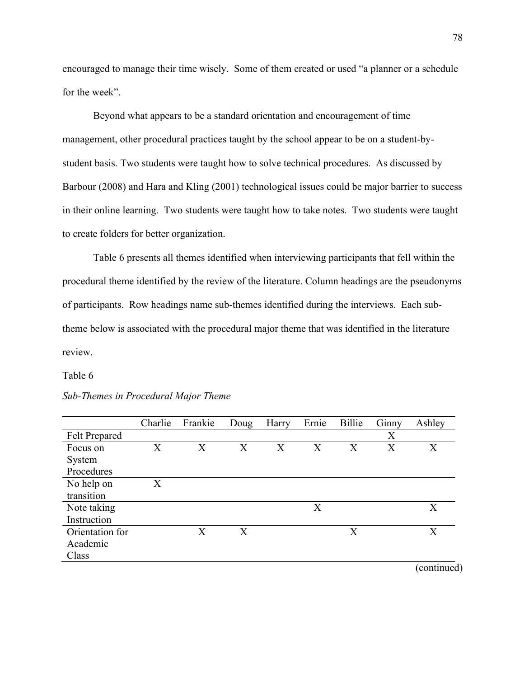encouraged to manage their time wisely. Some of them created or used "a planner or a schedule for the week".

Beyond what appears to be a standard orientation and encouragement of time management, other procedural practices taught by the school appear to be on a student-bystudent basis. Two students were taught how to solve technical procedures. As discussed by Barbour (2008) and Hara and Kling (2001) technological issues could be major barrier to success in their online learning. Two students were taught how to take notes. Two students were taught to create folders for better organization.

Table 6 presents all themes identified when interviewing participants that fell within the procedural theme identified by the review of the literature. Column headings are the pseudonyms of participants. Row headings name sub-themes identified during the interviews. Each subtheme below is associated with the procedural major theme that was identified in the literature review.

## Table 6

|                      | Charlie | Frankie                 | Doug | Harry | Ernie | Billie | Ginny | Ashley |
|----------------------|---------|-------------------------|------|-------|-------|--------|-------|--------|
| <b>Felt Prepared</b> |         |                         |      |       |       |        | X     |        |
| Focus on             | X       | $\rm X$                 | X    | X     | X     | X      | X     | X      |
| System               |         |                         |      |       |       |        |       |        |
| Procedures           |         |                         |      |       |       |        |       |        |
| No help on           | X       |                         |      |       |       |        |       |        |
| transition           |         |                         |      |       |       |        |       |        |
| Note taking          |         |                         |      |       | X     |        |       | X      |
| Instruction          |         |                         |      |       |       |        |       |        |
| Orientation for      |         | $\overline{\mathrm{X}}$ | X    |       |       | X      |       | X      |
| Academic             |         |                         |      |       |       |        |       |        |
| Class                |         |                         |      |       |       |        |       |        |

## *Sub-Themes in Procedural Major Theme*

(continued)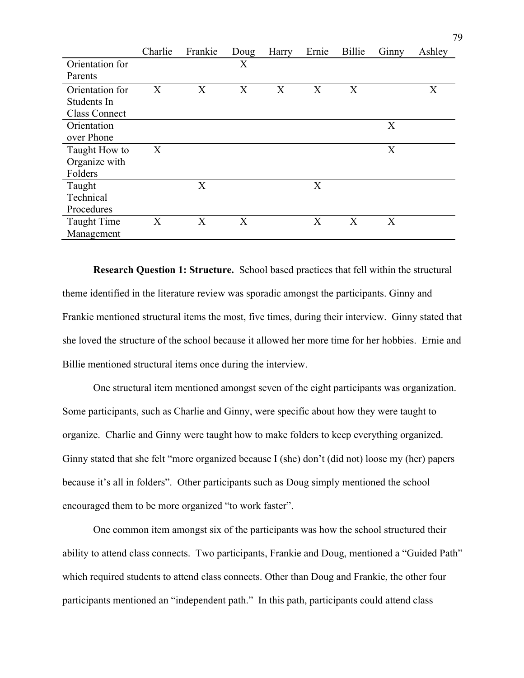|                      | Charlie | Frankie | Doug | Harry | Ernie | Billie | Ginny | Ashley |
|----------------------|---------|---------|------|-------|-------|--------|-------|--------|
| Orientation for      |         |         | X    |       |       |        |       |        |
| Parents              |         |         |      |       |       |        |       |        |
| Orientation for      | X       | X       | X    | X     | X     | X      |       | X      |
| Students In          |         |         |      |       |       |        |       |        |
| <b>Class Connect</b> |         |         |      |       |       |        |       |        |
| Orientation          |         |         |      |       |       |        | X     |        |
| over Phone           |         |         |      |       |       |        |       |        |
| Taught How to        | X       |         |      |       |       |        | X     |        |
| Organize with        |         |         |      |       |       |        |       |        |
| Folders              |         |         |      |       |       |        |       |        |
| Taught               |         | X       |      |       | X     |        |       |        |
| Technical            |         |         |      |       |       |        |       |        |
| Procedures           |         |         |      |       |       |        |       |        |
| <b>Taught Time</b>   | X       | X       | X    |       | X     | X      | X     |        |
| Management           |         |         |      |       |       |        |       |        |

**Research Question 1: Structure.** School based practices that fell within the structural theme identified in the literature review was sporadic amongst the participants. Ginny and Frankie mentioned structural items the most, five times, during their interview. Ginny stated that she loved the structure of the school because it allowed her more time for her hobbies. Ernie and Billie mentioned structural items once during the interview.

One structural item mentioned amongst seven of the eight participants was organization. Some participants, such as Charlie and Ginny, were specific about how they were taught to organize. Charlie and Ginny were taught how to make folders to keep everything organized. Ginny stated that she felt "more organized because I (she) don't (did not) loose my (her) papers because it's all in folders". Other participants such as Doug simply mentioned the school encouraged them to be more organized "to work faster".

One common item amongst six of the participants was how the school structured their ability to attend class connects. Two participants, Frankie and Doug, mentioned a "Guided Path" which required students to attend class connects. Other than Doug and Frankie, the other four participants mentioned an "independent path." In this path, participants could attend class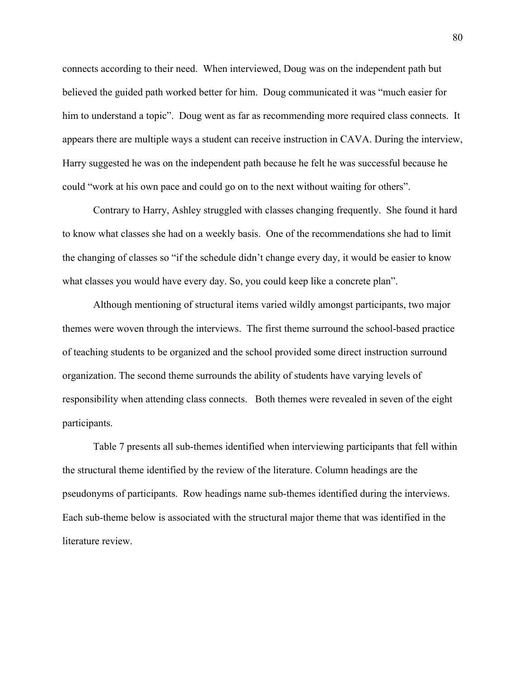connects according to their need. When interviewed, Doug was on the independent path but believed the guided path worked better for him. Doug communicated it was "much easier for him to understand a topic". Doug went as far as recommending more required class connects. It appears there are multiple ways a student can receive instruction in CAVA. During the interview, Harry suggested he was on the independent path because he felt he was successful because he could "work at his own pace and could go on to the next without waiting for others".

Contrary to Harry, Ashley struggled with classes changing frequently. She found it hard to know what classes she had on a weekly basis. One of the recommendations she had to limit the changing of classes so "if the schedule didn't change every day, it would be easier to know what classes you would have every day. So, you could keep like a concrete plan".

Although mentioning of structural items varied wildly amongst participants, two major themes were woven through the interviews. The first theme surround the school-based practice of teaching students to be organized and the school provided some direct instruction surround organization. The second theme surrounds the ability of students have varying levels of responsibility when attending class connects. Both themes were revealed in seven of the eight participants.

Table 7 presents all sub-themes identified when interviewing participants that fell within the structural theme identified by the review of the literature. Column headings are the pseudonyms of participants. Row headings name sub-themes identified during the interviews. Each sub-theme below is associated with the structural major theme that was identified in the literature review.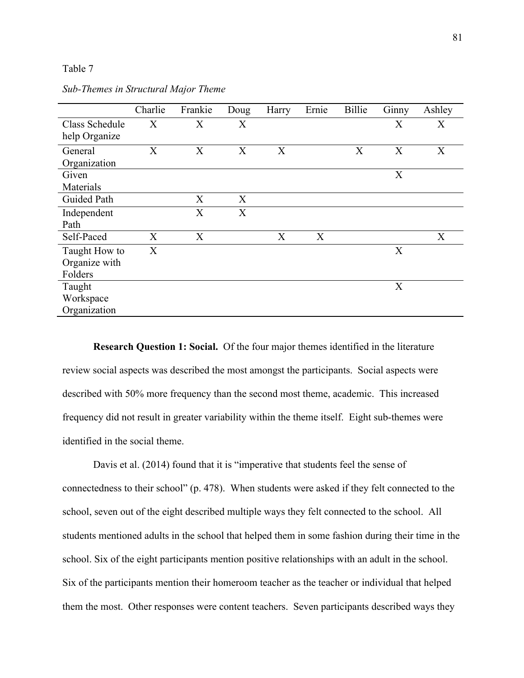Table 7

|                | Charlie | Frankie | Doug | Harry | Ernie | Billie | Ginny | Ashley |
|----------------|---------|---------|------|-------|-------|--------|-------|--------|
| Class Schedule | X       | X       | X    |       |       |        | X     | X      |
| help Organize  |         |         |      |       |       |        |       |        |
| General        | X       | X       | X    | X     |       | X      | X     | X      |
| Organization   |         |         |      |       |       |        |       |        |
| Given          |         |         |      |       |       |        | X     |        |
| Materials      |         |         |      |       |       |        |       |        |
| Guided Path    |         | X       | X    |       |       |        |       |        |
| Independent    |         | X       | X    |       |       |        |       |        |
| Path           |         |         |      |       |       |        |       |        |
| Self-Paced     | X       | X       |      | X     | X     |        |       | X      |
| Taught How to  | X       |         |      |       |       |        | X     |        |
| Organize with  |         |         |      |       |       |        |       |        |
| Folders        |         |         |      |       |       |        |       |        |
| Taught         |         |         |      |       |       |        | X     |        |
| Workspace      |         |         |      |       |       |        |       |        |
| Organization   |         |         |      |       |       |        |       |        |

*Sub-Themes in Structural Major Theme*

**Research Question 1: Social.** Of the four major themes identified in the literature review social aspects was described the most amongst the participants. Social aspects were described with 50% more frequency than the second most theme, academic. This increased frequency did not result in greater variability within the theme itself. Eight sub-themes were identified in the social theme.

Davis et al. (2014) found that it is "imperative that students feel the sense of connectedness to their school" (p. 478). When students were asked if they felt connected to the school, seven out of the eight described multiple ways they felt connected to the school. All students mentioned adults in the school that helped them in some fashion during their time in the school. Six of the eight participants mention positive relationships with an adult in the school. Six of the participants mention their homeroom teacher as the teacher or individual that helped them the most. Other responses were content teachers. Seven participants described ways they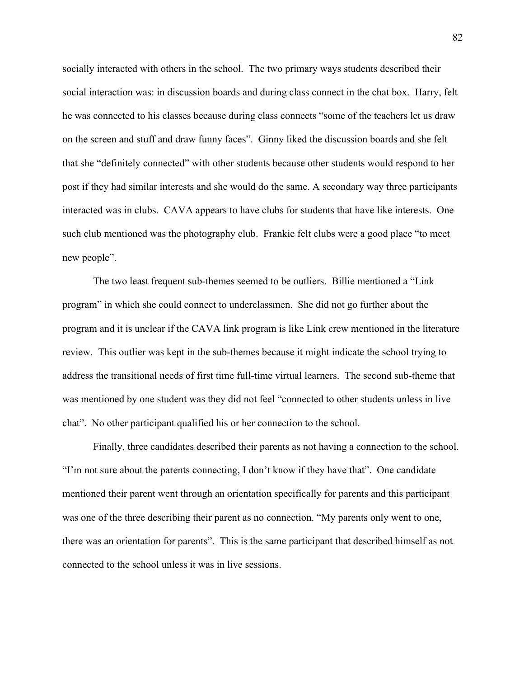socially interacted with others in the school. The two primary ways students described their social interaction was: in discussion boards and during class connect in the chat box. Harry, felt he was connected to his classes because during class connects "some of the teachers let us draw on the screen and stuff and draw funny faces". Ginny liked the discussion boards and she felt that she "definitely connected" with other students because other students would respond to her post if they had similar interests and she would do the same. A secondary way three participants interacted was in clubs. CAVA appears to have clubs for students that have like interests. One such club mentioned was the photography club. Frankie felt clubs were a good place "to meet new people".

The two least frequent sub-themes seemed to be outliers. Billie mentioned a "Link program" in which she could connect to underclassmen. She did not go further about the program and it is unclear if the CAVA link program is like Link crew mentioned in the literature review. This outlier was kept in the sub-themes because it might indicate the school trying to address the transitional needs of first time full-time virtual learners. The second sub-theme that was mentioned by one student was they did not feel "connected to other students unless in live chat". No other participant qualified his or her connection to the school.

Finally, three candidates described their parents as not having a connection to the school. "I'm not sure about the parents connecting, I don't know if they have that". One candidate mentioned their parent went through an orientation specifically for parents and this participant was one of the three describing their parent as no connection. "My parents only went to one, there was an orientation for parents". This is the same participant that described himself as not connected to the school unless it was in live sessions.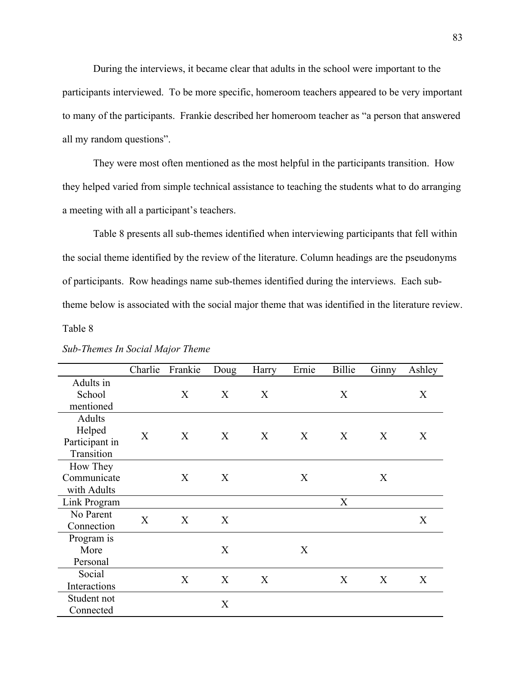During the interviews, it became clear that adults in the school were important to the participants interviewed. To be more specific, homeroom teachers appeared to be very important to many of the participants. Frankie described her homeroom teacher as "a person that answered all my random questions".

They were most often mentioned as the most helpful in the participants transition. How they helped varied from simple technical assistance to teaching the students what to do arranging a meeting with all a participant's teachers.

Table 8 presents all sub-themes identified when interviewing participants that fell within the social theme identified by the review of the literature. Column headings are the pseudonyms of participants. Row headings name sub-themes identified during the interviews. Each subtheme below is associated with the social major theme that was identified in the literature review.

Table 8

|                | Charlie | Frankie | Doug | Harry | Ernie | Billie           | Ginny | Ashley |
|----------------|---------|---------|------|-------|-------|------------------|-------|--------|
| Adults in      |         |         |      |       |       |                  |       |        |
| School         |         | X       | X    | X     |       | X                |       | X      |
| mentioned      |         |         |      |       |       |                  |       |        |
| Adults         |         |         |      |       |       |                  |       |        |
| Helped         | X       | X       | X    | X     | X     | $\boldsymbol{X}$ | X     | X      |
| Participant in |         |         |      |       |       |                  |       |        |
| Transition     |         |         |      |       |       |                  |       |        |
| How They       |         |         |      |       |       |                  |       |        |
| Communicate    |         | X       | X    |       | X     |                  | X     |        |
| with Adults    |         |         |      |       |       |                  |       |        |
| Link Program   |         |         |      |       |       | X                |       |        |
| No Parent      | X       | X       | X    |       |       |                  |       | X      |
| Connection     |         |         |      |       |       |                  |       |        |
| Program is     |         |         |      |       |       |                  |       |        |
| More           |         |         | X    |       | X     |                  |       |        |
| Personal       |         |         |      |       |       |                  |       |        |
| Social         |         | X       | X    | X     |       | X                | X     | X      |
| Interactions   |         |         |      |       |       |                  |       |        |
| Student not    |         |         | X    |       |       |                  |       |        |
| Connected      |         |         |      |       |       |                  |       |        |

*Sub-Themes In Social Major Theme*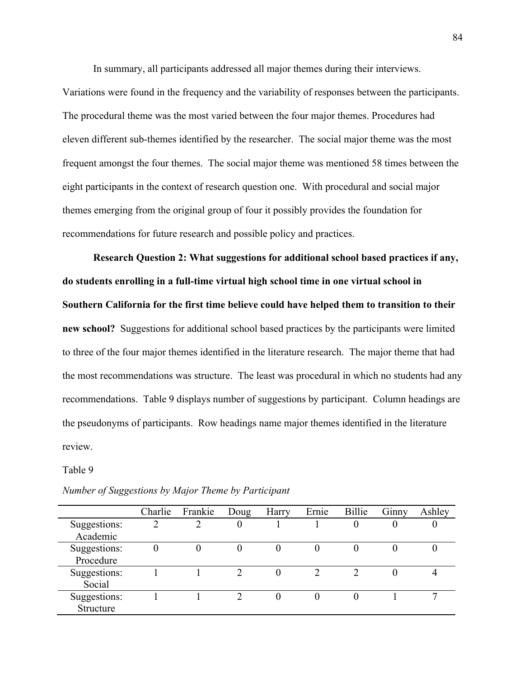In summary, all participants addressed all major themes during their interviews.

Variations were found in the frequency and the variability of responses between the participants. The procedural theme was the most varied between the four major themes. Procedures had eleven different sub-themes identified by the researcher. The social major theme was the most frequent amongst the four themes. The social major theme was mentioned 58 times between the eight participants in the context of research question one. With procedural and social major themes emerging from the original group of four it possibly provides the foundation for recommendations for future research and possible policy and practices.

**Research Question 2: What suggestions for additional school based practices if any, do students enrolling in a full-time virtual high school time in one virtual school in Southern California for the first time believe could have helped them to transition to their new school?** Suggestions for additional school based practices by the participants were limited to three of the four major themes identified in the literature research. The major theme that had the most recommendations was structure. The least was procedural in which no students had any recommendations. Table 9 displays number of suggestions by participant. Column headings are the pseudonyms of participants. Row headings name major themes identified in the literature review.

Table 9

|                           | Charlie | Frankie | Doug | Harry | Ernie | Billie | Ginny | Ashley |
|---------------------------|---------|---------|------|-------|-------|--------|-------|--------|
| Suggestions:<br>Academic  | っ       | ി       | 0    |       |       |        |       |        |
| Suggestions:<br>Procedure | 0       | 0       |      |       |       |        |       |        |
| Suggestions:<br>Social    |         |         |      | 0     |       |        |       |        |
| Suggestions:<br>Structure |         |         | ∍    |       | 0     |        |       |        |

*Number of Suggestions by Major Theme by Participant*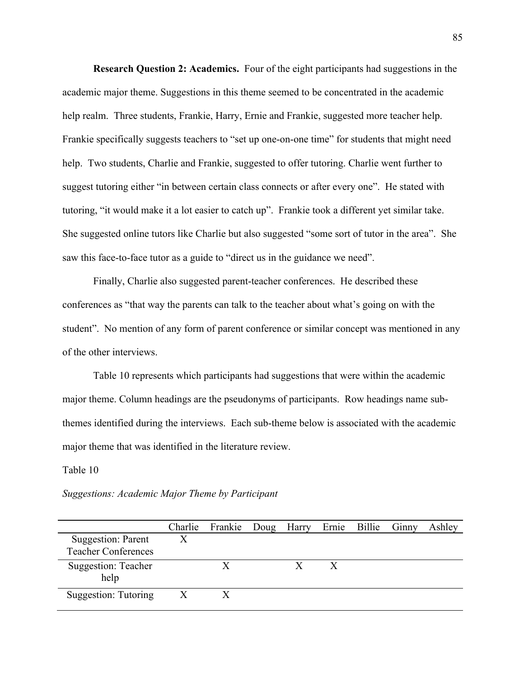**Research Question 2: Academics.** Four of the eight participants had suggestions in the academic major theme. Suggestions in this theme seemed to be concentrated in the academic help realm. Three students, Frankie, Harry, Ernie and Frankie, suggested more teacher help. Frankie specifically suggests teachers to "set up one-on-one time" for students that might need help. Two students, Charlie and Frankie, suggested to offer tutoring. Charlie went further to suggest tutoring either "in between certain class connects or after every one". He stated with tutoring, "it would make it a lot easier to catch up". Frankie took a different yet similar take. She suggested online tutors like Charlie but also suggested "some sort of tutor in the area". She saw this face-to-face tutor as a guide to "direct us in the guidance we need".

Finally, Charlie also suggested parent-teacher conferences. He described these conferences as "that way the parents can talk to the teacher about what's going on with the student". No mention of any form of parent conference or similar concept was mentioned in any of the other interviews.

Table 10 represents which participants had suggestions that were within the academic major theme. Column headings are the pseudonyms of participants. Row headings name subthemes identified during the interviews. Each sub-theme below is associated with the academic major theme that was identified in the literature review.

Table 10

|                                                         |                  | Charlie Frankie Doug Harry Ernie Billie Ginny |   |  | Ashley |
|---------------------------------------------------------|------------------|-----------------------------------------------|---|--|--------|
| <b>Suggestion: Parent</b><br><b>Teacher Conferences</b> | Χ                |                                               |   |  |        |
| Suggestion: Teacher<br>help                             |                  |                                               | X |  |        |
| Suggestion: Tutoring                                    | $\boldsymbol{X}$ |                                               |   |  |        |

*Suggestions: Academic Major Theme by Participant*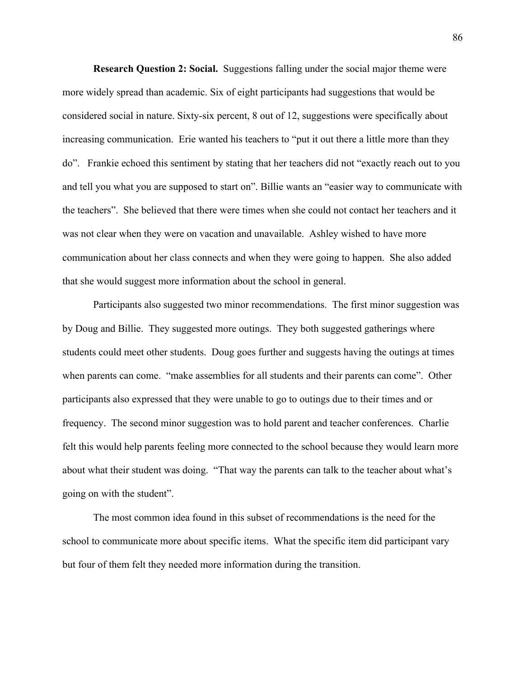**Research Question 2: Social.** Suggestions falling under the social major theme were more widely spread than academic. Six of eight participants had suggestions that would be considered social in nature. Sixty-six percent, 8 out of 12, suggestions were specifically about increasing communication. Erie wanted his teachers to "put it out there a little more than they do". Frankie echoed this sentiment by stating that her teachers did not "exactly reach out to you and tell you what you are supposed to start on". Billie wants an "easier way to communicate with the teachers". She believed that there were times when she could not contact her teachers and it was not clear when they were on vacation and unavailable. Ashley wished to have more communication about her class connects and when they were going to happen. She also added that she would suggest more information about the school in general.

Participants also suggested two minor recommendations. The first minor suggestion was by Doug and Billie. They suggested more outings. They both suggested gatherings where students could meet other students. Doug goes further and suggests having the outings at times when parents can come. "make assemblies for all students and their parents can come". Other participants also expressed that they were unable to go to outings due to their times and or frequency. The second minor suggestion was to hold parent and teacher conferences. Charlie felt this would help parents feeling more connected to the school because they would learn more about what their student was doing. "That way the parents can talk to the teacher about what's going on with the student".

The most common idea found in this subset of recommendations is the need for the school to communicate more about specific items. What the specific item did participant vary but four of them felt they needed more information during the transition.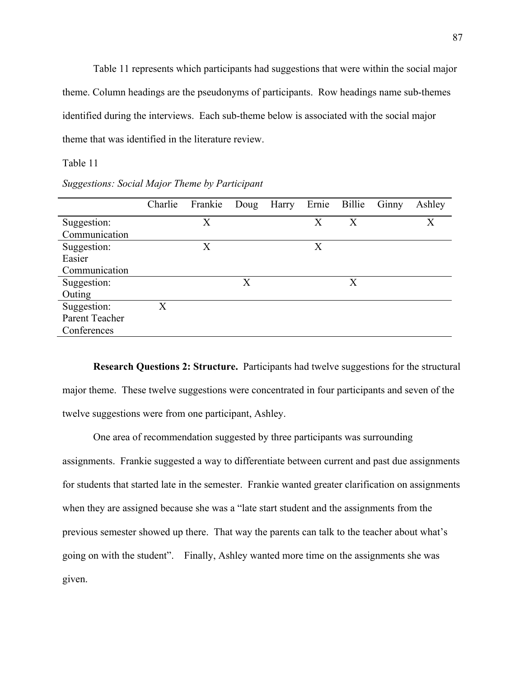Table 11 represents which participants had suggestions that were within the social major theme. Column headings are the pseudonyms of participants. Row headings name sub-themes identified during the interviews. Each sub-theme below is associated with the social major theme that was identified in the literature review.

# Table 11

*Suggestions: Social Major Theme by Participant*

|                | Charlie | Frankie | Doug | Harry Ernie Billie |   |   | Ginny | Ashley |
|----------------|---------|---------|------|--------------------|---|---|-------|--------|
| Suggestion:    |         | Х       |      |                    | X | X |       | X      |
| Communication  |         |         |      |                    |   |   |       |        |
| Suggestion:    |         | X       |      |                    | X |   |       |        |
| Easier         |         |         |      |                    |   |   |       |        |
| Communication  |         |         |      |                    |   |   |       |        |
| Suggestion:    |         |         | X    |                    |   | X |       |        |
| Outing         |         |         |      |                    |   |   |       |        |
| Suggestion:    | X       |         |      |                    |   |   |       |        |
| Parent Teacher |         |         |      |                    |   |   |       |        |
| Conferences    |         |         |      |                    |   |   |       |        |
|                |         |         |      |                    |   |   |       |        |

**Research Questions 2: Structure.** Participants had twelve suggestions for the structural major theme. These twelve suggestions were concentrated in four participants and seven of the twelve suggestions were from one participant, Ashley.

One area of recommendation suggested by three participants was surrounding assignments. Frankie suggested a way to differentiate between current and past due assignments for students that started late in the semester. Frankie wanted greater clarification on assignments when they are assigned because she was a "late start student and the assignments from the previous semester showed up there. That way the parents can talk to the teacher about what's going on with the student". Finally, Ashley wanted more time on the assignments she was given.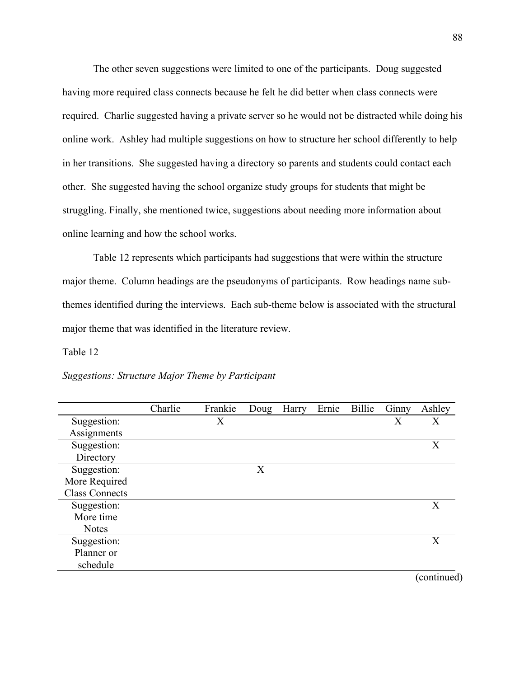The other seven suggestions were limited to one of the participants. Doug suggested having more required class connects because he felt he did better when class connects were required. Charlie suggested having a private server so he would not be distracted while doing his online work. Ashley had multiple suggestions on how to structure her school differently to help in her transitions. She suggested having a directory so parents and students could contact each other. She suggested having the school organize study groups for students that might be struggling. Finally, she mentioned twice, suggestions about needing more information about online learning and how the school works.

Table 12 represents which participants had suggestions that were within the structure major theme. Column headings are the pseudonyms of participants. Row headings name subthemes identified during the interviews. Each sub-theme below is associated with the structural major theme that was identified in the literature review.

Table 12

|                       | Charlie | Frankie | Doug | Harry | Ernie | Billie | Ginny | Ashley      |
|-----------------------|---------|---------|------|-------|-------|--------|-------|-------------|
| Suggestion:           |         | X       |      |       |       |        | Х     | X           |
| Assignments           |         |         |      |       |       |        |       |             |
| Suggestion:           |         |         |      |       |       |        |       | X           |
| Directory             |         |         |      |       |       |        |       |             |
| Suggestion:           |         |         | X    |       |       |        |       |             |
| More Required         |         |         |      |       |       |        |       |             |
| <b>Class Connects</b> |         |         |      |       |       |        |       |             |
| Suggestion:           |         |         |      |       |       |        |       | X           |
| More time             |         |         |      |       |       |        |       |             |
| <b>Notes</b>          |         |         |      |       |       |        |       |             |
| Suggestion:           |         |         |      |       |       |        |       | X           |
| Planner or            |         |         |      |       |       |        |       |             |
| schedule              |         |         |      |       |       |        |       |             |
|                       |         |         |      |       |       |        |       | (continued) |

*Suggestions: Structure Major Theme by Participant*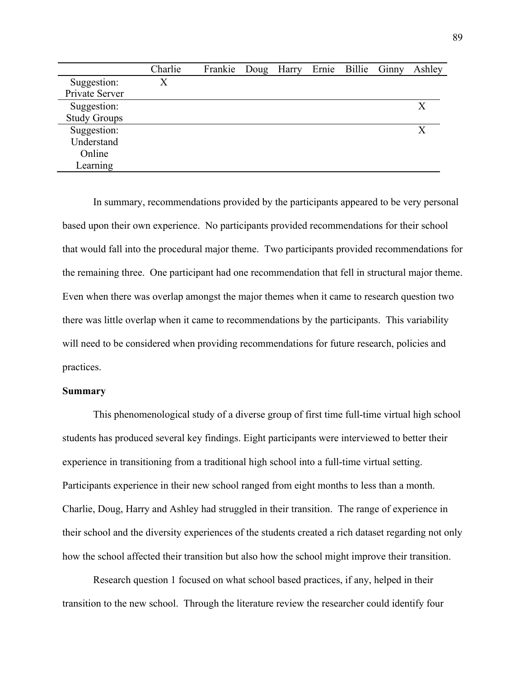|                     | Charlie | Frankie Doug Harry Ernie Billie Ginny |  |  | Ashley |
|---------------------|---------|---------------------------------------|--|--|--------|
| Suggestion:         | Χ       |                                       |  |  |        |
| Private Server      |         |                                       |  |  |        |
| Suggestion:         |         |                                       |  |  | X      |
| <b>Study Groups</b> |         |                                       |  |  |        |
| Suggestion:         |         |                                       |  |  | X      |
| Understand          |         |                                       |  |  |        |
| Online              |         |                                       |  |  |        |
| Learning            |         |                                       |  |  |        |

In summary, recommendations provided by the participants appeared to be very personal based upon their own experience. No participants provided recommendations for their school that would fall into the procedural major theme. Two participants provided recommendations for the remaining three. One participant had one recommendation that fell in structural major theme. Even when there was overlap amongst the major themes when it came to research question two there was little overlap when it came to recommendations by the participants. This variability will need to be considered when providing recommendations for future research, policies and practices.

# **Summary**

This phenomenological study of a diverse group of first time full-time virtual high school students has produced several key findings. Eight participants were interviewed to better their experience in transitioning from a traditional high school into a full-time virtual setting. Participants experience in their new school ranged from eight months to less than a month. Charlie, Doug, Harry and Ashley had struggled in their transition. The range of experience in their school and the diversity experiences of the students created a rich dataset regarding not only how the school affected their transition but also how the school might improve their transition.

Research question 1 focused on what school based practices, if any, helped in their transition to the new school. Through the literature review the researcher could identify four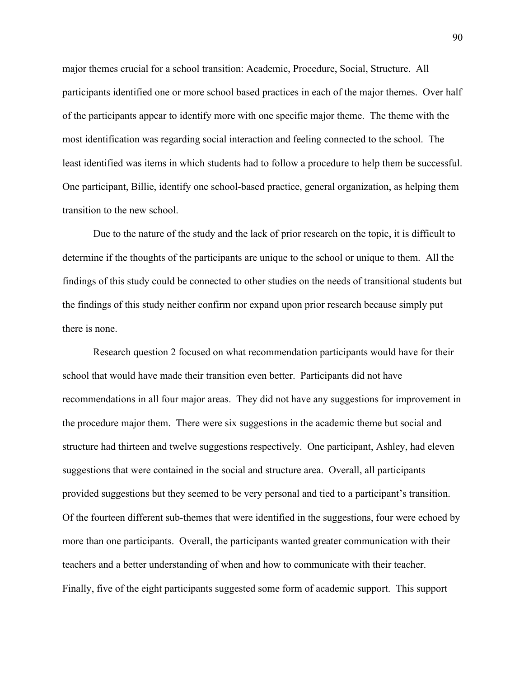major themes crucial for a school transition: Academic, Procedure, Social, Structure. All participants identified one or more school based practices in each of the major themes. Over half of the participants appear to identify more with one specific major theme. The theme with the most identification was regarding social interaction and feeling connected to the school. The least identified was items in which students had to follow a procedure to help them be successful. One participant, Billie, identify one school-based practice, general organization, as helping them transition to the new school.

Due to the nature of the study and the lack of prior research on the topic, it is difficult to determine if the thoughts of the participants are unique to the school or unique to them. All the findings of this study could be connected to other studies on the needs of transitional students but the findings of this study neither confirm nor expand upon prior research because simply put there is none.

Research question 2 focused on what recommendation participants would have for their school that would have made their transition even better. Participants did not have recommendations in all four major areas. They did not have any suggestions for improvement in the procedure major them. There were six suggestions in the academic theme but social and structure had thirteen and twelve suggestions respectively. One participant, Ashley, had eleven suggestions that were contained in the social and structure area. Overall, all participants provided suggestions but they seemed to be very personal and tied to a participant's transition. Of the fourteen different sub-themes that were identified in the suggestions, four were echoed by more than one participants. Overall, the participants wanted greater communication with their teachers and a better understanding of when and how to communicate with their teacher. Finally, five of the eight participants suggested some form of academic support. This support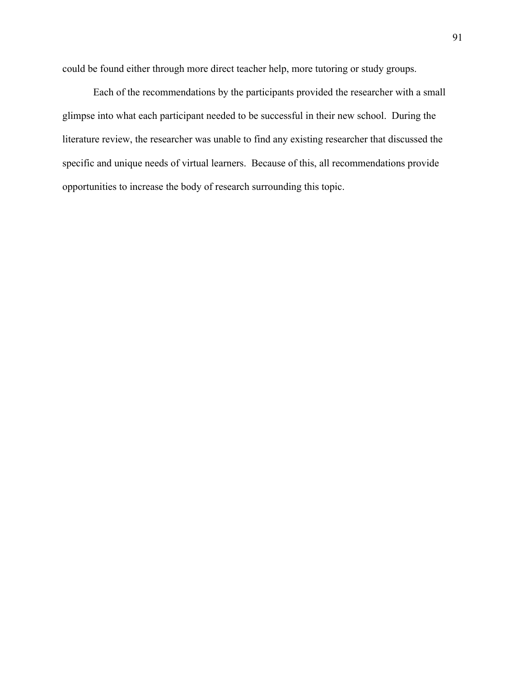could be found either through more direct teacher help, more tutoring or study groups.

Each of the recommendations by the participants provided the researcher with a small glimpse into what each participant needed to be successful in their new school. During the literature review, the researcher was unable to find any existing researcher that discussed the specific and unique needs of virtual learners. Because of this, all recommendations provide opportunities to increase the body of research surrounding this topic.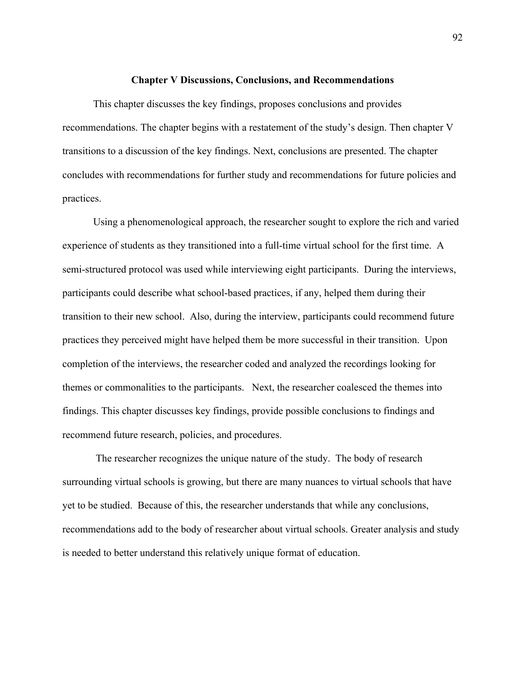#### **Chapter V Discussions, Conclusions, and Recommendations**

This chapter discusses the key findings, proposes conclusions and provides recommendations. The chapter begins with a restatement of the study's design. Then chapter V transitions to a discussion of the key findings. Next, conclusions are presented. The chapter concludes with recommendations for further study and recommendations for future policies and practices.

Using a phenomenological approach, the researcher sought to explore the rich and varied experience of students as they transitioned into a full-time virtual school for the first time. A semi-structured protocol was used while interviewing eight participants. During the interviews, participants could describe what school-based practices, if any, helped them during their transition to their new school. Also, during the interview, participants could recommend future practices they perceived might have helped them be more successful in their transition. Upon completion of the interviews, the researcher coded and analyzed the recordings looking for themes or commonalities to the participants. Next, the researcher coalesced the themes into findings. This chapter discusses key findings, provide possible conclusions to findings and recommend future research, policies, and procedures.

The researcher recognizes the unique nature of the study. The body of research surrounding virtual schools is growing, but there are many nuances to virtual schools that have yet to be studied. Because of this, the researcher understands that while any conclusions, recommendations add to the body of researcher about virtual schools. Greater analysis and study is needed to better understand this relatively unique format of education.

92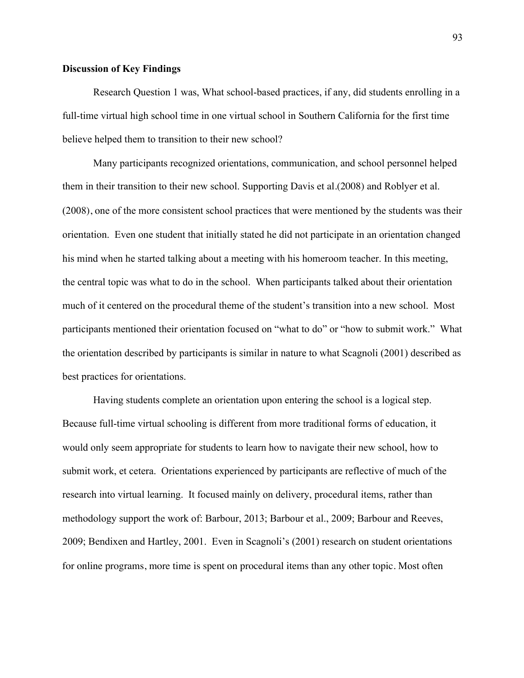# **Discussion of Key Findings**

Research Question 1 was, What school-based practices, if any, did students enrolling in a full-time virtual high school time in one virtual school in Southern California for the first time believe helped them to transition to their new school?

Many participants recognized orientations, communication, and school personnel helped them in their transition to their new school. Supporting Davis et al.(2008) and Roblyer et al. (2008), one of the more consistent school practices that were mentioned by the students was their orientation. Even one student that initially stated he did not participate in an orientation changed his mind when he started talking about a meeting with his homeroom teacher. In this meeting, the central topic was what to do in the school. When participants talked about their orientation much of it centered on the procedural theme of the student's transition into a new school. Most participants mentioned their orientation focused on "what to do" or "how to submit work." What the orientation described by participants is similar in nature to what Scagnoli (2001) described as best practices for orientations.

Having students complete an orientation upon entering the school is a logical step. Because full-time virtual schooling is different from more traditional forms of education, it would only seem appropriate for students to learn how to navigate their new school, how to submit work, et cetera. Orientations experienced by participants are reflective of much of the research into virtual learning. It focused mainly on delivery, procedural items, rather than methodology support the work of: Barbour, 2013; Barbour et al., 2009; Barbour and Reeves, 2009; Bendixen and Hartley, 2001. Even in Scagnoli's (2001) research on student orientations for online programs, more time is spent on procedural items than any other topic. Most often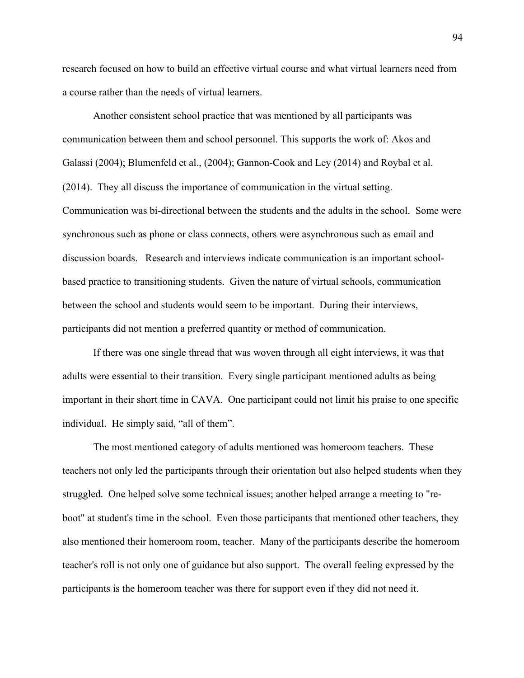research focused on how to build an effective virtual course and what virtual learners need from a course rather than the needs of virtual learners.

Another consistent school practice that was mentioned by all participants was communication between them and school personnel. This supports the work of: Akos and Galassi (2004); Blumenfeld et al., (2004); Gannon-Cook and Ley (2014) and Roybal et al. (2014). They all discuss the importance of communication in the virtual setting. Communication was bi-directional between the students and the adults in the school. Some were synchronous such as phone or class connects, others were asynchronous such as email and discussion boards. Research and interviews indicate communication is an important schoolbased practice to transitioning students. Given the nature of virtual schools, communication between the school and students would seem to be important. During their interviews, participants did not mention a preferred quantity or method of communication.

If there was one single thread that was woven through all eight interviews, it was that adults were essential to their transition. Every single participant mentioned adults as being important in their short time in CAVA. One participant could not limit his praise to one specific individual. He simply said, "all of them".

The most mentioned category of adults mentioned was homeroom teachers. These teachers not only led the participants through their orientation but also helped students when they struggled. One helped solve some technical issues; another helped arrange a meeting to "reboot" at student's time in the school. Even those participants that mentioned other teachers, they also mentioned their homeroom room, teacher. Many of the participants describe the homeroom teacher's roll is not only one of guidance but also support. The overall feeling expressed by the participants is the homeroom teacher was there for support even if they did not need it.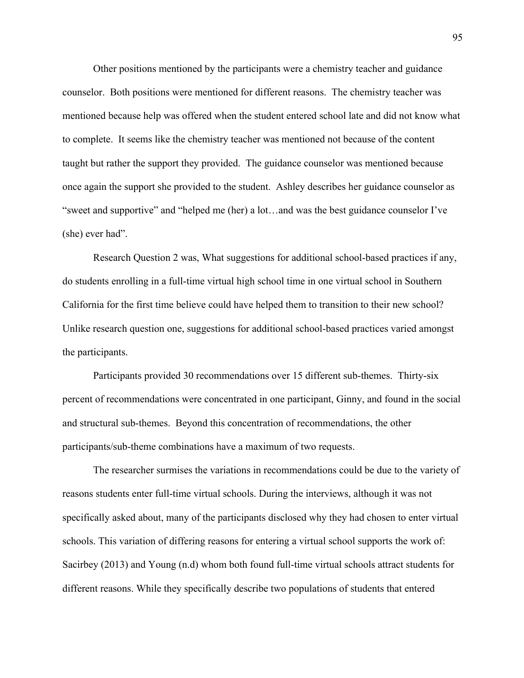Other positions mentioned by the participants were a chemistry teacher and guidance counselor. Both positions were mentioned for different reasons. The chemistry teacher was mentioned because help was offered when the student entered school late and did not know what to complete. It seems like the chemistry teacher was mentioned not because of the content taught but rather the support they provided. The guidance counselor was mentioned because once again the support she provided to the student. Ashley describes her guidance counselor as "sweet and supportive" and "helped me (her) a lot…and was the best guidance counselor I've (she) ever had".

Research Question 2 was, What suggestions for additional school-based practices if any, do students enrolling in a full-time virtual high school time in one virtual school in Southern California for the first time believe could have helped them to transition to their new school? Unlike research question one, suggestions for additional school-based practices varied amongst the participants.

Participants provided 30 recommendations over 15 different sub-themes. Thirty-six percent of recommendations were concentrated in one participant, Ginny, and found in the social and structural sub-themes. Beyond this concentration of recommendations, the other participants/sub-theme combinations have a maximum of two requests.

The researcher surmises the variations in recommendations could be due to the variety of reasons students enter full-time virtual schools. During the interviews, although it was not specifically asked about, many of the participants disclosed why they had chosen to enter virtual schools. This variation of differing reasons for entering a virtual school supports the work of: Sacirbey (2013) and Young (n.d) whom both found full-time virtual schools attract students for different reasons. While they specifically describe two populations of students that entered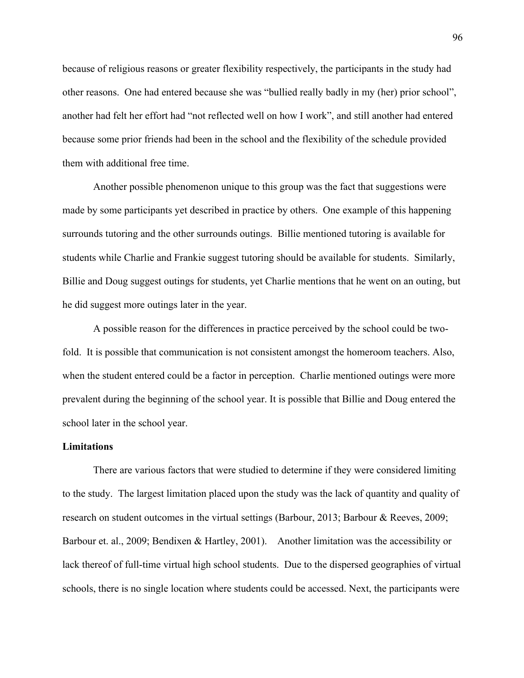because of religious reasons or greater flexibility respectively, the participants in the study had other reasons. One had entered because she was "bullied really badly in my (her) prior school", another had felt her effort had "not reflected well on how I work", and still another had entered because some prior friends had been in the school and the flexibility of the schedule provided them with additional free time.

Another possible phenomenon unique to this group was the fact that suggestions were made by some participants yet described in practice by others. One example of this happening surrounds tutoring and the other surrounds outings. Billie mentioned tutoring is available for students while Charlie and Frankie suggest tutoring should be available for students. Similarly, Billie and Doug suggest outings for students, yet Charlie mentions that he went on an outing, but he did suggest more outings later in the year.

A possible reason for the differences in practice perceived by the school could be twofold. It is possible that communication is not consistent amongst the homeroom teachers. Also, when the student entered could be a factor in perception. Charlie mentioned outings were more prevalent during the beginning of the school year. It is possible that Billie and Doug entered the school later in the school year.

# **Limitations**

There are various factors that were studied to determine if they were considered limiting to the study. The largest limitation placed upon the study was the lack of quantity and quality of research on student outcomes in the virtual settings (Barbour, 2013; Barbour & Reeves, 2009; Barbour et. al., 2009; Bendixen & Hartley, 2001). Another limitation was the accessibility or lack thereof of full-time virtual high school students. Due to the dispersed geographies of virtual schools, there is no single location where students could be accessed. Next, the participants were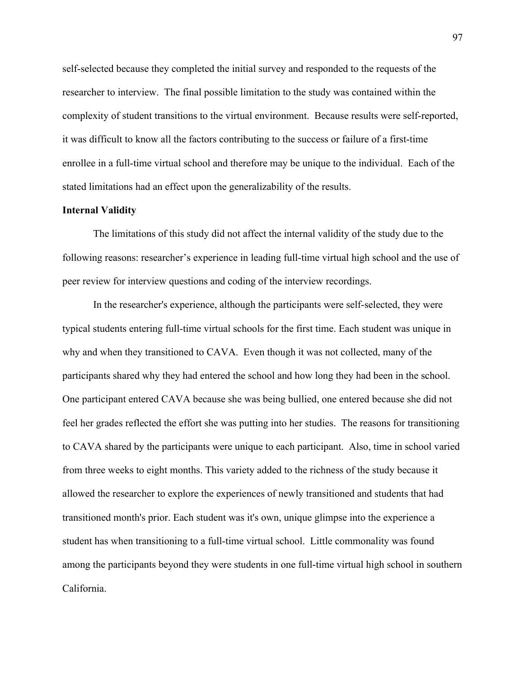self-selected because they completed the initial survey and responded to the requests of the researcher to interview. The final possible limitation to the study was contained within the complexity of student transitions to the virtual environment. Because results were self-reported, it was difficult to know all the factors contributing to the success or failure of a first-time enrollee in a full-time virtual school and therefore may be unique to the individual. Each of the stated limitations had an effect upon the generalizability of the results.

## **Internal Validity**

The limitations of this study did not affect the internal validity of the study due to the following reasons: researcher's experience in leading full-time virtual high school and the use of peer review for interview questions and coding of the interview recordings.

In the researcher's experience, although the participants were self-selected, they were typical students entering full-time virtual schools for the first time. Each student was unique in why and when they transitioned to CAVA. Even though it was not collected, many of the participants shared why they had entered the school and how long they had been in the school. One participant entered CAVA because she was being bullied, one entered because she did not feel her grades reflected the effort she was putting into her studies. The reasons for transitioning to CAVA shared by the participants were unique to each participant. Also, time in school varied from three weeks to eight months. This variety added to the richness of the study because it allowed the researcher to explore the experiences of newly transitioned and students that had transitioned month's prior. Each student was it's own, unique glimpse into the experience a student has when transitioning to a full-time virtual school. Little commonality was found among the participants beyond they were students in one full-time virtual high school in southern California.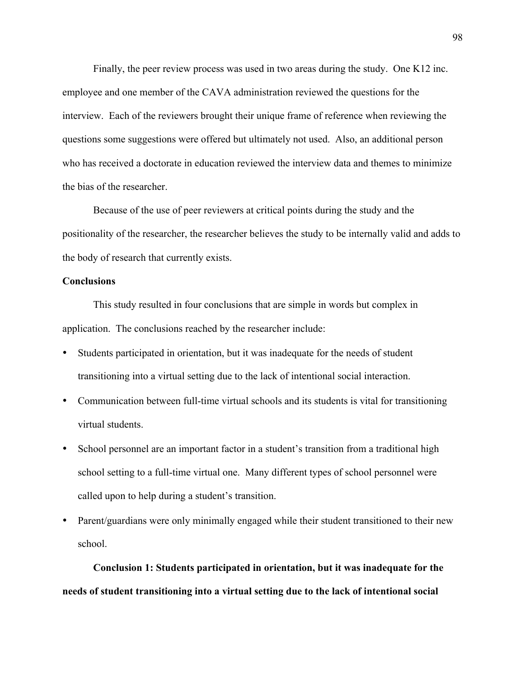Finally, the peer review process was used in two areas during the study. One K12 inc. employee and one member of the CAVA administration reviewed the questions for the interview. Each of the reviewers brought their unique frame of reference when reviewing the questions some suggestions were offered but ultimately not used. Also, an additional person who has received a doctorate in education reviewed the interview data and themes to minimize the bias of the researcher.

Because of the use of peer reviewers at critical points during the study and the positionality of the researcher, the researcher believes the study to be internally valid and adds to the body of research that currently exists.

## **Conclusions**

This study resulted in four conclusions that are simple in words but complex in application. The conclusions reached by the researcher include:

- Students participated in orientation, but it was inadequate for the needs of student transitioning into a virtual setting due to the lack of intentional social interaction.
- Communication between full-time virtual schools and its students is vital for transitioning virtual students.
- School personnel are an important factor in a student's transition from a traditional high school setting to a full-time virtual one. Many different types of school personnel were called upon to help during a student's transition.
- Parent/guardians were only minimally engaged while their student transitioned to their new school.

**Conclusion 1: Students participated in orientation, but it was inadequate for the needs of student transitioning into a virtual setting due to the lack of intentional social**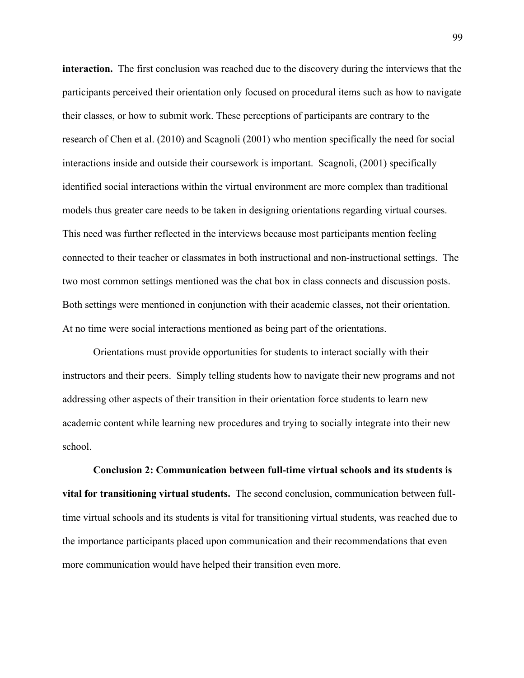**interaction.** The first conclusion was reached due to the discovery during the interviews that the participants perceived their orientation only focused on procedural items such as how to navigate their classes, or how to submit work. These perceptions of participants are contrary to the research of Chen et al. (2010) and Scagnoli (2001) who mention specifically the need for social interactions inside and outside their coursework is important. Scagnoli, (2001) specifically identified social interactions within the virtual environment are more complex than traditional models thus greater care needs to be taken in designing orientations regarding virtual courses. This need was further reflected in the interviews because most participants mention feeling connected to their teacher or classmates in both instructional and non-instructional settings. The two most common settings mentioned was the chat box in class connects and discussion posts. Both settings were mentioned in conjunction with their academic classes, not their orientation. At no time were social interactions mentioned as being part of the orientations.

Orientations must provide opportunities for students to interact socially with their instructors and their peers. Simply telling students how to navigate their new programs and not addressing other aspects of their transition in their orientation force students to learn new academic content while learning new procedures and trying to socially integrate into their new school.

**Conclusion 2: Communication between full-time virtual schools and its students is vital for transitioning virtual students.** The second conclusion, communication between fulltime virtual schools and its students is vital for transitioning virtual students, was reached due to the importance participants placed upon communication and their recommendations that even more communication would have helped their transition even more.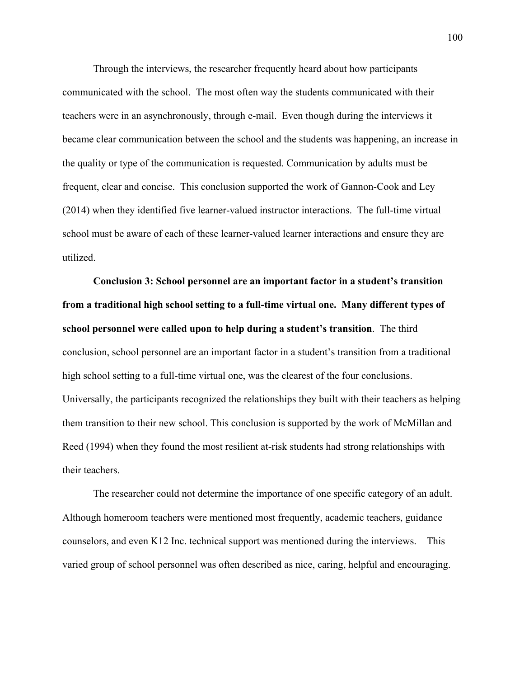Through the interviews, the researcher frequently heard about how participants communicated with the school. The most often way the students communicated with their teachers were in an asynchronously, through e-mail. Even though during the interviews it became clear communication between the school and the students was happening, an increase in the quality or type of the communication is requested. Communication by adults must be frequent, clear and concise. This conclusion supported the work of Gannon-Cook and Ley (2014) when they identified five learner-valued instructor interactions. The full-time virtual school must be aware of each of these learner-valued learner interactions and ensure they are utilized.

**Conclusion 3: School personnel are an important factor in a student's transition from a traditional high school setting to a full-time virtual one. Many different types of school personnel were called upon to help during a student's transition**. The third conclusion, school personnel are an important factor in a student's transition from a traditional high school setting to a full-time virtual one, was the clearest of the four conclusions. Universally, the participants recognized the relationships they built with their teachers as helping them transition to their new school. This conclusion is supported by the work of McMillan and Reed (1994) when they found the most resilient at-risk students had strong relationships with their teachers.

The researcher could not determine the importance of one specific category of an adult. Although homeroom teachers were mentioned most frequently, academic teachers, guidance counselors, and even K12 Inc. technical support was mentioned during the interviews. This varied group of school personnel was often described as nice, caring, helpful and encouraging.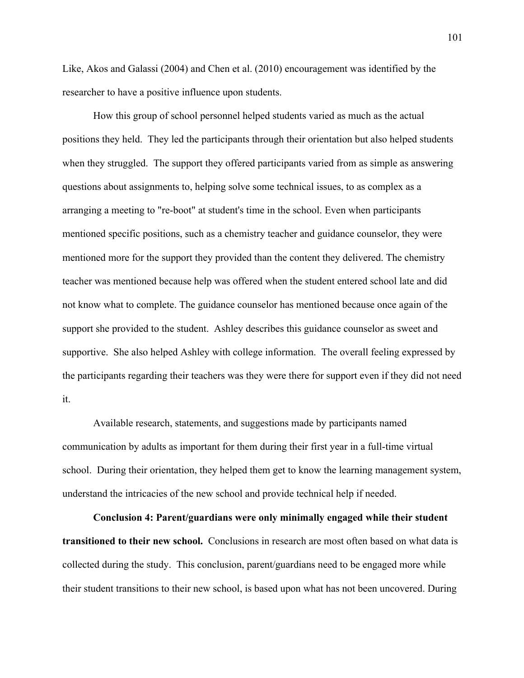Like, Akos and Galassi (2004) and Chen et al. (2010) encouragement was identified by the researcher to have a positive influence upon students.

How this group of school personnel helped students varied as much as the actual positions they held. They led the participants through their orientation but also helped students when they struggled. The support they offered participants varied from as simple as answering questions about assignments to, helping solve some technical issues, to as complex as a arranging a meeting to "re-boot" at student's time in the school. Even when participants mentioned specific positions, such as a chemistry teacher and guidance counselor, they were mentioned more for the support they provided than the content they delivered. The chemistry teacher was mentioned because help was offered when the student entered school late and did not know what to complete. The guidance counselor has mentioned because once again of the support she provided to the student. Ashley describes this guidance counselor as sweet and supportive. She also helped Ashley with college information. The overall feeling expressed by the participants regarding their teachers was they were there for support even if they did not need it.

Available research, statements, and suggestions made by participants named communication by adults as important for them during their first year in a full-time virtual school. During their orientation, they helped them get to know the learning management system, understand the intricacies of the new school and provide technical help if needed.

**Conclusion 4: Parent/guardians were only minimally engaged while their student transitioned to their new school.** Conclusions in research are most often based on what data is collected during the study. This conclusion, parent/guardians need to be engaged more while their student transitions to their new school, is based upon what has not been uncovered. During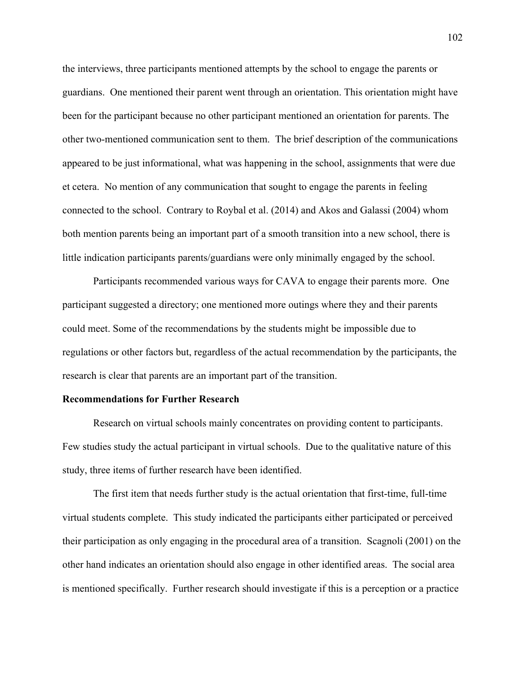the interviews, three participants mentioned attempts by the school to engage the parents or guardians. One mentioned their parent went through an orientation. This orientation might have been for the participant because no other participant mentioned an orientation for parents. The other two-mentioned communication sent to them. The brief description of the communications appeared to be just informational, what was happening in the school, assignments that were due et cetera. No mention of any communication that sought to engage the parents in feeling connected to the school. Contrary to Roybal et al. (2014) and Akos and Galassi (2004) whom both mention parents being an important part of a smooth transition into a new school, there is little indication participants parents/guardians were only minimally engaged by the school.

Participants recommended various ways for CAVA to engage their parents more. One participant suggested a directory; one mentioned more outings where they and their parents could meet. Some of the recommendations by the students might be impossible due to regulations or other factors but, regardless of the actual recommendation by the participants, the research is clear that parents are an important part of the transition.

### **Recommendations for Further Research**

Research on virtual schools mainly concentrates on providing content to participants. Few studies study the actual participant in virtual schools. Due to the qualitative nature of this study, three items of further research have been identified.

The first item that needs further study is the actual orientation that first-time, full-time virtual students complete. This study indicated the participants either participated or perceived their participation as only engaging in the procedural area of a transition. Scagnoli (2001) on the other hand indicates an orientation should also engage in other identified areas. The social area is mentioned specifically. Further research should investigate if this is a perception or a practice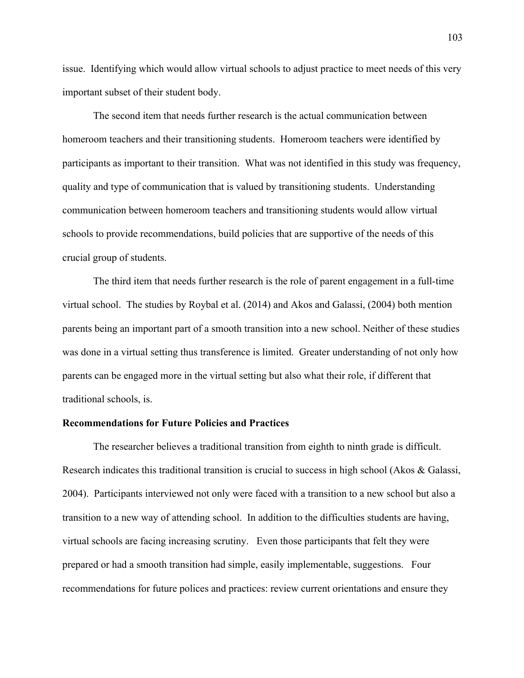issue. Identifying which would allow virtual schools to adjust practice to meet needs of this very important subset of their student body.

The second item that needs further research is the actual communication between homeroom teachers and their transitioning students. Homeroom teachers were identified by participants as important to their transition. What was not identified in this study was frequency, quality and type of communication that is valued by transitioning students. Understanding communication between homeroom teachers and transitioning students would allow virtual schools to provide recommendations, build policies that are supportive of the needs of this crucial group of students.

The third item that needs further research is the role of parent engagement in a full-time virtual school. The studies by Roybal et al. (2014) and Akos and Galassi, (2004) both mention parents being an important part of a smooth transition into a new school. Neither of these studies was done in a virtual setting thus transference is limited. Greater understanding of not only how parents can be engaged more in the virtual setting but also what their role, if different that traditional schools, is.

## **Recommendations for Future Policies and Practices**

The researcher believes a traditional transition from eighth to ninth grade is difficult. Research indicates this traditional transition is crucial to success in high school (Akos & Galassi, 2004). Participants interviewed not only were faced with a transition to a new school but also a transition to a new way of attending school. In addition to the difficulties students are having, virtual schools are facing increasing scrutiny. Even those participants that felt they were prepared or had a smooth transition had simple, easily implementable, suggestions. Four recommendations for future polices and practices: review current orientations and ensure they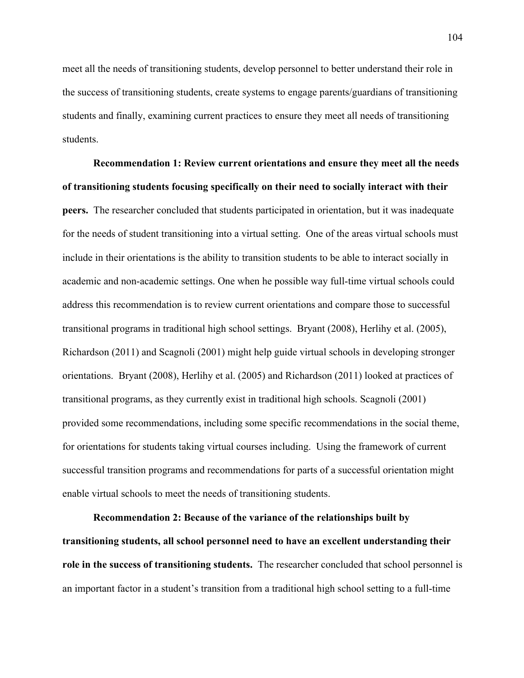meet all the needs of transitioning students, develop personnel to better understand their role in the success of transitioning students, create systems to engage parents/guardians of transitioning students and finally, examining current practices to ensure they meet all needs of transitioning students.

**Recommendation 1: Review current orientations and ensure they meet all the needs of transitioning students focusing specifically on their need to socially interact with their peers.** The researcher concluded that students participated in orientation, but it was inadequate for the needs of student transitioning into a virtual setting. One of the areas virtual schools must include in their orientations is the ability to transition students to be able to interact socially in academic and non-academic settings. One when he possible way full-time virtual schools could address this recommendation is to review current orientations and compare those to successful transitional programs in traditional high school settings. Bryant (2008), Herlihy et al. (2005), Richardson (2011) and Scagnoli (2001) might help guide virtual schools in developing stronger orientations. Bryant (2008), Herlihy et al. (2005) and Richardson (2011) looked at practices of transitional programs, as they currently exist in traditional high schools. Scagnoli (2001) provided some recommendations, including some specific recommendations in the social theme, for orientations for students taking virtual courses including. Using the framework of current successful transition programs and recommendations for parts of a successful orientation might enable virtual schools to meet the needs of transitioning students.

**Recommendation 2: Because of the variance of the relationships built by transitioning students, all school personnel need to have an excellent understanding their role in the success of transitioning students.** The researcher concluded that school personnel is an important factor in a student's transition from a traditional high school setting to a full-time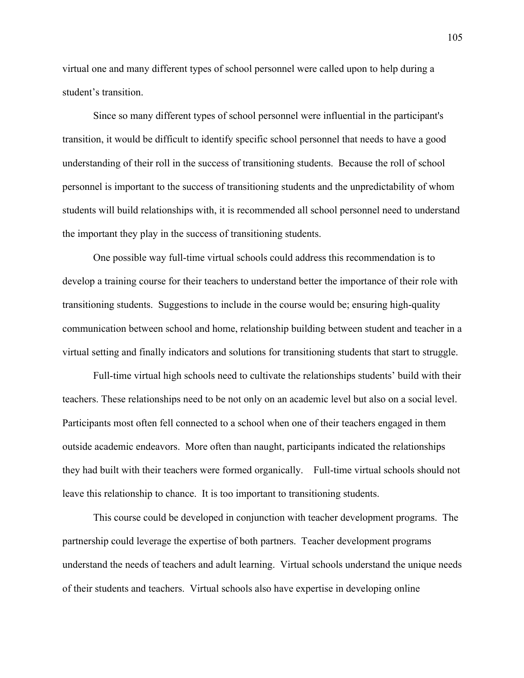virtual one and many different types of school personnel were called upon to help during a student's transition.

Since so many different types of school personnel were influential in the participant's transition, it would be difficult to identify specific school personnel that needs to have a good understanding of their roll in the success of transitioning students. Because the roll of school personnel is important to the success of transitioning students and the unpredictability of whom students will build relationships with, it is recommended all school personnel need to understand the important they play in the success of transitioning students.

One possible way full-time virtual schools could address this recommendation is to develop a training course for their teachers to understand better the importance of their role with transitioning students. Suggestions to include in the course would be; ensuring high-quality communication between school and home, relationship building between student and teacher in a virtual setting and finally indicators and solutions for transitioning students that start to struggle.

Full-time virtual high schools need to cultivate the relationships students' build with their teachers. These relationships need to be not only on an academic level but also on a social level. Participants most often fell connected to a school when one of their teachers engaged in them outside academic endeavors. More often than naught, participants indicated the relationships they had built with their teachers were formed organically. Full-time virtual schools should not leave this relationship to chance. It is too important to transitioning students.

This course could be developed in conjunction with teacher development programs. The partnership could leverage the expertise of both partners. Teacher development programs understand the needs of teachers and adult learning. Virtual schools understand the unique needs of their students and teachers. Virtual schools also have expertise in developing online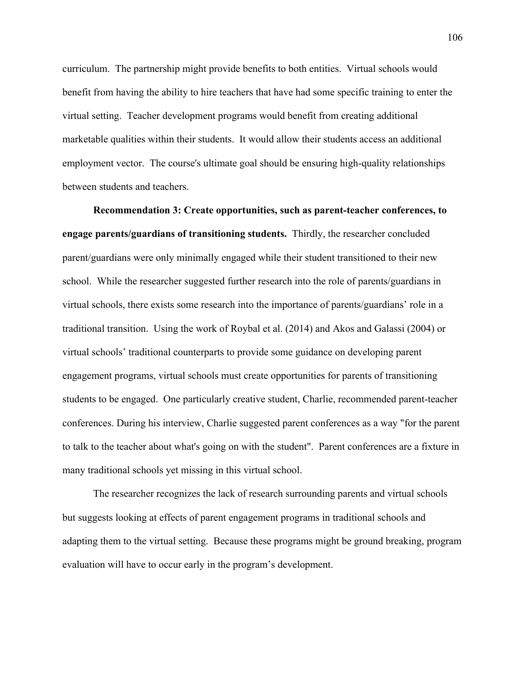curriculum. The partnership might provide benefits to both entities. Virtual schools would benefit from having the ability to hire teachers that have had some specific training to enter the virtual setting. Teacher development programs would benefit from creating additional marketable qualities within their students. It would allow their students access an additional employment vector. The course's ultimate goal should be ensuring high-quality relationships between students and teachers.

**Recommendation 3: Create opportunities, such as parent-teacher conferences, to engage parents/guardians of transitioning students.** Thirdly, the researcher concluded parent/guardians were only minimally engaged while their student transitioned to their new school. While the researcher suggested further research into the role of parents/guardians in virtual schools, there exists some research into the importance of parents/guardians' role in a traditional transition. Using the work of Roybal et al. (2014) and Akos and Galassi (2004) or virtual schools' traditional counterparts to provide some guidance on developing parent engagement programs, virtual schools must create opportunities for parents of transitioning students to be engaged. One particularly creative student, Charlie, recommended parent-teacher conferences. During his interview, Charlie suggested parent conferences as a way "for the parent to talk to the teacher about what's going on with the student". Parent conferences are a fixture in many traditional schools yet missing in this virtual school.

The researcher recognizes the lack of research surrounding parents and virtual schools but suggests looking at effects of parent engagement programs in traditional schools and adapting them to the virtual setting. Because these programs might be ground breaking, program evaluation will have to occur early in the program's development.

106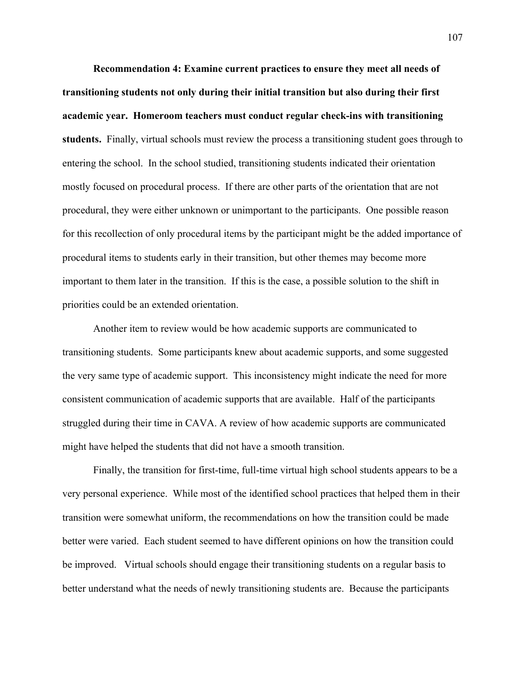**Recommendation 4: Examine current practices to ensure they meet all needs of transitioning students not only during their initial transition but also during their first academic year. Homeroom teachers must conduct regular check-ins with transitioning students.** Finally, virtual schools must review the process a transitioning student goes through to entering the school. In the school studied, transitioning students indicated their orientation mostly focused on procedural process. If there are other parts of the orientation that are not procedural, they were either unknown or unimportant to the participants. One possible reason for this recollection of only procedural items by the participant might be the added importance of procedural items to students early in their transition, but other themes may become more important to them later in the transition. If this is the case, a possible solution to the shift in priorities could be an extended orientation.

Another item to review would be how academic supports are communicated to transitioning students. Some participants knew about academic supports, and some suggested the very same type of academic support. This inconsistency might indicate the need for more consistent communication of academic supports that are available. Half of the participants struggled during their time in CAVA. A review of how academic supports are communicated might have helped the students that did not have a smooth transition.

Finally, the transition for first-time, full-time virtual high school students appears to be a very personal experience. While most of the identified school practices that helped them in their transition were somewhat uniform, the recommendations on how the transition could be made better were varied. Each student seemed to have different opinions on how the transition could be improved. Virtual schools should engage their transitioning students on a regular basis to better understand what the needs of newly transitioning students are. Because the participants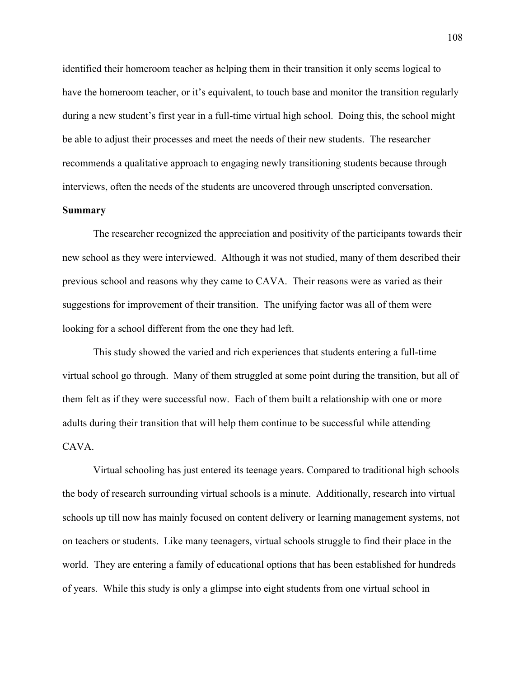identified their homeroom teacher as helping them in their transition it only seems logical to have the homeroom teacher, or it's equivalent, to touch base and monitor the transition regularly during a new student's first year in a full-time virtual high school. Doing this, the school might be able to adjust their processes and meet the needs of their new students. The researcher recommends a qualitative approach to engaging newly transitioning students because through interviews, often the needs of the students are uncovered through unscripted conversation.

## **Summary**

The researcher recognized the appreciation and positivity of the participants towards their new school as they were interviewed. Although it was not studied, many of them described their previous school and reasons why they came to CAVA. Their reasons were as varied as their suggestions for improvement of their transition. The unifying factor was all of them were looking for a school different from the one they had left.

This study showed the varied and rich experiences that students entering a full-time virtual school go through. Many of them struggled at some point during the transition, but all of them felt as if they were successful now. Each of them built a relationship with one or more adults during their transition that will help them continue to be successful while attending CAVA.

Virtual schooling has just entered its teenage years. Compared to traditional high schools the body of research surrounding virtual schools is a minute. Additionally, research into virtual schools up till now has mainly focused on content delivery or learning management systems, not on teachers or students. Like many teenagers, virtual schools struggle to find their place in the world. They are entering a family of educational options that has been established for hundreds of years. While this study is only a glimpse into eight students from one virtual school in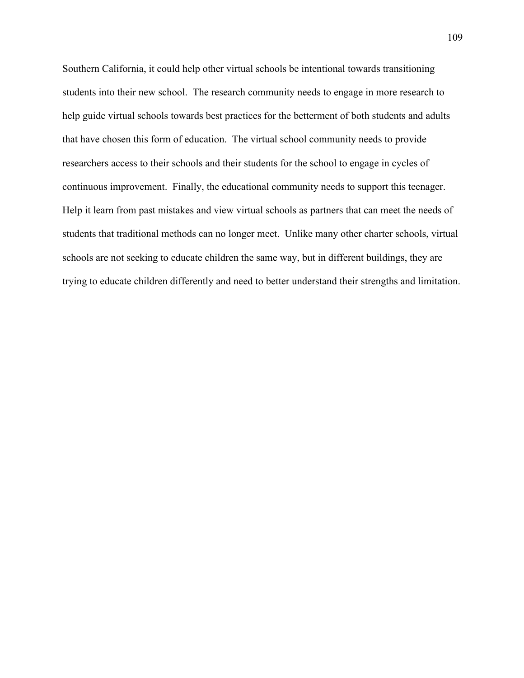Southern California, it could help other virtual schools be intentional towards transitioning students into their new school. The research community needs to engage in more research to help guide virtual schools towards best practices for the betterment of both students and adults that have chosen this form of education. The virtual school community needs to provide researchers access to their schools and their students for the school to engage in cycles of continuous improvement. Finally, the educational community needs to support this teenager. Help it learn from past mistakes and view virtual schools as partners that can meet the needs of students that traditional methods can no longer meet. Unlike many other charter schools, virtual schools are not seeking to educate children the same way, but in different buildings, they are trying to educate children differently and need to better understand their strengths and limitation.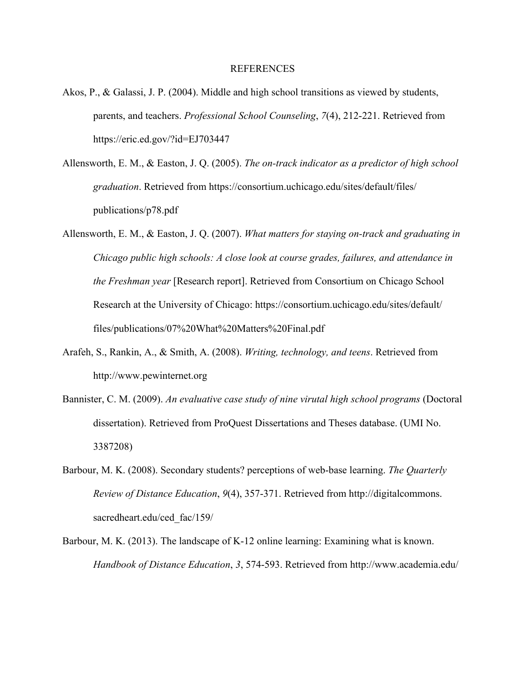### REFERENCES

- Akos, P., & Galassi, J. P. (2004). Middle and high school transitions as viewed by students, parents, and teachers. *Professional School Counseling*, *7*(4), 212-221. Retrieved from https://eric.ed.gov/?id=EJ703447
- Allensworth, E. M., & Easton, J. Q. (2005). *The on-track indicator as a predictor of high school graduation*. Retrieved from https://consortium.uchicago.edu/sites/default/files/ publications/p78.pdf
- Allensworth, E. M., & Easton, J. Q. (2007). *What matters for staying on-track and graduating in Chicago public high schools: A close look at course grades, failures, and attendance in the Freshman year* [Research report]. Retrieved from Consortium on Chicago School Research at the University of Chicago: https://consortium.uchicago.edu/sites/default/ files/publications/07%20What%20Matters%20Final.pdf
- Arafeh, S., Rankin, A., & Smith, A. (2008). *Writing, technology, and teens*. Retrieved from http://www.pewinternet.org
- Bannister, C. M. (2009). *An evaluative case study of nine virutal high school programs* (Doctoral dissertation). Retrieved from ProQuest Dissertations and Theses database. (UMI No. 3387208)
- Barbour, M. K. (2008). Secondary students? perceptions of web-base learning. *The Quarterly Review of Distance Education*, *9*(4), 357-371. Retrieved from http://digitalcommons. sacredheart.edu/ced\_fac/159/
- Barbour, M. K. (2013). The landscape of K-12 online learning: Examining what is known. *Handbook of Distance Education*, *3*, 574-593. Retrieved from http://www.academia.edu/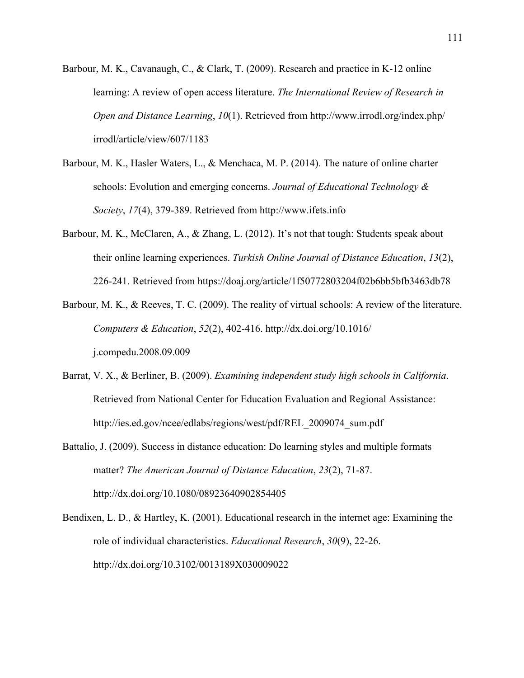- Barbour, M. K., Cavanaugh, C., & Clark, T. (2009). Research and practice in K-12 online learning: A review of open access literature. *The International Review of Research in Open and Distance Learning*, *10*(1). Retrieved from http://www.irrodl.org/index.php/ irrodl/article/view/607/1183
- Barbour, M. K., Hasler Waters, L., & Menchaca, M. P. (2014). The nature of online charter schools: Evolution and emerging concerns. *Journal of Educational Technology & Society*, *17*(4), 379-389. Retrieved from http://www.ifets.info
- Barbour, M. K., McClaren, A., & Zhang, L. (2012). It's not that tough: Students speak about their online learning experiences. *Turkish Online Journal of Distance Education*, *13*(2), 226-241. Retrieved from https://doaj.org/article/1f50772803204f02b6bb5bfb3463db78
- Barbour, M. K., & Reeves, T. C. (2009). The reality of virtual schools: A review of the literature. *Computers & Education*, *52*(2), 402-416. http://dx.doi.org/10.1016/ j.compedu.2008.09.009
- Barrat, V. X., & Berliner, B. (2009). *Examining independent study high schools in California*. Retrieved from National Center for Education Evaluation and Regional Assistance: http://ies.ed.gov/ncee/edlabs/regions/west/pdf/REL\_2009074\_sum.pdf
- Battalio, J. (2009). Success in distance education: Do learning styles and multiple formats matter? *The American Journal of Distance Education*, *23*(2), 71-87. http://dx.doi.org/10.1080/08923640902854405
- Bendixen, L. D., & Hartley, K. (2001). Educational research in the internet age: Examining the role of individual characteristics. *Educational Research*, *30*(9), 22-26. http://dx.doi.org/10.3102/0013189X030009022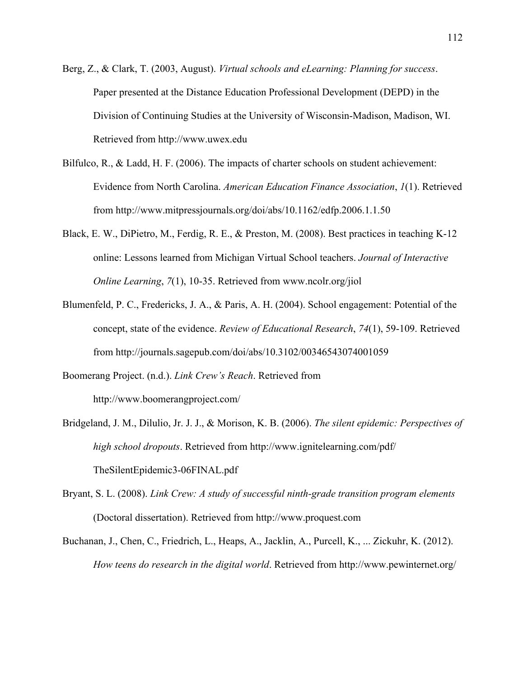- Berg, Z., & Clark, T. (2003, August). *Virtual schools and eLearning: Planning for success*. Paper presented at the Distance Education Professional Development (DEPD) in the Division of Continuing Studies at the University of Wisconsin-Madison, Madison, WI. Retrieved from http://www.uwex.edu
- Bilfulco, R., & Ladd, H. F. (2006). The impacts of charter schools on student achievement: Evidence from North Carolina. *American Education Finance Association*, *1*(1). Retrieved from http://www.mitpressjournals.org/doi/abs/10.1162/edfp.2006.1.1.50
- Black, E. W., DiPietro, M., Ferdig, R. E., & Preston, M. (2008). Best practices in teaching K-12 online: Lessons learned from Michigan Virtual School teachers. *Journal of Interactive Online Learning*, *7*(1), 10-35. Retrieved from www.ncolr.org/jiol
- Blumenfeld, P. C., Fredericks, J. A., & Paris, A. H. (2004). School engagement: Potential of the concept, state of the evidence. *Review of Educational Research*, *74*(1), 59-109. Retrieved from http://journals.sagepub.com/doi/abs/10.3102/00346543074001059
- Boomerang Project. (n.d.). *Link Crew's Reach*. Retrieved from http://www.boomerangproject.com/
- Bridgeland, J. M., Dilulio, Jr. J. J., & Morison, K. B. (2006). *The silent epidemic: Perspectives of high school dropouts*. Retrieved from http://www.ignitelearning.com/pdf/ TheSilentEpidemic3-06FINAL.pdf
- Bryant, S. L. (2008). *Link Crew: A study of successful ninth-grade transition program elements* (Doctoral dissertation). Retrieved from http://www.proquest.com
- Buchanan, J., Chen, C., Friedrich, L., Heaps, A., Jacklin, A., Purcell, K., ... Zickuhr, K. (2012). *How teens do research in the digital world*. Retrieved from http://www.pewinternet.org/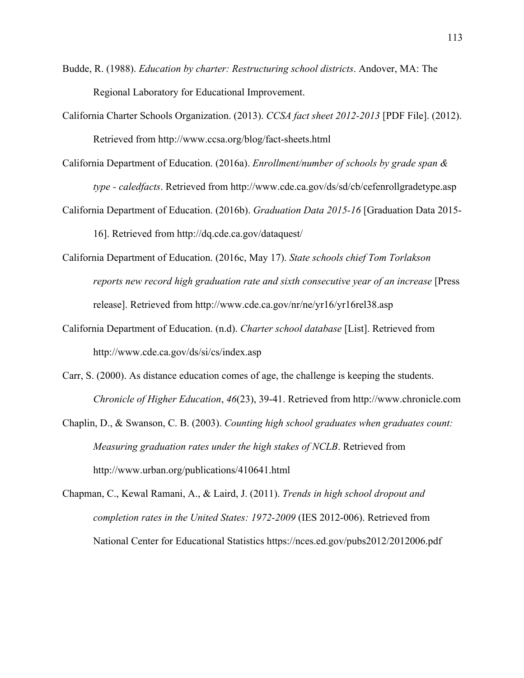- Budde, R. (1988). *Education by charter: Restructuring school districts*. Andover, MA: The Regional Laboratory for Educational Improvement.
- California Charter Schools Organization. (2013). *CCSA fact sheet 2012-2013* [PDF File]. (2012). Retrieved from http://www.ccsa.org/blog/fact-sheets.html
- California Department of Education. (2016a). *Enrollment/number of schools by grade span & type - caledfacts*. Retrieved from http://www.cde.ca.gov/ds/sd/cb/cefenrollgradetype.asp
- California Department of Education. (2016b). *Graduation Data 2015-16* [Graduation Data 2015- 16]. Retrieved from http://dq.cde.ca.gov/dataquest/
- California Department of Education. (2016c, May 17). *State schools chief Tom Torlakson reports new record high graduation rate and sixth consecutive year of an increase* [Press release]. Retrieved from http://www.cde.ca.gov/nr/ne/yr16/yr16rel38.asp
- California Department of Education. (n.d). *Charter school database* [List]. Retrieved from http://www.cde.ca.gov/ds/si/cs/index.asp
- Carr, S. (2000). As distance education comes of age, the challenge is keeping the students. *Chronicle of Higher Education*, *46*(23), 39-41. Retrieved from http://www.chronicle.com
- Chaplin, D., & Swanson, C. B. (2003). *Counting high school graduates when graduates count: Measuring graduation rates under the high stakes of NCLB*. Retrieved from http://www.urban.org/publications/410641.html
- Chapman, C., Kewal Ramani, A., & Laird, J. (2011). *Trends in high school dropout and completion rates in the United States: 1972-2009* (IES 2012-006). Retrieved from National Center for Educational Statistics https://nces.ed.gov/pubs2012/2012006.pdf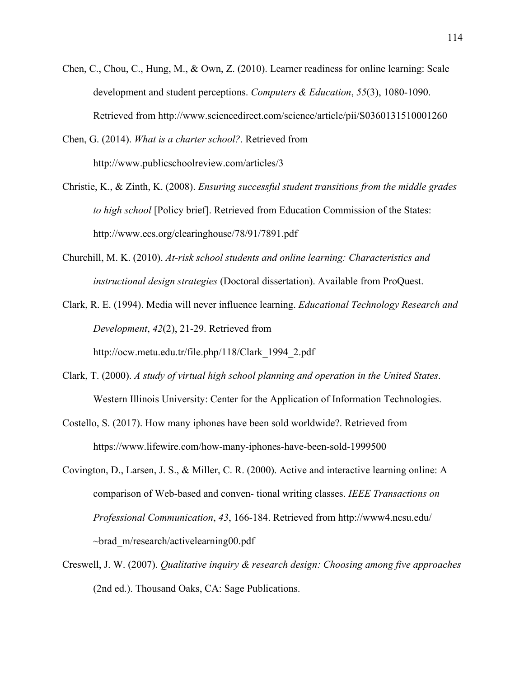- Chen, C., Chou, C., Hung, M., & Own, Z. (2010). Learner readiness for online learning: Scale development and student perceptions. *Computers & Education*, *55*(3), 1080-1090. Retrieved from http://www.sciencedirect.com/science/article/pii/S0360131510001260
- Chen, G. (2014). *What is a charter school?*. Retrieved from http://www.publicschoolreview.com/articles/3
- Christie, K., & Zinth, K. (2008). *Ensuring successful student transitions from the middle grades to high school* [Policy brief]. Retrieved from Education Commission of the States: http://www.ecs.org/clearinghouse/78/91/7891.pdf
- Churchill, M. K. (2010). *At-risk school students and online learning: Characteristics and instructional design strategies* (Doctoral dissertation). Available from ProQuest.
- Clark, R. E. (1994). Media will never influence learning. *Educational Technology Research and Development*, *42*(2), 21-29. Retrieved from

http://ocw.metu.edu.tr/file.php/118/Clark\_1994\_2.pdf

- Clark, T. (2000). *A study of virtual high school planning and operation in the United States*. Western Illinois University: Center for the Application of Information Technologies.
- Costello, S. (2017). How many iphones have been sold worldwide?. Retrieved from https://www.lifewire.com/how-many-iphones-have-been-sold-1999500
- Covington, D., Larsen, J. S., & Miller, C. R. (2000). Active and interactive learning online: A comparison of Web-based and conven- tional writing classes. *IEEE Transactions on Professional Communication*, *43*, 166-184. Retrieved from http://www4.ncsu.edu/ ~brad\_m/research/activelearning00.pdf
- Creswell, J. W. (2007). *Qualitative inquiry & research design: Choosing among five approaches* (2nd ed.). Thousand Oaks, CA: Sage Publications.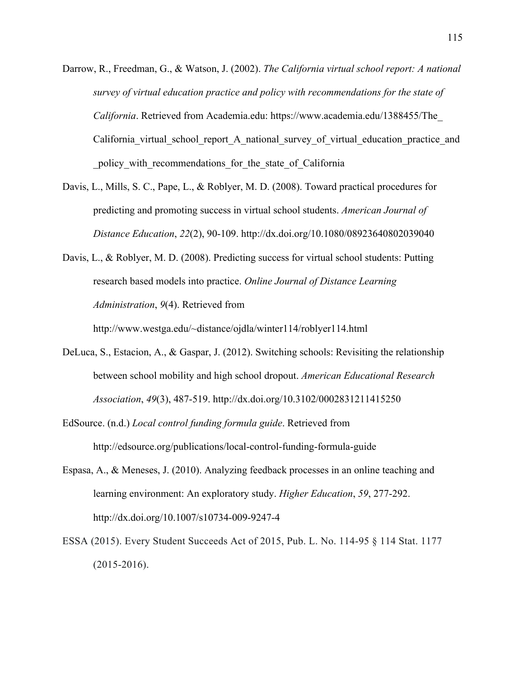- Darrow, R., Freedman, G., & Watson, J. (2002). *The California virtual school report: A national survey of virtual education practice and policy with recommendations for the state of California*. Retrieved from Academia.edu: https://www.academia.edu/1388455/The\_ California virtual school report A national survey of virtual education practice and policy with recommendations for the state of California
- Davis, L., Mills, S. C., Pape, L., & Roblyer, M. D. (2008). Toward practical procedures for predicting and promoting success in virtual school students. *American Journal of Distance Education*, *22*(2), 90-109. http://dx.doi.org/10.1080/08923640802039040
- Davis, L., & Roblyer, M. D. (2008). Predicting success for virtual school students: Putting research based models into practice. *Online Journal of Distance Learning Administration*, *9*(4). Retrieved from http://www.westga.edu/~distance/ojdla/winter114/roblyer114.html
- DeLuca, S., Estacion, A., & Gaspar, J. (2012). Switching schools: Revisiting the relationship between school mobility and high school dropout. *American Educational Research Association*, *49*(3), 487-519. http://dx.doi.org/10.3102/0002831211415250
- EdSource. (n.d.) *Local control funding formula guide*. Retrieved from http://edsource.org/publications/local-control-funding-formula-guide
- Espasa, A., & Meneses, J. (2010). Analyzing feedback processes in an online teaching and learning environment: An exploratory study. *Higher Education*, *59*, 277-292. http://dx.doi.org/10.1007/s10734-009-9247-4
- ESSA (2015). Every Student Succeeds Act of 2015, Pub. L. No. 114-95 § 114 Stat. 1177 (2015-2016).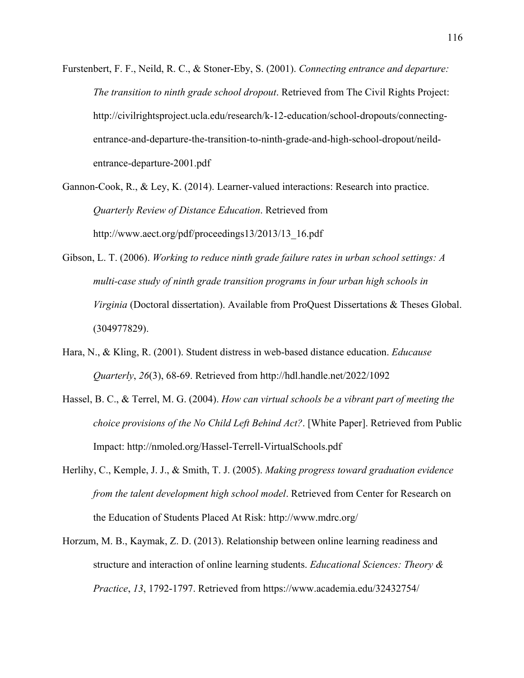- Furstenbert, F. F., Neild, R. C., & Stoner-Eby, S. (2001). *Connecting entrance and departure: The transition to ninth grade school dropout*. Retrieved from The Civil Rights Project: http://civilrightsproject.ucla.edu/research/k-12-education/school-dropouts/connectingentrance-and-departure-the-transition-to-ninth-grade-and-high-school-dropout/neildentrance-departure-2001.pdf
- Gannon-Cook, R., & Ley, K. (2014). Learner-valued interactions: Research into practice. *Quarterly Review of Distance Education*. Retrieved from http://www.aect.org/pdf/proceedings13/2013/13\_16.pdf
- Gibson, L. T. (2006). *Working to reduce ninth grade failure rates in urban school settings: A multi-case study of ninth grade transition programs in four urban high schools in Virginia* (Doctoral dissertation). Available from ProQuest Dissertations & Theses Global. (304977829).
- Hara, N., & Kling, R. (2001). Student distress in web-based distance education. *Educause Quarterly*, *26*(3), 68-69. Retrieved from http://hdl.handle.net/2022/1092
- Hassel, B. C., & Terrel, M. G. (2004). *How can virtual schools be a vibrant part of meeting the choice provisions of the No Child Left Behind Act?*. [White Paper]. Retrieved from Public Impact: http://nmoled.org/Hassel-Terrell-VirtualSchools.pdf
- Herlihy, C., Kemple, J. J., & Smith, T. J. (2005). *Making progress toward graduation evidence from the talent development high school model*. Retrieved from Center for Research on the Education of Students Placed At Risk: http://www.mdrc.org/
- Horzum, M. B., Kaymak, Z. D. (2013). Relationship between online learning readiness and structure and interaction of online learning students. *Educational Sciences: Theory & Practice*, *13*, 1792-1797. Retrieved from https://www.academia.edu/32432754/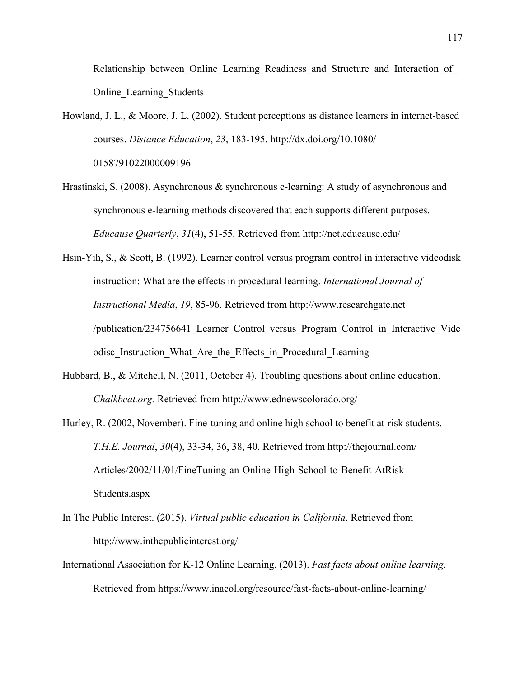Relationship\_between\_Online\_Learning\_Readiness\_and\_Structure\_and\_Interaction\_of Online\_Learning\_Students

- Howland, J. L., & Moore, J. L. (2002). Student perceptions as distance learners in internet-based courses. *Distance Education*, *23*, 183-195. http://dx.doi.org/10.1080/ 0158791022000009196
- Hrastinski, S. (2008). Asynchronous & synchronous e-learning: A study of asynchronous and synchronous e-learning methods discovered that each supports different purposes. *Educause Quarterly*, *31*(4), 51-55. Retrieved from http://net.educause.edu/
- Hsin-Yih, S., & Scott, B. (1992). Learner control versus program control in interactive videodisk instruction: What are the effects in procedural learning. *International Journal of Instructional Media*, *19*, 85-96. Retrieved from http://www.researchgate.net /publication/234756641\_Learner\_Control\_versus\_Program\_Control\_in\_Interactive\_Vide odisc\_Instruction\_What\_Are\_the\_Effects\_in\_Procedural\_Learning
- Hubbard, B., & Mitchell, N. (2011, October 4). Troubling questions about online education. *Chalkbeat.org.* Retrieved from http://www.ednewscolorado.org/
- Hurley, R. (2002, November). Fine-tuning and online high school to benefit at-risk students. *T.H.E. Journal*, *30*(4), 33-34, 36, 38, 40. Retrieved from http://thejournal.com/ Articles/2002/11/01/FineTuning-an-Online-High-School-to-Benefit-AtRisk-Students.aspx
- In The Public Interest. (2015). *Virtual public education in California*. Retrieved from http://www.inthepublicinterest.org/
- International Association for K-12 Online Learning. (2013). *Fast facts about online learning*. Retrieved from https://www.inacol.org/resource/fast-facts-about-online-learning/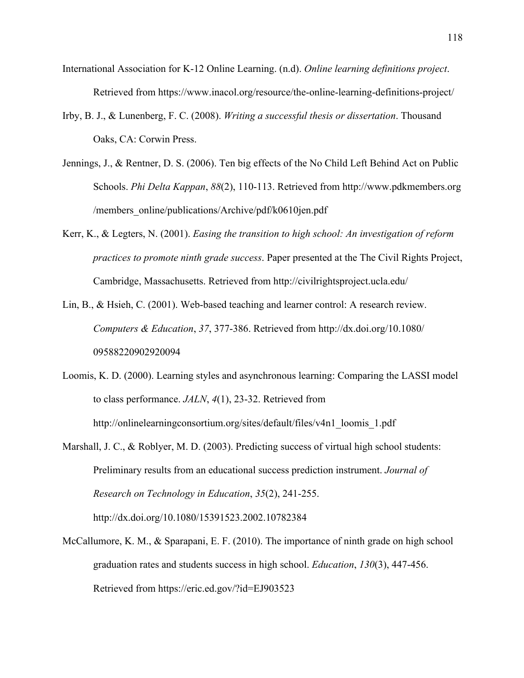- International Association for K-12 Online Learning. (n.d). *Online learning definitions project*. Retrieved from https://www.inacol.org/resource/the-online-learning-definitions-project/
- Irby, B. J., & Lunenberg, F. C. (2008). *Writing a successful thesis or dissertation*. Thousand Oaks, CA: Corwin Press.
- Jennings, J., & Rentner, D. S. (2006). Ten big effects of the No Child Left Behind Act on Public Schools. *Phi Delta Kappan*, *88*(2), 110-113. Retrieved from http://www.pdkmembers.org /members\_online/publications/Archive/pdf/k0610jen.pdf
- Kerr, K., & Legters, N. (2001). *Easing the transition to high school: An investigation of reform practices to promote ninth grade success*. Paper presented at the The Civil Rights Project, Cambridge, Massachusetts. Retrieved from http://civilrightsproject.ucla.edu/
- Lin, B., & Hsieh, C. (2001). Web-based teaching and learner control: A research review. *Computers & Education*, *37*, 377-386. Retrieved from http://dx.doi.org/10.1080/ 09588220902920094
- Loomis, K. D. (2000). Learning styles and asynchronous learning: Comparing the LASSI model to class performance. *JALN*, *4*(1), 23-32. Retrieved from http://onlinelearningconsortium.org/sites/default/files/v4n1\_loomis\_1.pdf
- Marshall, J. C., & Roblyer, M. D. (2003). Predicting success of virtual high school students: Preliminary results from an educational success prediction instrument. *Journal of Research on Technology in Education*, *35*(2), 241-255. http://dx.doi.org/10.1080/15391523.2002.10782384
- McCallumore, K. M., & Sparapani, E. F. (2010). The importance of ninth grade on high school graduation rates and students success in high school. *Education*, *130*(3), 447-456. Retrieved from https://eric.ed.gov/?id=EJ903523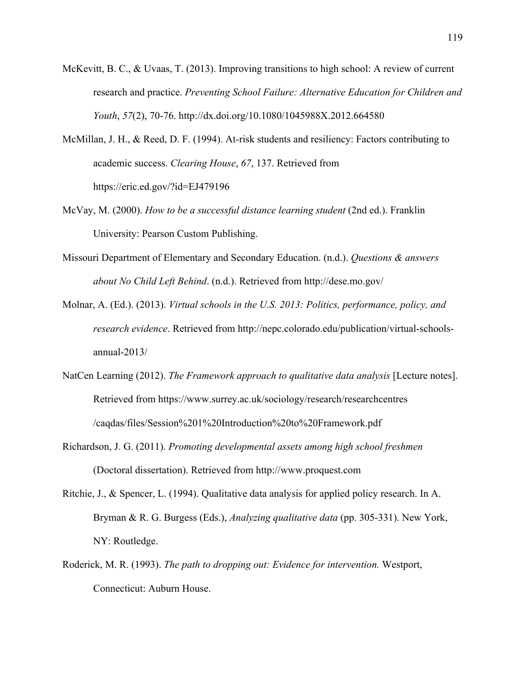- McKevitt, B. C., & Uvaas, T. (2013). Improving transitions to high school: A review of current research and practice. *Preventing School Failure: Alternative Education for Children and Youth*, *57*(2), 70-76. http://dx.doi.org/10.1080/1045988X.2012.664580
- McMillan, J. H., & Reed, D. F. (1994). At-risk students and resiliency: Factors contributing to academic success. *Clearing House*, *67*, 137. Retrieved from https://eric.ed.gov/?id=EJ479196
- McVay, M. (2000). *How to be a successful distance learning student* (2nd ed.). Franklin University: Pearson Custom Publishing.
- Missouri Department of Elementary and Secondary Education. (n.d.). *Questions & answers about No Child Left Behind*. (n.d.). Retrieved from http://dese.mo.gov/
- Molnar, A. (Ed.). (2013). *Virtual schools in the U.S. 2013: Politics, performance, policy, and research evidence*. Retrieved from http://nepc.colorado.edu/publication/virtual-schoolsannual-2013/
- NatCen Learning (2012). *The Framework approach to qualitative data analysis* [Lecture notes]. Retrieved from https://www.surrey.ac.uk/sociology/research/researchcentres /caqdas/files/Session%201%20Introduction%20to%20Framework.pdf
- Richardson, J. G. (2011). *Promoting developmental assets among high school freshmen* (Doctoral dissertation). Retrieved from http://www.proquest.com
- Ritchie, J., & Spencer, L. (1994). Qualitative data analysis for applied policy research. In A. Bryman & R. G. Burgess (Eds.), *Analyzing qualitative data* (pp. 305-331). New York, NY: Routledge.
- Roderick, M. R. (1993). *The path to dropping out: Evidence for intervention.* Westport, Connecticut: Auburn House.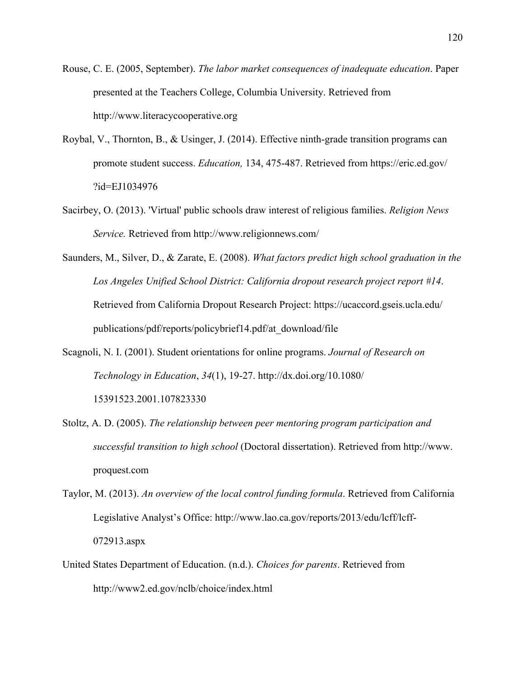- Rouse, C. E. (2005, September). *The labor market consequences of inadequate education*. Paper presented at the Teachers College, Columbia University. Retrieved from http://www.literacycooperative.org
- Roybal, V., Thornton, B., & Usinger, J. (2014). Effective ninth-grade transition programs can promote student success. *Education,* 134, 475-487. Retrieved from https://eric.ed.gov/ ?id=EJ1034976
- Sacirbey, O. (2013). 'Virtual' public schools draw interest of religious families. *Religion News Service.* Retrieved from http://www.religionnews.com/
- Saunders, M., Silver, D., & Zarate, E. (2008). *What factors predict high school graduation in the Los Angeles Unified School District: California dropout research project report #14*. Retrieved from California Dropout Research Project: https://ucaccord.gseis.ucla.edu/ publications/pdf/reports/policybrief14.pdf/at\_download/file
- Scagnoli, N. I. (2001). Student orientations for online programs. *Journal of Research on Technology in Education*, *34*(1), 19-27. http://dx.doi.org/10.1080/ 15391523.2001.107823330
- Stoltz, A. D. (2005). *The relationship between peer mentoring program participation and successful transition to high school* (Doctoral dissertation). Retrieved from http://www. proquest.com
- Taylor, M. (2013). *An overview of the local control funding formula*. Retrieved from California Legislative Analyst's Office: http://www.lao.ca.gov/reports/2013/edu/lcff/lcff-072913.aspx
- United States Department of Education. (n.d.). *Choices for parents*. Retrieved from http://www2.ed.gov/nclb/choice/index.html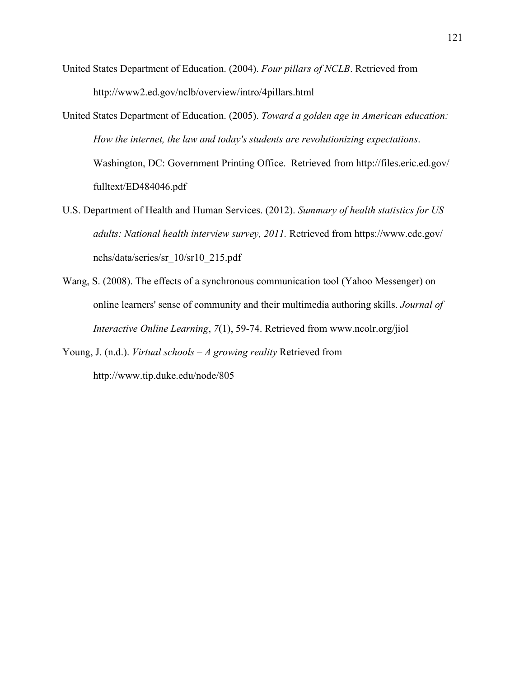- United States Department of Education. (2004). *Four pillars of NCLB*. Retrieved from http://www2.ed.gov/nclb/overview/intro/4pillars.html
- United States Department of Education. (2005). *Toward a golden age in American education: How the internet, the law and today's students are revolutionizing expectations*. Washington, DC: Government Printing Office. Retrieved from http://files.eric.ed.gov/ fulltext/ED484046.pdf
- U.S. Department of Health and Human Services. (2012). *Summary of health statistics for US adults: National health interview survey, 2011.* Retrieved from https://www.cdc.gov/ nchs/data/series/sr\_10/sr10\_215.pdf
- Wang, S. (2008). The effects of a synchronous communication tool (Yahoo Messenger) on online learners' sense of community and their multimedia authoring skills. *Journal of Interactive Online Learning*, *7*(1), 59-74. Retrieved from www.ncolr.org/jiol

Young, J. (n.d.). *Virtual schools – A growing reality* Retrieved from http://www.tip.duke.edu/node/805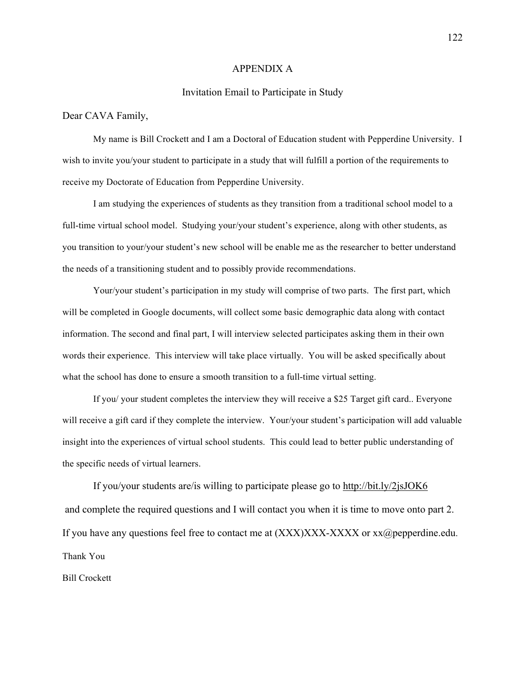#### APPENDIX A

### Invitation Email to Participate in Study

### Dear CAVA Family,

My name is Bill Crockett and I am a Doctoral of Education student with Pepperdine University. I wish to invite you/your student to participate in a study that will fulfill a portion of the requirements to receive my Doctorate of Education from Pepperdine University.

I am studying the experiences of students as they transition from a traditional school model to a full-time virtual school model. Studying your/your student's experience, along with other students, as you transition to your/your student's new school will be enable me as the researcher to better understand the needs of a transitioning student and to possibly provide recommendations.

Your/your student's participation in my study will comprise of two parts. The first part, which will be completed in Google documents, will collect some basic demographic data along with contact information. The second and final part, I will interview selected participates asking them in their own words their experience. This interview will take place virtually. You will be asked specifically about what the school has done to ensure a smooth transition to a full-time virtual setting.

If you/ your student completes the interview they will receive a \$25 Target gift card.. Everyone will receive a gift card if they complete the interview. Your/your student's participation will add valuable insight into the experiences of virtual school students. This could lead to better public understanding of the specific needs of virtual learners.

If you/your students are/is willing to participate please go to http://bit.ly/2jsJOK6 and complete the required questions and I will contact you when it is time to move onto part 2. If you have any questions feel free to contact me at  $(XXX)XXX-XXXX$  or  $xx@pepperdine.edu$ . Thank You

Bill Crockett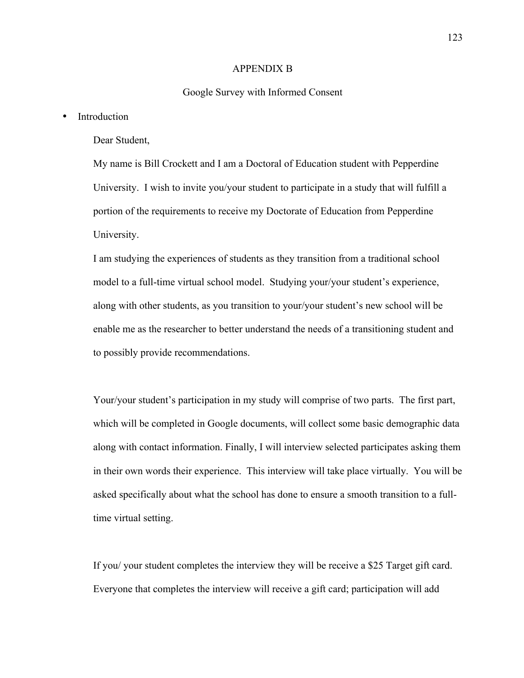### APPENDIX B

#### Google Survey with Informed Consent

## • Introduction

## Dear Student,

My name is Bill Crockett and I am a Doctoral of Education student with Pepperdine University. I wish to invite you/your student to participate in a study that will fulfill a portion of the requirements to receive my Doctorate of Education from Pepperdine University.

I am studying the experiences of students as they transition from a traditional school model to a full-time virtual school model. Studying your/your student's experience, along with other students, as you transition to your/your student's new school will be enable me as the researcher to better understand the needs of a transitioning student and to possibly provide recommendations.

Your/your student's participation in my study will comprise of two parts. The first part, which will be completed in Google documents, will collect some basic demographic data along with contact information. Finally, I will interview selected participates asking them in their own words their experience. This interview will take place virtually. You will be asked specifically about what the school has done to ensure a smooth transition to a fulltime virtual setting.

If you/ your student completes the interview they will be receive a \$25 Target gift card. Everyone that completes the interview will receive a gift card; participation will add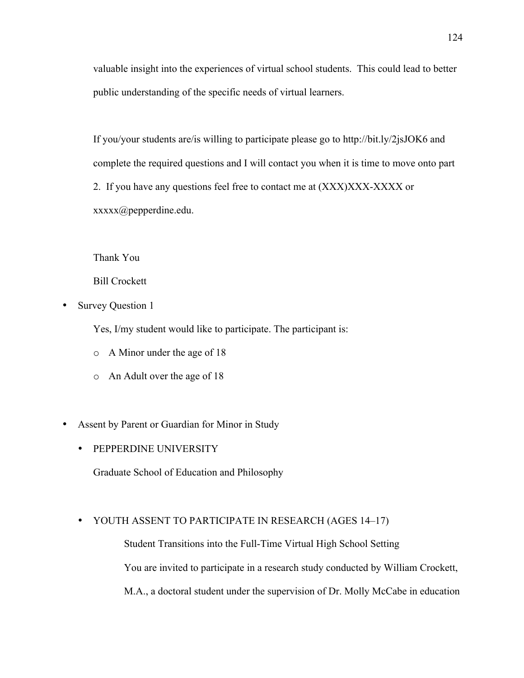valuable insight into the experiences of virtual school students. This could lead to better public understanding of the specific needs of virtual learners.

If you/your students are/is willing to participate please go to http://bit.ly/2jsJOK6 and complete the required questions and I will contact you when it is time to move onto part 2. If you have any questions feel free to contact me at (XXX)XXX-XXXX or xxxxx@pepperdine.edu.

Thank You

Bill Crockett

• Survey Question 1

Yes, I/my student would like to participate. The participant is:

- o A Minor under the age of 18
- o An Adult over the age of 18
- Assent by Parent or Guardian for Minor in Study
	- PEPPERDINE UNIVERSITY

Graduate School of Education and Philosophy

## • YOUTH ASSENT TO PARTICIPATE IN RESEARCH (AGES 14–17)

Student Transitions into the Full-Time Virtual High School Setting You are invited to participate in a research study conducted by William Crockett, M.A., a doctoral student under the supervision of Dr. Molly McCabe in education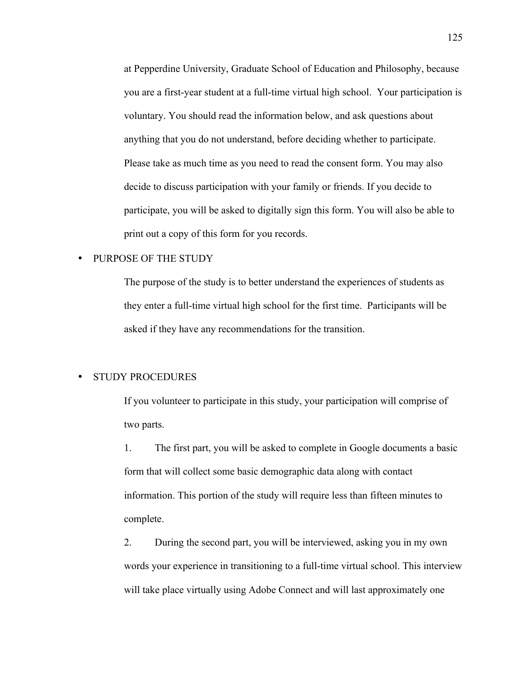at Pepperdine University, Graduate School of Education and Philosophy, because you are a first-year student at a full-time virtual high school. Your participation is voluntary. You should read the information below, and ask questions about anything that you do not understand, before deciding whether to participate. Please take as much time as you need to read the consent form. You may also decide to discuss participation with your family or friends. If you decide to participate, you will be asked to digitally sign this form. You will also be able to print out a copy of this form for you records.

## • PURPOSE OF THE STUDY

The purpose of the study is to better understand the experiences of students as they enter a full-time virtual high school for the first time. Participants will be asked if they have any recommendations for the transition.

## • STUDY PROCEDURES

If you volunteer to participate in this study, your participation will comprise of two parts.

1. The first part, you will be asked to complete in Google documents a basic form that will collect some basic demographic data along with contact information. This portion of the study will require less than fifteen minutes to complete.

2. During the second part, you will be interviewed, asking you in my own words your experience in transitioning to a full-time virtual school. This interview will take place virtually using Adobe Connect and will last approximately one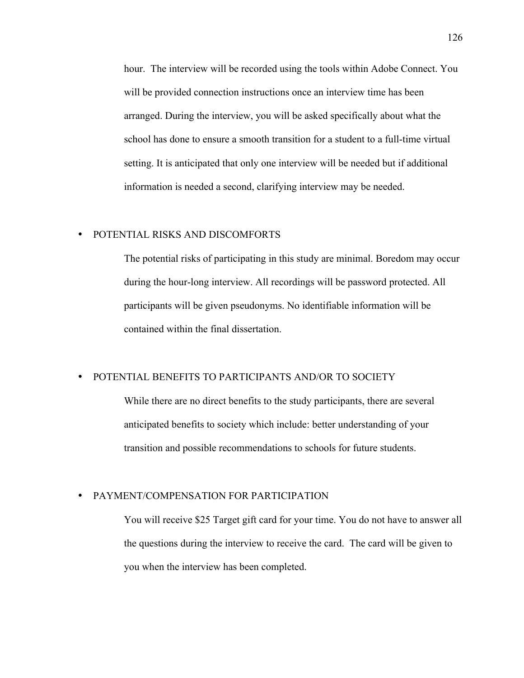hour. The interview will be recorded using the tools within Adobe Connect. You will be provided connection instructions once an interview time has been arranged. During the interview, you will be asked specifically about what the school has done to ensure a smooth transition for a student to a full-time virtual setting. It is anticipated that only one interview will be needed but if additional information is needed a second, clarifying interview may be needed.

# • POTENTIAL RISKS AND DISCOMFORTS

The potential risks of participating in this study are minimal. Boredom may occur during the hour-long interview. All recordings will be password protected. All participants will be given pseudonyms. No identifiable information will be contained within the final dissertation.

# • POTENTIAL BENEFITS TO PARTICIPANTS AND/OR TO SOCIETY

While there are no direct benefits to the study participants, there are several anticipated benefits to society which include: better understanding of your transition and possible recommendations to schools for future students.

## • PAYMENT/COMPENSATION FOR PARTICIPATION

You will receive \$25 Target gift card for your time. You do not have to answer all the questions during the interview to receive the card. The card will be given to you when the interview has been completed.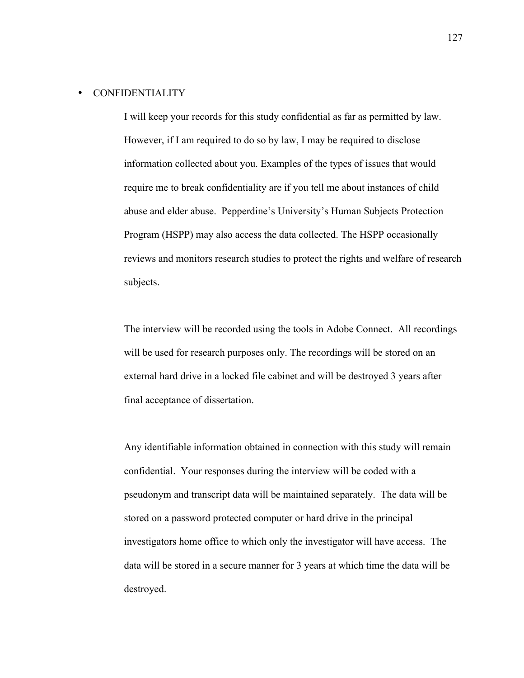## • CONFIDENTIALITY

I will keep your records for this study confidential as far as permitted by law. However, if I am required to do so by law, I may be required to disclose information collected about you. Examples of the types of issues that would require me to break confidentiality are if you tell me about instances of child abuse and elder abuse. Pepperdine's University's Human Subjects Protection Program (HSPP) may also access the data collected. The HSPP occasionally reviews and monitors research studies to protect the rights and welfare of research subjects.

The interview will be recorded using the tools in Adobe Connect. All recordings will be used for research purposes only. The recordings will be stored on an external hard drive in a locked file cabinet and will be destroyed 3 years after final acceptance of dissertation.

Any identifiable information obtained in connection with this study will remain confidential. Your responses during the interview will be coded with a pseudonym and transcript data will be maintained separately. The data will be stored on a password protected computer or hard drive in the principal investigators home office to which only the investigator will have access. The data will be stored in a secure manner for 3 years at which time the data will be destroyed.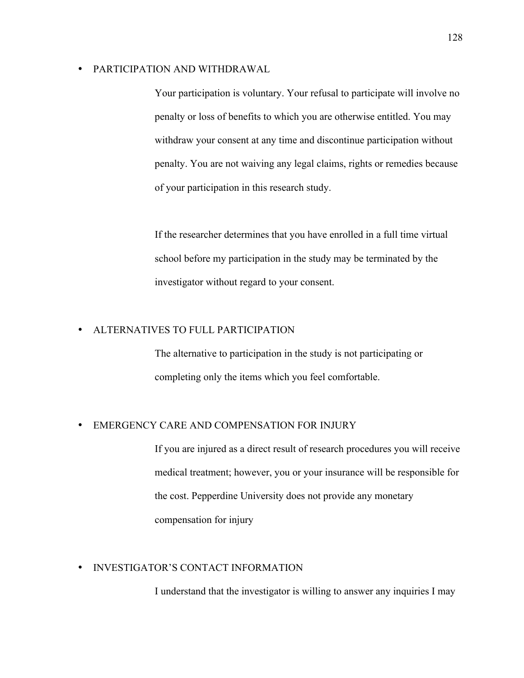### • PARTICIPATION AND WITHDRAWAL

Your participation is voluntary. Your refusal to participate will involve no penalty or loss of benefits to which you are otherwise entitled. You may withdraw your consent at any time and discontinue participation without penalty. You are not waiving any legal claims, rights or remedies because of your participation in this research study.

If the researcher determines that you have enrolled in a full time virtual school before my participation in the study may be terminated by the investigator without regard to your consent.

# • ALTERNATIVES TO FULL PARTICIPATION

The alternative to participation in the study is not participating or completing only the items which you feel comfortable.

# • EMERGENCY CARE AND COMPENSATION FOR INJURY

If you are injured as a direct result of research procedures you will receive medical treatment; however, you or your insurance will be responsible for the cost. Pepperdine University does not provide any monetary compensation for injury

## • INVESTIGATOR'S CONTACT INFORMATION

I understand that the investigator is willing to answer any inquiries I may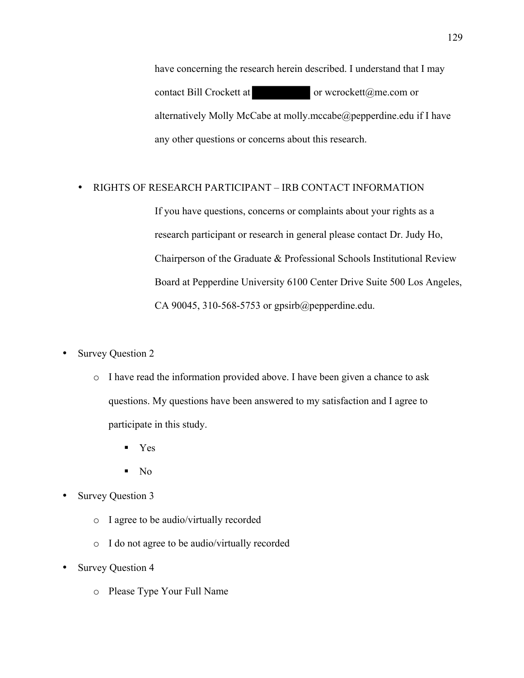have concerning the research herein described. I understand that I may contact Bill Crockett at **or** wcrockett@me.com or alternatively Molly McCabe at molly.mccabe@pepperdine.edu if I have any other questions or concerns about this research.

## • RIGHTS OF RESEARCH PARTICIPANT – IRB CONTACT INFORMATION

If you have questions, concerns or complaints about your rights as a research participant or research in general please contact Dr. Judy Ho, Chairperson of the Graduate & Professional Schools Institutional Review Board at Pepperdine University 6100 Center Drive Suite 500 Los Angeles, CA 90045, 310-568-5753 or gpsirb@pepperdine.edu.

- Survey Question 2
	- o I have read the information provided above. I have been given a chance to ask questions. My questions have been answered to my satisfaction and I agree to participate in this study.
		- § Yes
		- $\blacksquare$  No
- Survey Question 3
	- o I agree to be audio/virtually recorded
	- o I do not agree to be audio/virtually recorded
- Survey Question 4
	- o Please Type Your Full Name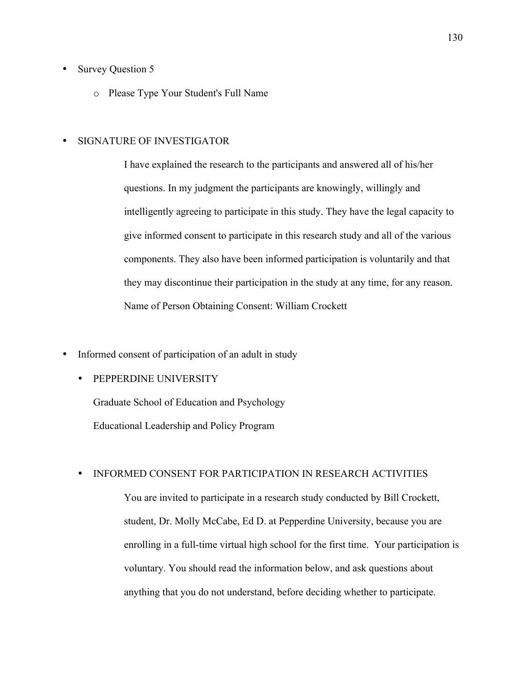- Survey Question 5
	- o Please Type Your Student's Full Name

# • SIGNATURE OF INVESTIGATOR

I have explained the research to the participants and answered all of his/her questions. In my judgment the participants are knowingly, willingly and intelligently agreeing to participate in this study. They have the legal capacity to give informed consent to participate in this research study and all of the various components. They also have been informed participation is voluntarily and that they may discontinue their participation in the study at any time, for any reason. Name of Person Obtaining Consent: William Crockett

- Informed consent of participation of an adult in study
	- PEPPERDINE UNIVERSITY

Graduate School of Education and Psychology Educational Leadership and Policy Program

## • INFORMED CONSENT FOR PARTICIPATION IN RESEARCH ACTIVITIES

You are invited to participate in a research study conducted by Bill Crockett, student, Dr. Molly McCabe, Ed D. at Pepperdine University, because you are enrolling in a full-time virtual high school for the first time. Your participation is voluntary. You should read the information below, and ask questions about anything that you do not understand, before deciding whether to participate.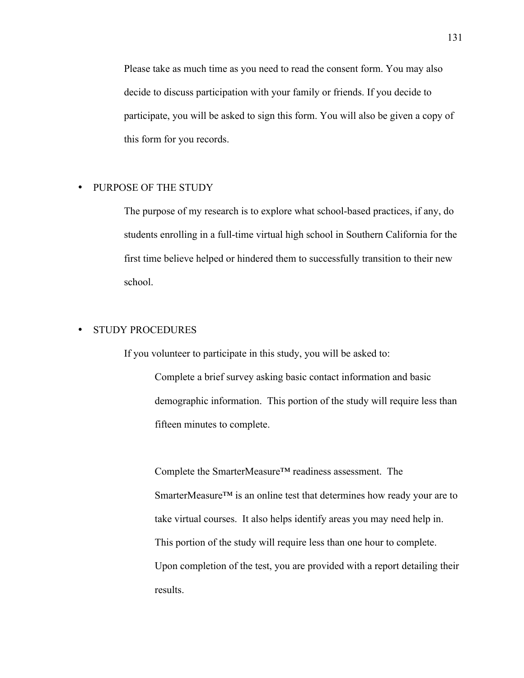Please take as much time as you need to read the consent form. You may also decide to discuss participation with your family or friends. If you decide to participate, you will be asked to sign this form. You will also be given a copy of this form for you records.

#### • PURPOSE OF THE STUDY

The purpose of my research is to explore what school-based practices, if any, do students enrolling in a full-time virtual high school in Southern California for the first time believe helped or hindered them to successfully transition to their new school.

# • STUDY PROCEDURES

If you volunteer to participate in this study, you will be asked to:

Complete a brief survey asking basic contact information and basic demographic information. This portion of the study will require less than fifteen minutes to complete.

Complete the SmarterMeasure™ readiness assessment. The SmarterMeasure<sup>™</sup> is an online test that determines how ready your are to take virtual courses. It also helps identify areas you may need help in. This portion of the study will require less than one hour to complete. Upon completion of the test, you are provided with a report detailing their results.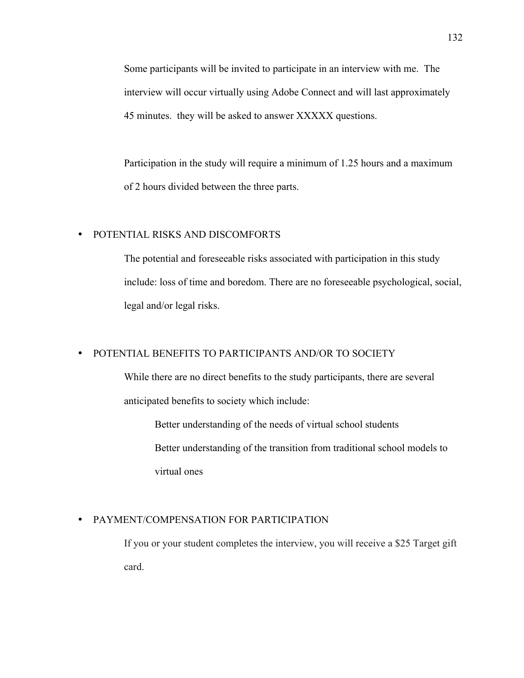Some participants will be invited to participate in an interview with me. The interview will occur virtually using Adobe Connect and will last approximately 45 minutes. they will be asked to answer XXXXX questions.

Participation in the study will require a minimum of 1.25 hours and a maximum of 2 hours divided between the three parts.

# • POTENTIAL RISKS AND DISCOMFORTS

The potential and foreseeable risks associated with participation in this study include: loss of time and boredom. There are no foreseeable psychological, social, legal and/or legal risks.

# • POTENTIAL BENEFITS TO PARTICIPANTS AND/OR TO SOCIETY

While there are no direct benefits to the study participants, there are several anticipated benefits to society which include:

Better understanding of the needs of virtual school students Better understanding of the transition from traditional school models to virtual ones

# • PAYMENT/COMPENSATION FOR PARTICIPATION

If you or your student completes the interview, you will receive a \$25 Target gift card.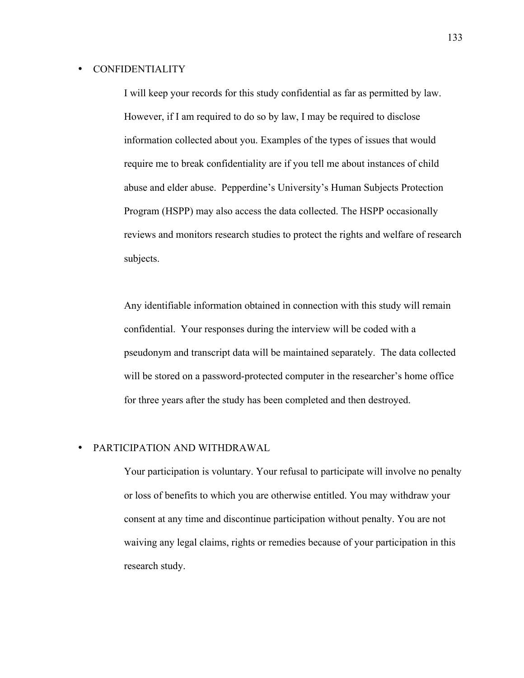## • CONFIDENTIALITY

I will keep your records for this study confidential as far as permitted by law. However, if I am required to do so by law, I may be required to disclose information collected about you. Examples of the types of issues that would require me to break confidentiality are if you tell me about instances of child abuse and elder abuse. Pepperdine's University's Human Subjects Protection Program (HSPP) may also access the data collected. The HSPP occasionally reviews and monitors research studies to protect the rights and welfare of research subjects.

Any identifiable information obtained in connection with this study will remain confidential. Your responses during the interview will be coded with a pseudonym and transcript data will be maintained separately. The data collected will be stored on a password-protected computer in the researcher's home office for three years after the study has been completed and then destroyed.

# • PARTICIPATION AND WITHDRAWAL

Your participation is voluntary. Your refusal to participate will involve no penalty or loss of benefits to which you are otherwise entitled. You may withdraw your consent at any time and discontinue participation without penalty. You are not waiving any legal claims, rights or remedies because of your participation in this research study.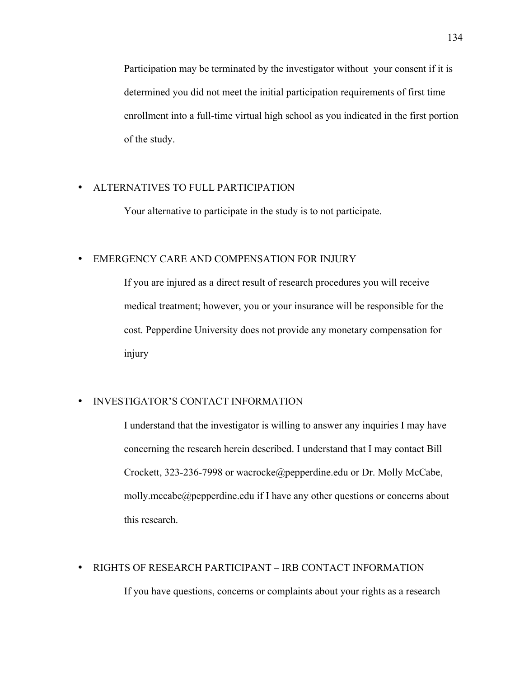Participation may be terminated by the investigator without your consent if it is determined you did not meet the initial participation requirements of first time enrollment into a full-time virtual high school as you indicated in the first portion of the study.

## • ALTERNATIVES TO FULL PARTICIPATION

Your alternative to participate in the study is to not participate.

# • EMERGENCY CARE AND COMPENSATION FOR INJURY

If you are injured as a direct result of research procedures you will receive medical treatment; however, you or your insurance will be responsible for the cost. Pepperdine University does not provide any monetary compensation for injury

# • INVESTIGATOR'S CONTACT INFORMATION

I understand that the investigator is willing to answer any inquiries I may have concerning the research herein described. I understand that I may contact Bill Crockett, 323-236-7998 or wacrocke@pepperdine.edu or Dr. Molly McCabe, molly.mccabe@pepperdine.edu if I have any other questions or concerns about this research.

# • RIGHTS OF RESEARCH PARTICIPANT – IRB CONTACT INFORMATION If you have questions, concerns or complaints about your rights as a research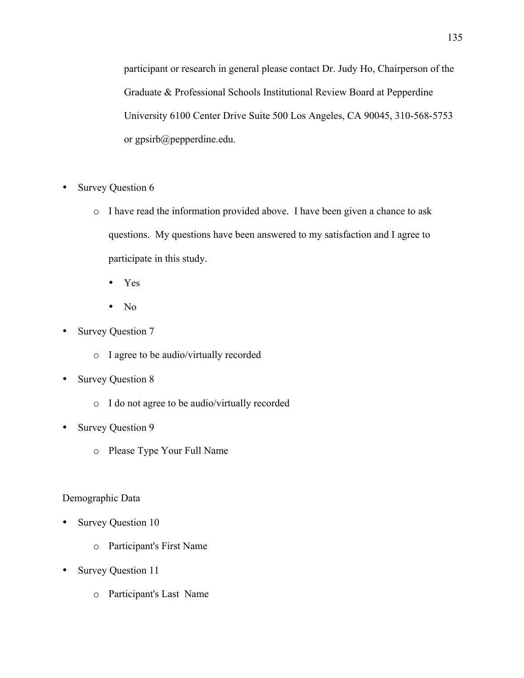participant or research in general please contact Dr. Judy Ho, Chairperson of the Graduate & Professional Schools Institutional Review Board at Pepperdine University 6100 Center Drive Suite 500 Los Angeles, CA 90045, 310-568-5753 or gpsirb@pepperdine.edu.

- Survey Question 6
	- o I have read the information provided above. I have been given a chance to ask questions. My questions have been answered to my satisfaction and I agree to participate in this study.
		- Yes
		- No
- Survey Question 7
	- o I agree to be audio/virtually recorded
- Survey Question 8
	- o I do not agree to be audio/virtually recorded
- Survey Question 9
	- o Please Type Your Full Name

## Demographic Data

- Survey Question 10
	- o Participant's First Name
- Survey Question 11
	- o Participant's Last Name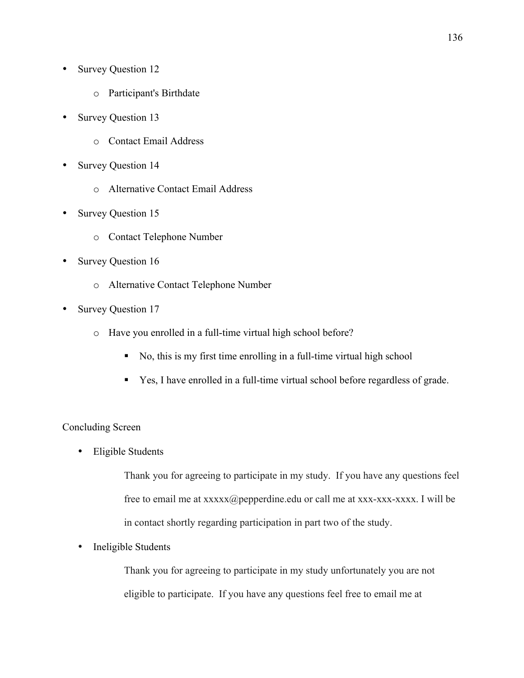- Survey Question 12
	- o Participant's Birthdate
- Survey Question 13
	- o Contact Email Address
- Survey Question 14
	- o Alternative Contact Email Address
- Survey Question 15
	- o Contact Telephone Number
- Survey Question 16
	- o Alternative Contact Telephone Number
- Survey Question 17
	- o Have you enrolled in a full-time virtual high school before?
		- § No, this is my first time enrolling in a full-time virtual high school
		- Yes, I have enrolled in a full-time virtual school before regardless of grade.

## Concluding Screen

• Eligible Students

Thank you for agreeing to participate in my study. If you have any questions feel free to email me at  $xxxxx(\omega)$  pepperdine.edu or call me at  $xxxxxxxxxx$ . I will be in contact shortly regarding participation in part two of the study.

• Ineligible Students

Thank you for agreeing to participate in my study unfortunately you are not eligible to participate. If you have any questions feel free to email me at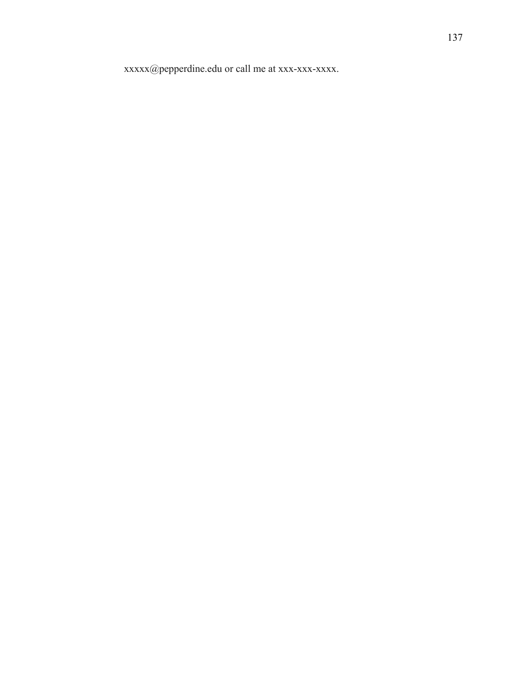xxxxx@pepperdine.edu or call me at xxx-xxx-xxxx.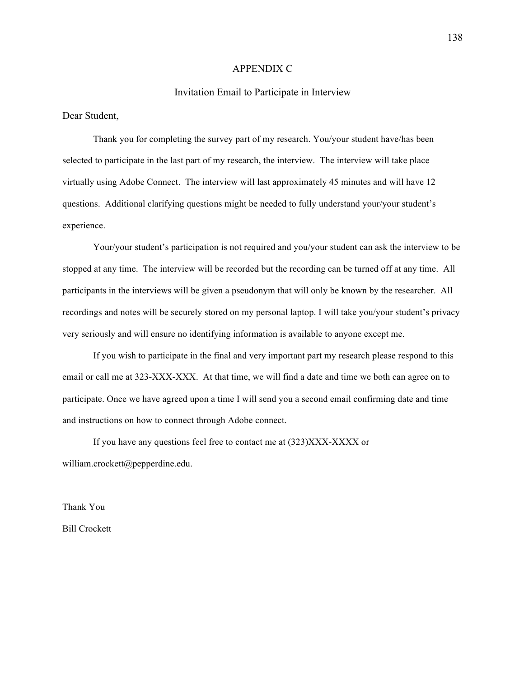#### APPENDIX C

#### Invitation Email to Participate in Interview

Dear Student,

Thank you for completing the survey part of my research. You/your student have/has been selected to participate in the last part of my research, the interview. The interview will take place virtually using Adobe Connect. The interview will last approximately 45 minutes and will have 12 questions. Additional clarifying questions might be needed to fully understand your/your student's experience.

Your/your student's participation is not required and you/your student can ask the interview to be stopped at any time. The interview will be recorded but the recording can be turned off at any time. All participants in the interviews will be given a pseudonym that will only be known by the researcher. All recordings and notes will be securely stored on my personal laptop. I will take you/your student's privacy very seriously and will ensure no identifying information is available to anyone except me.

If you wish to participate in the final and very important part my research please respond to this email or call me at 323-XXX-XXX. At that time, we will find a date and time we both can agree on to participate. Once we have agreed upon a time I will send you a second email confirming date and time and instructions on how to connect through Adobe connect.

If you have any questions feel free to contact me at (323)XXX-XXXX or william.crockett@pepperdine.edu.

Thank You Bill Crockett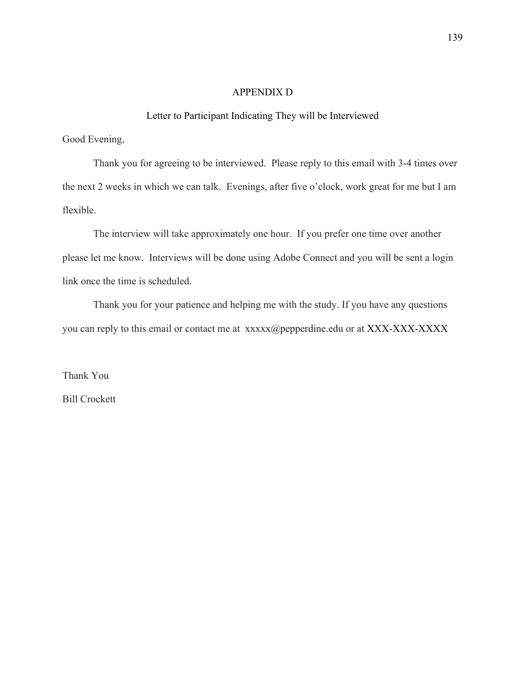# APPENDIX D

## Letter to Participant Indicating They will be Interviewed

Good Evening,

 Thank you for agreeing to be interviewed. Please reply to this email with 3-4 times over the next 2 weeks in which we can talk. Evenings, after five o'clock, work great for me but I am flexible.

The interview will take approximately one hour. If you prefer one time over another please let me know. Interviews will be done using Adobe Connect and you will be sent a login link once the time is scheduled.

Thank you for your patience and helping me with the study. If you have any questions you can reply to this email or contact me at xxxxx@pepperdine.edu or at XXX-XXX-XXXXX

Thank You Bill Crockett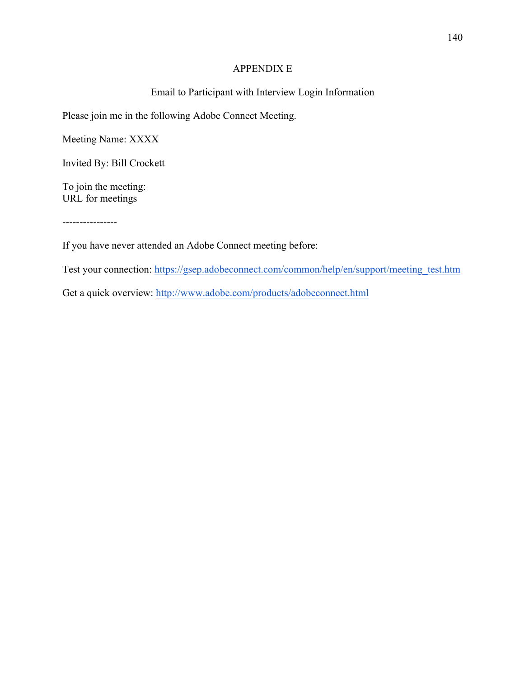# APPENDIX E

# Email to Participant with Interview Login Information

Please join me in the following Adobe Connect Meeting.

Meeting Name: XXXX

Invited By: Bill Crockett

To join the meeting: URL for meetings

----------------

If you have never attended an Adobe Connect meeting before:

Test your connection: https://gsep.adobeconnect.com/common/help/en/support/meeting\_test.htm

Get a quick overview: http://www.adobe.com/products/adobeconnect.html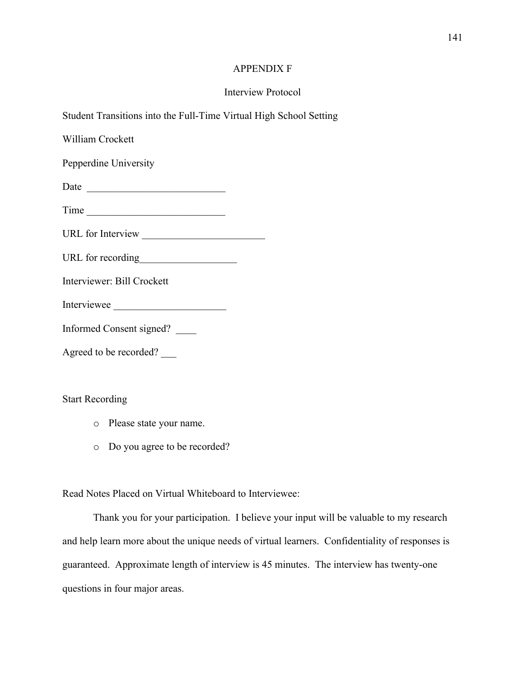# APPENDIX F

# Interview Protocol

Student Transitions into the Full-Time Virtual High School Setting

William Crockett

Pepperdine University

Date \_\_\_\_\_\_\_\_\_\_\_\_\_\_\_\_\_\_\_\_\_\_\_\_\_\_\_

Time \_\_\_\_\_\_\_\_\_\_\_\_\_\_\_\_\_\_\_\_\_\_\_\_\_\_\_

URL for Interview \_\_\_\_\_\_\_\_\_\_\_\_\_\_\_\_\_\_\_\_\_\_\_\_

URL for recording

Interviewer: Bill Crockett

Interviewee \_\_\_\_\_\_\_\_\_\_\_\_\_\_\_\_\_\_\_\_\_\_

Informed Consent signed? \_\_\_\_

Agreed to be recorded? \_\_\_

Start Recording

- o Please state your name.
- o Do you agree to be recorded?

Read Notes Placed on Virtual Whiteboard to Interviewee:

Thank you for your participation. I believe your input will be valuable to my research and help learn more about the unique needs of virtual learners. Confidentiality of responses is guaranteed. Approximate length of interview is 45 minutes. The interview has twenty-one questions in four major areas.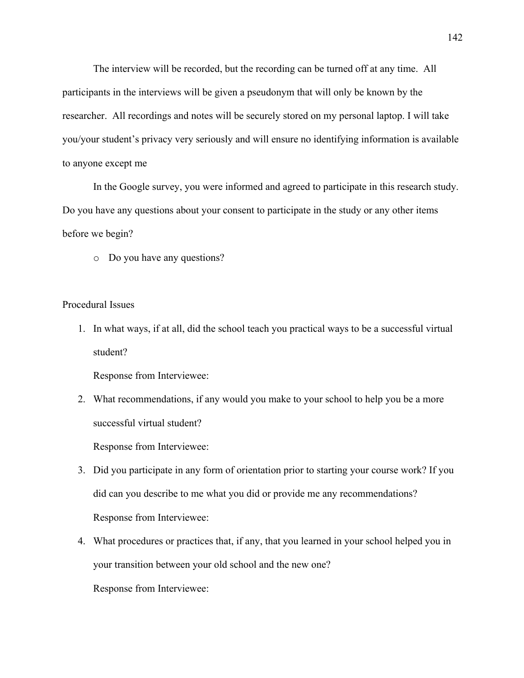The interview will be recorded, but the recording can be turned off at any time. All participants in the interviews will be given a pseudonym that will only be known by the researcher. All recordings and notes will be securely stored on my personal laptop. I will take you/your student's privacy very seriously and will ensure no identifying information is available to anyone except me

In the Google survey, you were informed and agreed to participate in this research study. Do you have any questions about your consent to participate in the study or any other items before we begin?

o Do you have any questions?

#### Procedural Issues

1. In what ways, if at all, did the school teach you practical ways to be a successful virtual student?

Response from Interviewee:

2. What recommendations, if any would you make to your school to help you be a more successful virtual student?

Response from Interviewee:

- 3. Did you participate in any form of orientation prior to starting your course work? If you did can you describe to me what you did or provide me any recommendations? Response from Interviewee:
- 4. What procedures or practices that, if any, that you learned in your school helped you in your transition between your old school and the new one?

Response from Interviewee: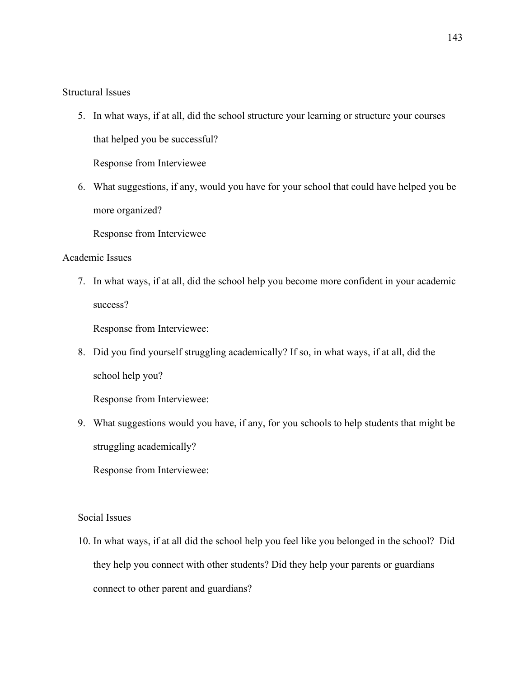Structural Issues

5. In what ways, if at all, did the school structure your learning or structure your courses that helped you be successful?

Response from Interviewee

6. What suggestions, if any, would you have for your school that could have helped you be more organized?

Response from Interviewee

# Academic Issues

7. In what ways, if at all, did the school help you become more confident in your academic success?

Response from Interviewee:

8. Did you find yourself struggling academically? If so, in what ways, if at all, did the school help you?

Response from Interviewee:

9. What suggestions would you have, if any, for you schools to help students that might be struggling academically?

Response from Interviewee:

# Social Issues

10. In what ways, if at all did the school help you feel like you belonged in the school? Did they help you connect with other students? Did they help your parents or guardians connect to other parent and guardians?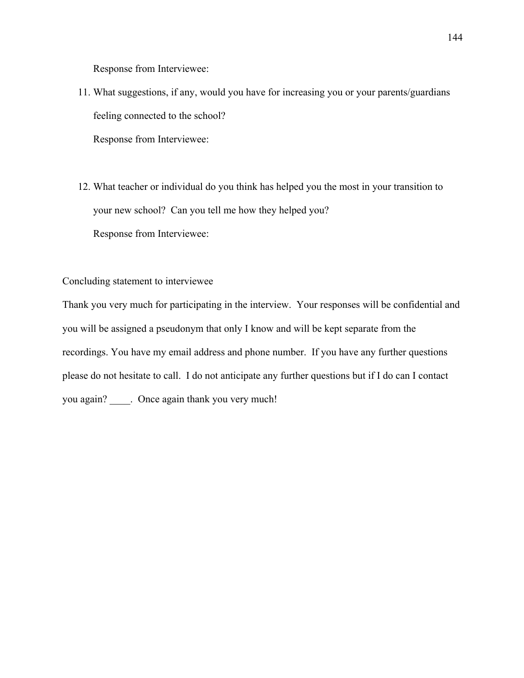Response from Interviewee:

- 11. What suggestions, if any, would you have for increasing you or your parents/guardians feeling connected to the school? Response from Interviewee:
- 12. What teacher or individual do you think has helped you the most in your transition to your new school? Can you tell me how they helped you? Response from Interviewee:

Concluding statement to interviewee

Thank you very much for participating in the interview. Your responses will be confidential and you will be assigned a pseudonym that only I know and will be kept separate from the recordings. You have my email address and phone number. If you have any further questions please do not hesitate to call. I do not anticipate any further questions but if I do can I contact you again? \_\_\_\_. Once again thank you very much!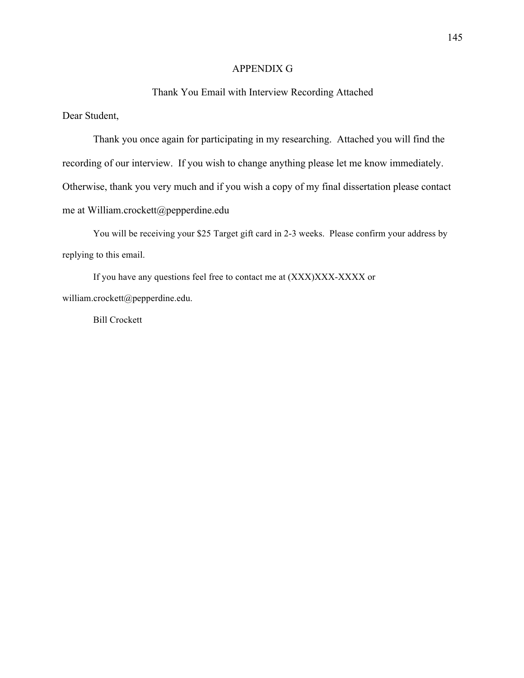# APPENDIX G

# Thank You Email with Interview Recording Attached

Dear Student,

Thank you once again for participating in my researching. Attached you will find the recording of our interview. If you wish to change anything please let me know immediately. Otherwise, thank you very much and if you wish a copy of my final dissertation please contact me at William.crockett@pepperdine.edu

You will be receiving your \$25 Target gift card in 2-3 weeks. Please confirm your address by replying to this email.

If you have any questions feel free to contact me at (XXX)XXX-XXXX or william.crockett@pepperdine.edu.

Bill Crockett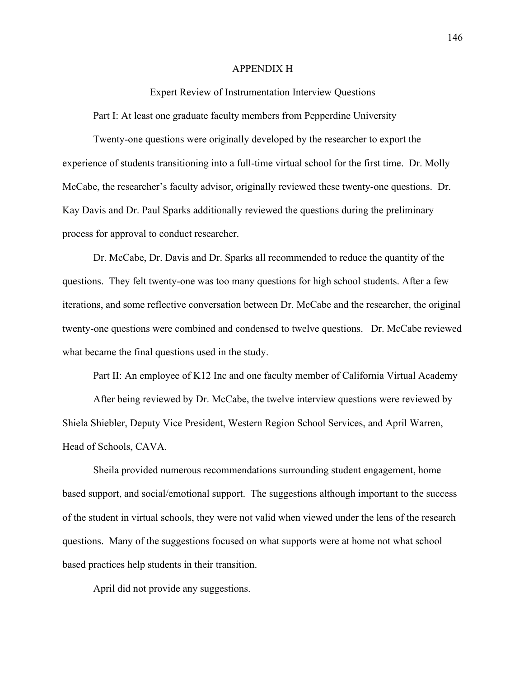#### APPENDIX H

Expert Review of Instrumentation Interview Questions

Part I: At least one graduate faculty members from Pepperdine University

Twenty-one questions were originally developed by the researcher to export the experience of students transitioning into a full-time virtual school for the first time. Dr. Molly McCabe, the researcher's faculty advisor, originally reviewed these twenty-one questions. Dr. Kay Davis and Dr. Paul Sparks additionally reviewed the questions during the preliminary process for approval to conduct researcher.

Dr. McCabe, Dr. Davis and Dr. Sparks all recommended to reduce the quantity of the questions. They felt twenty-one was too many questions for high school students. After a few iterations, and some reflective conversation between Dr. McCabe and the researcher, the original twenty-one questions were combined and condensed to twelve questions. Dr. McCabe reviewed what became the final questions used in the study.

Part II: An employee of K12 Inc and one faculty member of California Virtual Academy

After being reviewed by Dr. McCabe, the twelve interview questions were reviewed by Shiela Shiebler, Deputy Vice President, Western Region School Services, and April Warren, Head of Schools, CAVA.

Sheila provided numerous recommendations surrounding student engagement, home based support, and social/emotional support. The suggestions although important to the success of the student in virtual schools, they were not valid when viewed under the lens of the research questions. Many of the suggestions focused on what supports were at home not what school based practices help students in their transition.

April did not provide any suggestions.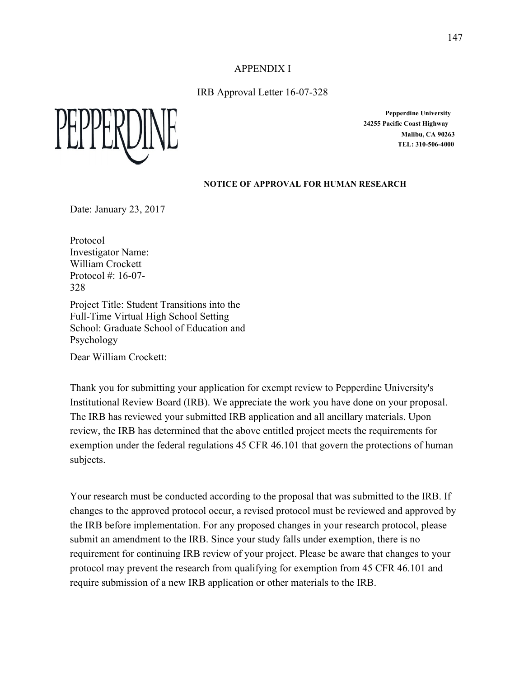APPENDIX I

IRB Approval Letter 16-07-328



**Pepperdine University 24255 Pacific Coast Highway Malibu, CA 90263 TEL: 310-506-4000**

## **NOTICE OF APPROVAL FOR HUMAN RESEARCH**

Date: January 23, 2017

Protocol Investigator Name: William Crockett Protocol  $\#$ : 16-07-328

Project Title: Student Transitions into the Full-Time Virtual High School Setting School: Graduate School of Education and Psychology

Dear William Crockett:

Thank you for submitting your application for exempt review to Pepperdine University's Institutional Review Board (IRB). We appreciate the work you have done on your proposal. The IRB has reviewed your submitted IRB application and all ancillary materials. Upon review, the IRB has determined that the above entitled project meets the requirements for exemption under the federal regulations 45 CFR 46.101 that govern the protections of human subjects.

Your research must be conducted according to the proposal that was submitted to the IRB. If changes to the approved protocol occur, a revised protocol must be reviewed and approved by the IRB before implementation. For any proposed changes in your research protocol, please submit an amendment to the IRB. Since your study falls under exemption, there is no requirement for continuing IRB review of your project. Please be aware that changes to your protocol may prevent the research from qualifying for exemption from 45 CFR 46.101 and require submission of a new IRB application or other materials to the IRB.